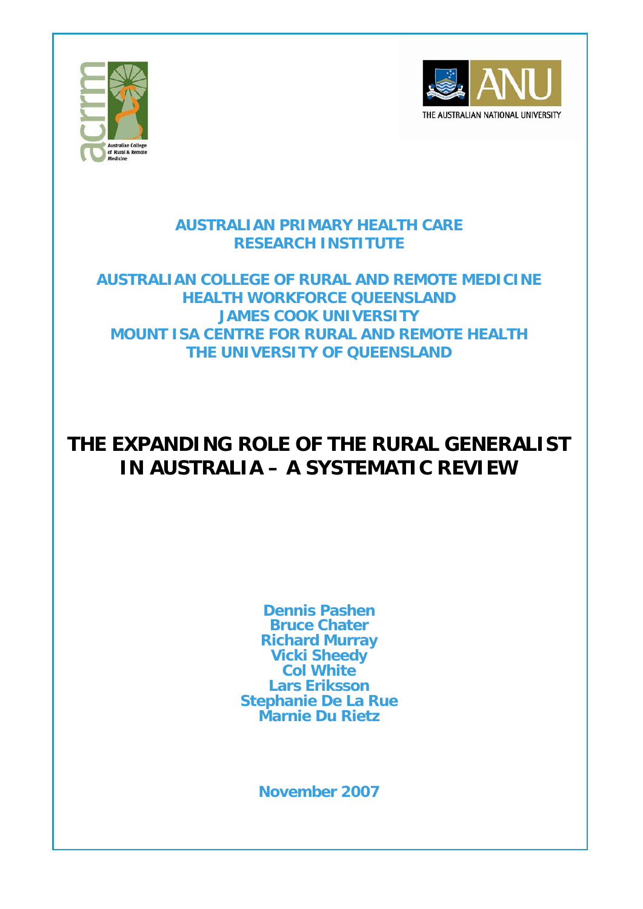



### **AUSTRALIAN PRIMARY HEALTH CARE RESEARCH INSTITUTE**

**AUSTRALIAN COLLEGE OF RURAL AND REMOTE MEDICINE HEALTH WORKFORCE QUEENSLAND JAMES COOK UNIVERSITY MOUNT ISA CENTRE FOR RURAL AND REMOTE HEALTH THE UNIVERSITY OF QUEENSLAND** 

# **THE EXPANDING ROLE OF THE RURAL GENERALIST IN AUSTRALIA – A SYSTEMATIC REVIEW**

**Dennis Pashen Bruce Chater Richard Murray Vicki Sheedy Col White Lars Eriksson Stephanie De La Rue Marnie Du Rietz** 

**November 2007**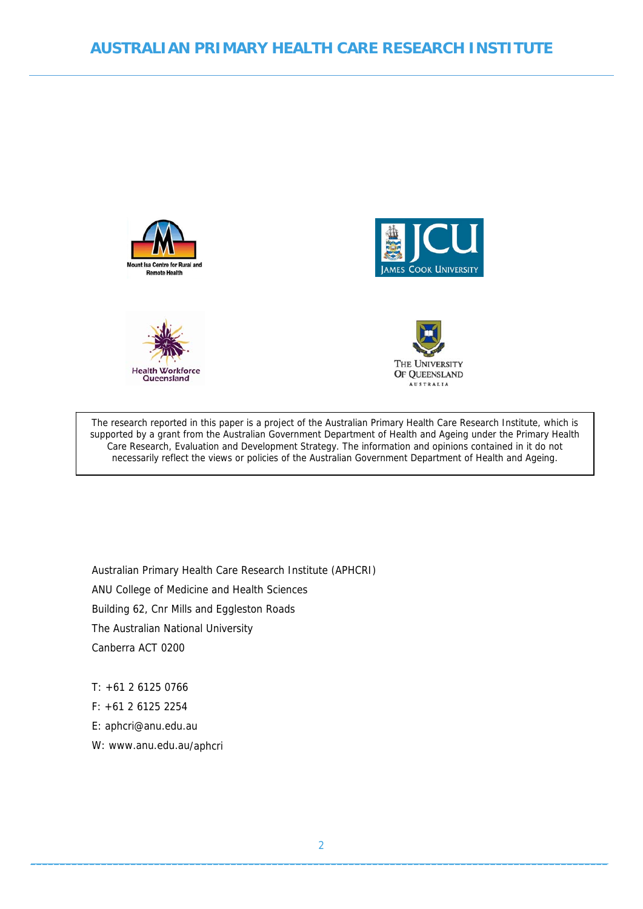







The research reported in this paper is a project of the Australian Primary Health Care Research Institute, which is supported by a grant from the Australian Government Department of Health and Ageing under the Primary Health Care Research, Evaluation and Development Strategy. The information and opinions contained in it do not necessarily reflect the views or policies of the Australian Government Department of Health and Ageing.

Australian Primary Health Care Research Institute (APHCRI) ANU College of Medicine and Health Sciences Building 62, Cnr Mills and Eggleston Roads The Australian National University Canberra ACT 0200

T: +61 2 6125 0766

F: +61 2 6125 2254

E: [aphcri@anu.edu.au](mailto:aphcri@anu.edu.au)

W: www.anu.edu.au/aphcri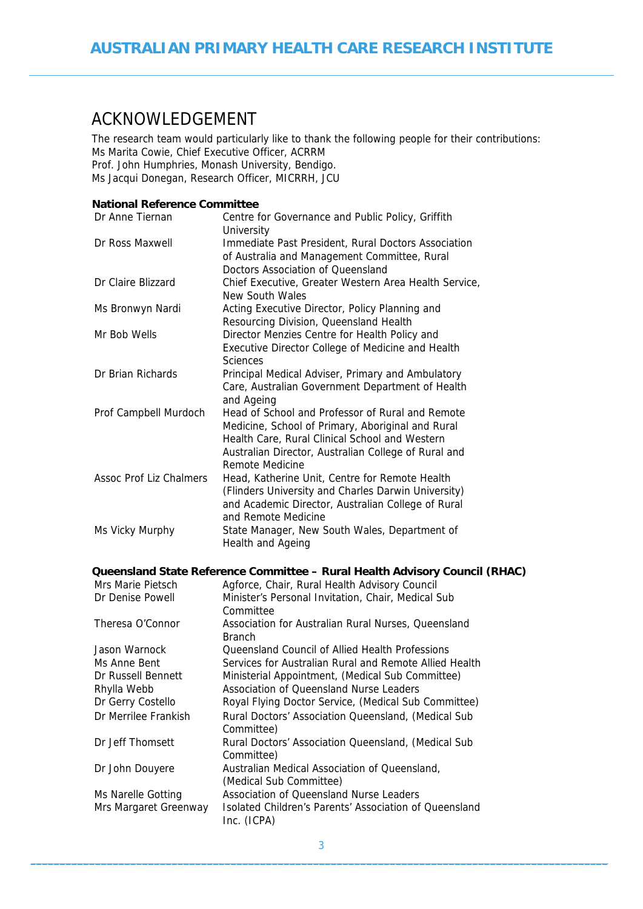## <span id="page-2-1"></span><span id="page-2-0"></span>ACKNOWLEDGEMENT

The research team would particularly like to thank the following people for their contributions: Ms Marita Cowie, Chief Executive Officer, ACRRM Prof. John Humphries, Monash University, Bendigo. Ms Jacqui Donegan, Research Officer, MICRRH, JCU

#### **National Reference Committee**

| Dr Anne Tiernan                       | Centre for Governance and Public Policy, Griffith<br>University                                                                                                                                                                    |  |
|---------------------------------------|------------------------------------------------------------------------------------------------------------------------------------------------------------------------------------------------------------------------------------|--|
| Dr Ross Maxwell                       | Immediate Past President, Rural Doctors Association<br>of Australia and Management Committee, Rural<br>Doctors Association of Queensland                                                                                           |  |
| Dr Claire Blizzard                    | Chief Executive, Greater Western Area Health Service,<br>New South Wales                                                                                                                                                           |  |
| Ms Bronwyn Nardi                      | Acting Executive Director, Policy Planning and<br>Resourcing Division, Queensland Health                                                                                                                                           |  |
| Mr Bob Wells                          | Director Menzies Centre for Health Policy and<br>Executive Director College of Medicine and Health<br>Sciences                                                                                                                     |  |
| Dr Brian Richards                     | Principal Medical Adviser, Primary and Ambulatory<br>Care, Australian Government Department of Health<br>and Ageing                                                                                                                |  |
| Prof Campbell Murdoch                 | Head of School and Professor of Rural and Remote<br>Medicine, School of Primary, Aboriginal and Rural<br>Health Care, Rural Clinical School and Western<br>Australian Director, Australian College of Rural and<br>Remote Medicine |  |
| <b>Assoc Prof Liz Chalmers</b>        | Head, Katherine Unit, Centre for Remote Health<br>(Flinders University and Charles Darwin University)<br>and Academic Director, Australian College of Rural<br>and Remote Medicine                                                 |  |
| Ms Vicky Murphy                       | State Manager, New South Wales, Department of<br>Health and Ageing                                                                                                                                                                 |  |
|                                       | Queensland State Reference Committee – Rural Health Advisory Council (RHAC)                                                                                                                                                        |  |
| Mrs Marie Pietsch<br>Dr Denise Powell | Agforce, Chair, Rural Health Advisory Council<br>Minister's Personal Invitation, Chair, Medical Sub<br>Committee                                                                                                                   |  |
| Theresa O'Connor                      | Association for Australian Rural Nurses, Queensland                                                                                                                                                                                |  |

|                       | <b>Branch</b>                                          |
|-----------------------|--------------------------------------------------------|
| Jason Warnock         | Queensland Council of Allied Health Professions        |
| Ms Anne Bent          | Services for Australian Rural and Remote Allied Health |
| Dr Russell Bennett    | Ministerial Appointment, (Medical Sub Committee)       |
| Rhylla Webb           | Association of Queensland Nurse Leaders                |
| Dr Gerry Costello     | Royal Flying Doctor Service, (Medical Sub Committee)   |
| Dr Merrilee Frankish  | Rural Doctors' Association Queensland, (Medical Sub    |
|                       | Committee)                                             |
| Dr Jeff Thomsett      | Rural Doctors' Association Queensland, (Medical Sub    |
|                       | Committee)                                             |
| Dr John Douyere       | Australian Medical Association of Queensland,          |
|                       | (Medical Sub Committee)                                |
| Ms Narelle Gotting    | Association of Queensland Nurse Leaders                |
| Mrs Margaret Greenway | Isolated Children's Parents' Association of Queensland |
|                       | Inc. (ICPA)                                            |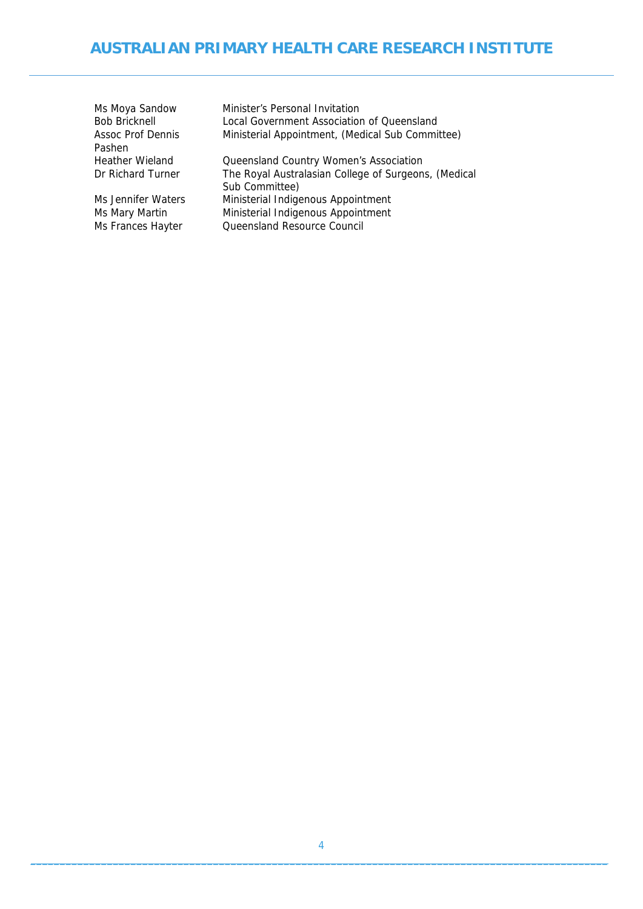| Ms Moya Sandow         | Minister's Personal Invitation                       |
|------------------------|------------------------------------------------------|
| <b>Bob Bricknell</b>   | Local Government Association of Queensland           |
| Assoc Prof Dennis      | Ministerial Appointment, (Medical Sub Committee)     |
| Pashen                 |                                                      |
| <b>Heather Wieland</b> | Queensland Country Women's Association               |
| Dr Richard Turner      | The Royal Australasian College of Surgeons, (Medical |
|                        | Sub Committee)                                       |
| Ms Jennifer Waters     | Ministerial Indigenous Appointment                   |
| Ms Mary Martin         | Ministerial Indigenous Appointment                   |
| Ms Frances Hayter      | Queensland Resource Council                          |
|                        |                                                      |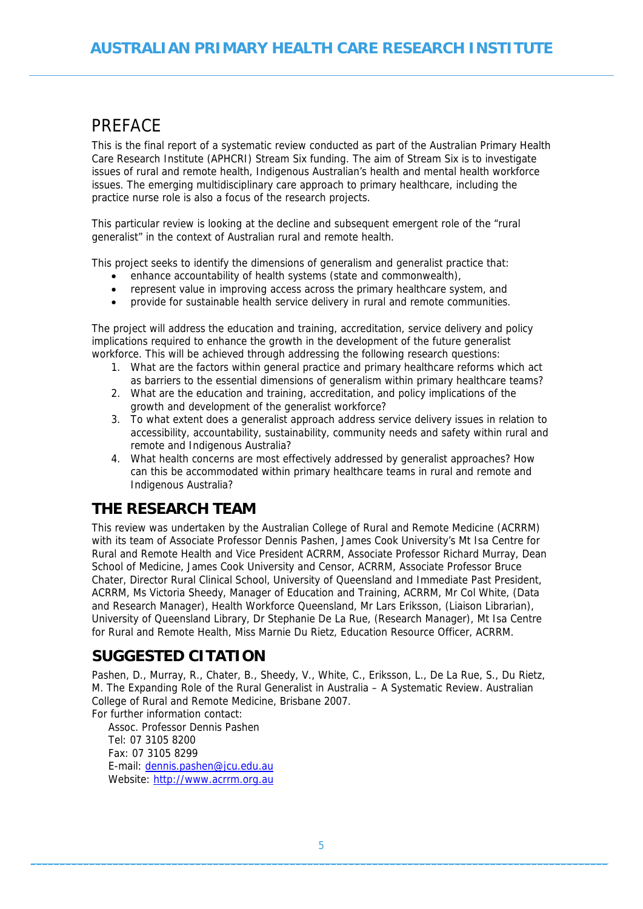## <span id="page-4-1"></span><span id="page-4-0"></span>PREFACE

This is the final report of a systematic review conducted as part of the Australian Primary Health Care Research Institute (APHCRI) Stream Six funding. The aim of Stream Six is to investigate issues of rural and remote health, Indigenous Australian's health and mental health workforce issues. The emerging multidisciplinary care approach to primary healthcare, including the practice nurse role is also a focus of the research projects.

This particular review is looking at the decline and subsequent emergent role of the "rural generalist" in the context of Australian rural and remote health.

This project seeks to identify the dimensions of generalism and generalist practice that:

- enhance accountability of health systems (state and commonwealth),
- represent value in improving access across the primary healthcare system, and
- provide for sustainable health service delivery in rural and remote communities.

The project will address the education and training, accreditation, service delivery and policy implications required to enhance the growth in the development of the future generalist workforce. This will be achieved through addressing the following research questions:

- 1. What are the factors within general practice and primary healthcare reforms which act as barriers to the essential dimensions of generalism within primary healthcare teams?
- 2. What are the education and training, accreditation, and policy implications of the growth and development of the generalist workforce?
- 3. To what extent does a generalist approach address service delivery issues in relation to accessibility, accountability, sustainability, community needs and safety within rural and remote and Indigenous Australia?
- 4. What health concerns are most effectively addressed by generalist approaches? How can this be accommodated within primary healthcare teams in rural and remote and Indigenous Australia?

### **THE RESEARCH TEAM**

This review was undertaken by the Australian College of Rural and Remote Medicine (ACRRM) with its team of Associate Professor Dennis Pashen, James Cook University's Mt Isa Centre for Rural and Remote Health and Vice President ACRRM, Associate Professor Richard Murray, Dean School of Medicine, James Cook University and Censor, ACRRM, Associate Professor Bruce Chater, Director Rural Clinical School, University of Queensland and Immediate Past President, ACRRM, Ms Victoria Sheedy, Manager of Education and Training, ACRRM, Mr Col White, (Data and Research Manager), Health Workforce Queensland, Mr Lars Eriksson, (Liaison Librarian), University of Queensland Library, Dr Stephanie De La Rue, (Research Manager), Mt Isa Centre for Rural and Remote Health, Miss Marnie Du Rietz, Education Resource Officer, ACRRM.

### **SUGGESTED CITATION**

Pashen, D., Murray, R., Chater, B., Sheedy, V., White, C., Eriksson, L., De La Rue, S., Du Rietz, M. The Expanding Role of the Rural Generalist in Australia – A Systematic Review. Australian College of Rural and Remote Medicine, Brisbane 2007.

For further information contact: Assoc. Professor Dennis Pashen Tel: 07 3105 8200 Fax: 07 3105 8299 E-mail: [dennis.pashen@jcu.edu.au](mailto:dennis.pashen@jcu.edu.au) Website: [http://www.acrrm.org.au](http://www.acrrm.org.au/)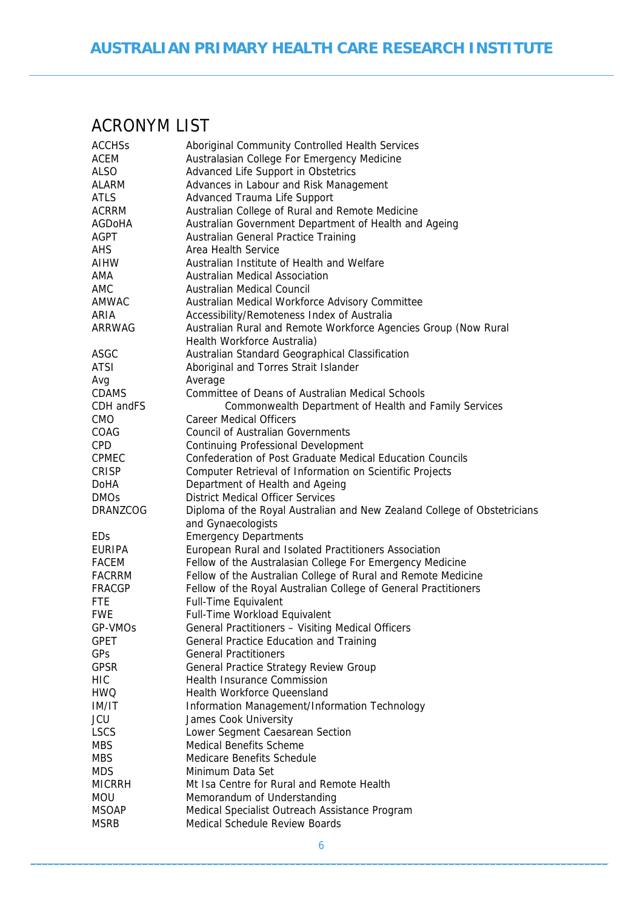# <span id="page-5-1"></span><span id="page-5-0"></span>ACRONYM LIST

| <b>ACCHSs</b> | Aboriginal Community Controlled Health Services                                                |  |  |
|---------------|------------------------------------------------------------------------------------------------|--|--|
| ACEM          | Australasian College For Emergency Medicine                                                    |  |  |
| ALSO          | Advanced Life Support in Obstetrics                                                            |  |  |
| ALARM         | Advances in Labour and Risk Management                                                         |  |  |
| <b>ATLS</b>   | Advanced Trauma Life Support                                                                   |  |  |
| ACRRM         | Australian College of Rural and Remote Medicine                                                |  |  |
| AGDoHA        | Australian Government Department of Health and Ageing                                          |  |  |
| AGPT          | Australian General Practice Training                                                           |  |  |
| AHS.          | Area Health Service                                                                            |  |  |
| AIHW          | Australian Institute of Health and Welfare                                                     |  |  |
|               |                                                                                                |  |  |
| AMA           | <b>Australian Medical Association</b>                                                          |  |  |
| AMC           | Australian Medical Council                                                                     |  |  |
| AMWAC         | Australian Medical Workforce Advisory Committee                                                |  |  |
| ARIA          | Accessibility/Remoteness Index of Australia                                                    |  |  |
| ARRWAG        | Australian Rural and Remote Workforce Agencies Group (Now Rural<br>Health Workforce Australia) |  |  |
| ASGC          | Australian Standard Geographical Classification                                                |  |  |
| ATSI          | Aboriginal and Torres Strait Islander                                                          |  |  |
| Avg           | Average                                                                                        |  |  |
| <b>CDAMS</b>  | <b>Committee of Deans of Australian Medical Schools</b>                                        |  |  |
| CDH and FS    | Commonwealth Department of Health and Family Services                                          |  |  |
| <b>CMO</b>    | <b>Career Medical Officers</b>                                                                 |  |  |
|               | <b>Council of Australian Governments</b>                                                       |  |  |
| COAG          |                                                                                                |  |  |
| <b>CPD</b>    | <b>Continuing Professional Development</b>                                                     |  |  |
| <b>CPMEC</b>  | Confederation of Post Graduate Medical Education Councils                                      |  |  |
| CRISP         | Computer Retrieval of Information on Scientific Projects                                       |  |  |
| <b>DoHA</b>   | Department of Health and Ageing                                                                |  |  |
| <b>DMOs</b>   | <b>District Medical Officer Services</b>                                                       |  |  |
| DRANZCOG      | Diploma of the Royal Australian and New Zealand College of Obstetricians                       |  |  |
|               | and Gynaecologists                                                                             |  |  |
| <b>EDs</b>    | <b>Emergency Departments</b>                                                                   |  |  |
| EURIPA        | European Rural and Isolated Practitioners Association                                          |  |  |
| <b>FACEM</b>  | Fellow of the Australasian College For Emergency Medicine                                      |  |  |
| FACRRM        | Fellow of the Australian College of Rural and Remote Medicine                                  |  |  |
| FRACGP        | Fellow of the Royal Australian College of General Practitioners                                |  |  |
| <b>FTE</b>    | Full-Time Equivalent                                                                           |  |  |
| <b>FWE</b>    | Full-Time Workload Equivalent                                                                  |  |  |
| GP-VMOs       | General Practitioners - Visiting Medical Officers                                              |  |  |
| <b>GPET</b>   | General Practice Education and Training                                                        |  |  |
| GPs           | <b>General Practitioners</b>                                                                   |  |  |
| <b>GPSR</b>   | <b>General Practice Strategy Review Group</b>                                                  |  |  |
| <b>HIC</b>    | <b>Health Insurance Commission</b>                                                             |  |  |
| <b>HWQ</b>    | <b>Health Workforce Queensland</b>                                                             |  |  |
| IM/IT         | Information Management/Information Technology                                                  |  |  |
| JCU           | James Cook University                                                                          |  |  |
| <b>LSCS</b>   | Lower Segment Caesarean Section                                                                |  |  |
|               | <b>Medical Benefits Scheme</b>                                                                 |  |  |
| <b>MBS</b>    |                                                                                                |  |  |
| <b>MBS</b>    | Medicare Benefits Schedule                                                                     |  |  |
| <b>MDS</b>    | Minimum Data Set                                                                               |  |  |
| <b>MICRRH</b> | Mt Isa Centre for Rural and Remote Health                                                      |  |  |
| <b>MOU</b>    | Memorandum of Understanding                                                                    |  |  |
| <b>MSOAP</b>  | Medical Specialist Outreach Assistance Program                                                 |  |  |
| <b>MSRB</b>   | Medical Schedule Review Boards                                                                 |  |  |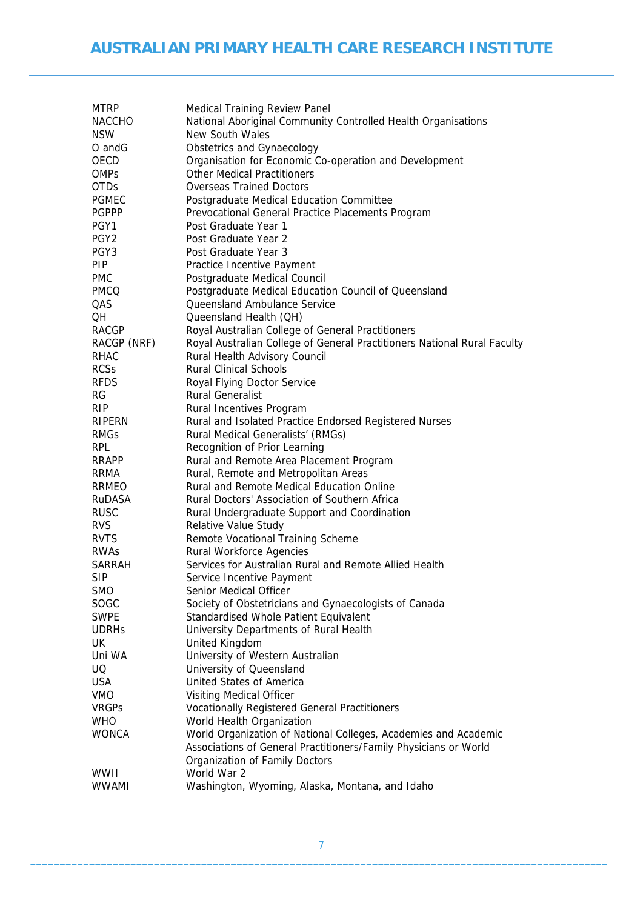| <b>MTRP</b>      | Medical Training Review Panel                                            |
|------------------|--------------------------------------------------------------------------|
| <b>NACCHO</b>    | National Aboriginal Community Controlled Health Organisations            |
| <b>NSW</b>       | <b>New South Wales</b>                                                   |
| O and G          | Obstetrics and Gynaecology                                               |
| OECD             | Organisation for Economic Co-operation and Development                   |
| <b>OMPs</b>      | <b>Other Medical Practitioners</b>                                       |
| <b>OTDs</b>      | <b>Overseas Trained Doctors</b>                                          |
| <b>PGMEC</b>     | Postgraduate Medical Education Committee                                 |
| <b>PGPPP</b>     | Prevocational General Practice Placements Program                        |
| PGY1             | Post Graduate Year 1                                                     |
| PGY <sub>2</sub> | Post Graduate Year 2                                                     |
| PGY3             | Post Graduate Year 3                                                     |
| PIP.             | Practice Incentive Payment                                               |
| <b>PMC</b>       | Postgraduate Medical Council                                             |
| <b>PMCQ</b>      | Postgraduate Medical Education Council of Queensland                     |
| QAS              | Queensland Ambulance Service                                             |
| QH               | Queensland Health (QH)                                                   |
| <b>RACGP</b>     | Royal Australian College of General Practitioners                        |
| RACGP (NRF)      | Royal Australian College of General Practitioners National Rural Faculty |
| <b>RHAC</b>      | Rural Health Advisory Council                                            |
| <b>RCSs</b>      | <b>Rural Clinical Schools</b>                                            |
| <b>RFDS</b>      | Royal Flying Doctor Service                                              |
| RG               | <b>Rural Generalist</b>                                                  |
| RIP.             | Rural Incentives Program                                                 |
| RIPERN           | Rural and Isolated Practice Endorsed Registered Nurses                   |
| <b>RMGs</b>      | Rural Medical Generalists' (RMGs)                                        |
| <b>RPL</b>       | Recognition of Prior Learning                                            |
| <b>RRAPP</b>     | Rural and Remote Area Placement Program                                  |
| <b>RRMA</b>      | Rural, Remote and Metropolitan Areas                                     |
| RRMEO            | Rural and Remote Medical Education Online                                |
| RuDASA           | Rural Doctors' Association of Southern Africa                            |
| <b>RUSC</b>      | Rural Undergraduate Support and Coordination                             |
| <b>RVS</b>       | Relative Value Study                                                     |
| <b>RVTS</b>      | Remote Vocational Training Scheme                                        |
| RWAS             | <b>Rural Workforce Agencies</b>                                          |
| <b>SARRAH</b>    | Services for Australian Rural and Remote Allied Health                   |
| SIP              | Service Incentive Payment                                                |
| <b>SMO</b>       | Senior Medical Officer                                                   |
| SOGC             | Society of Obstetricians and Gynaecologists of Canada                    |
| <b>SWPE</b>      | Standardised Whole Patient Equivalent                                    |
| <b>UDRHs</b>     | University Departments of Rural Health                                   |
| UK               | United Kingdom                                                           |
| Uni WA           | University of Western Australian                                         |
| UQ               | University of Queensland                                                 |
| <b>USA</b>       | United States of America                                                 |
| <b>VMO</b>       | <b>Visiting Medical Officer</b>                                          |
| <b>VRGPS</b>     | <b>Vocationally Registered General Practitioners</b>                     |
| <b>WHO</b>       | World Health Organization                                                |
| <b>WONCA</b>     | World Organization of National Colleges, Academies and Academic          |
|                  | Associations of General Practitioners/Family Physicians or World         |
|                  | Organization of Family Doctors                                           |
| WWII             | World War 2                                                              |
| <b>WWAMI</b>     | Washington, Wyoming, Alaska, Montana, and Idaho                          |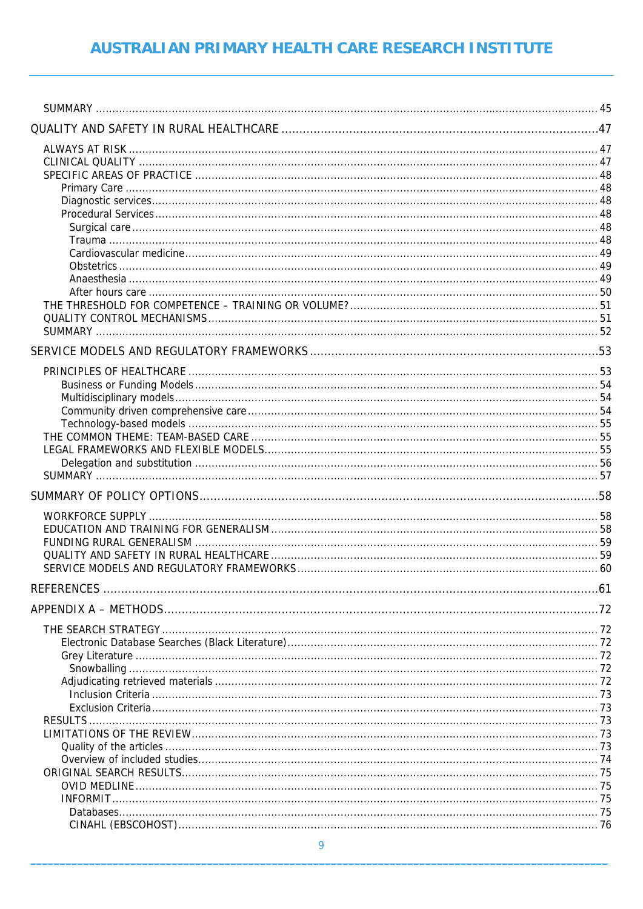| <b>REFERENCES</b> |  |
|-------------------|--|
|                   |  |
|                   |  |
|                   |  |
|                   |  |
|                   |  |
|                   |  |
|                   |  |
|                   |  |
|                   |  |
|                   |  |
|                   |  |
|                   |  |
|                   |  |
|                   |  |
|                   |  |
|                   |  |
|                   |  |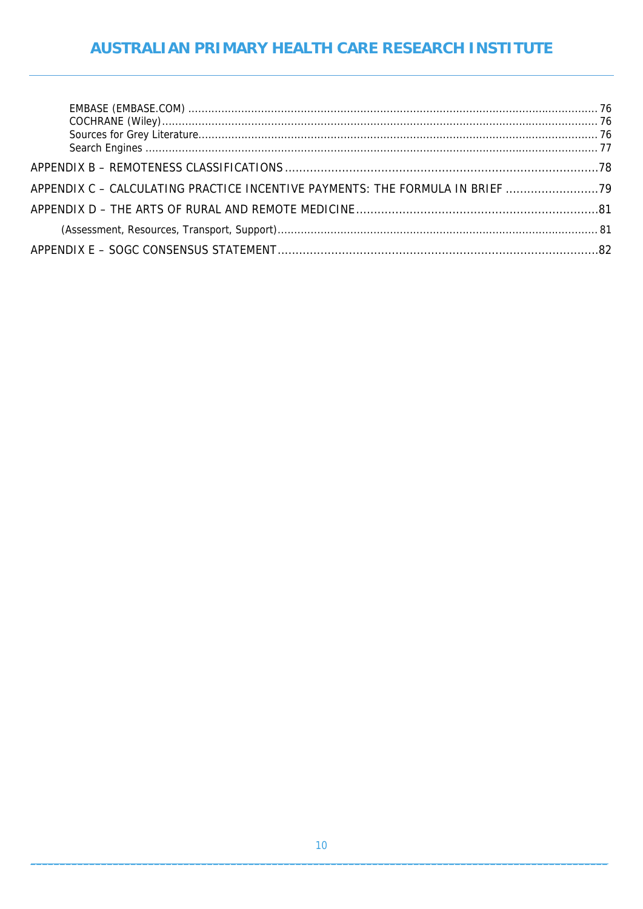### AUSTRALIAN PRIMARY HEALTH CARE RESEARCH INSTITUTE

| APPENDIX C - CALCULATING PRACTICE INCENTIVE PAYMENTS: THE FORMULA IN BRIEF |  |
|----------------------------------------------------------------------------|--|
|                                                                            |  |
|                                                                            |  |
|                                                                            |  |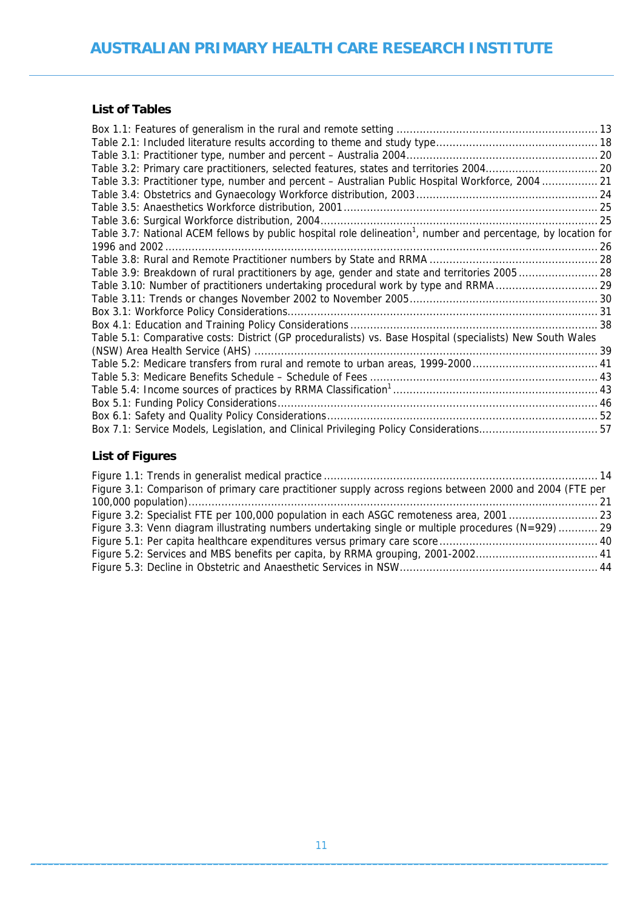### **List of Tables**

| Table 3.3: Practitioner type, number and percent – Australian Public Hospital Workforce, 2004  21                          |  |
|----------------------------------------------------------------------------------------------------------------------------|--|
|                                                                                                                            |  |
|                                                                                                                            |  |
|                                                                                                                            |  |
| Table 3.7: National ACEM fellows by public hospital role delineation <sup>1</sup> , number and percentage, by location for |  |
|                                                                                                                            |  |
|                                                                                                                            |  |
| Table 3.9: Breakdown of rural practitioners by age, gender and state and territories 2005 28                               |  |
| Table 3.10: Number of practitioners undertaking procedural work by type and RRMA29                                         |  |
|                                                                                                                            |  |
|                                                                                                                            |  |
|                                                                                                                            |  |
| Table 5.1: Comparative costs: District (GP proceduralists) vs. Base Hospital (specialists) New South Wales                 |  |
|                                                                                                                            |  |
|                                                                                                                            |  |
|                                                                                                                            |  |
|                                                                                                                            |  |
|                                                                                                                            |  |
|                                                                                                                            |  |
| Box 7.1: Service Models, Legislation, and Clinical Privileging Policy Considerations57                                     |  |

### **List of Figures**

| Figure 3.1: Comparison of primary care practitioner supply across regions between 2000 and 2004 (FTE per |  |
|----------------------------------------------------------------------------------------------------------|--|
|                                                                                                          |  |
| Figure 3.2: Specialist FTE per 100,000 population in each ASGC remoteness area, 200123                   |  |
| Figure 3.3: Venn diagram illustrating numbers undertaking single or multiple procedures (N=929)  29      |  |
|                                                                                                          |  |
|                                                                                                          |  |
|                                                                                                          |  |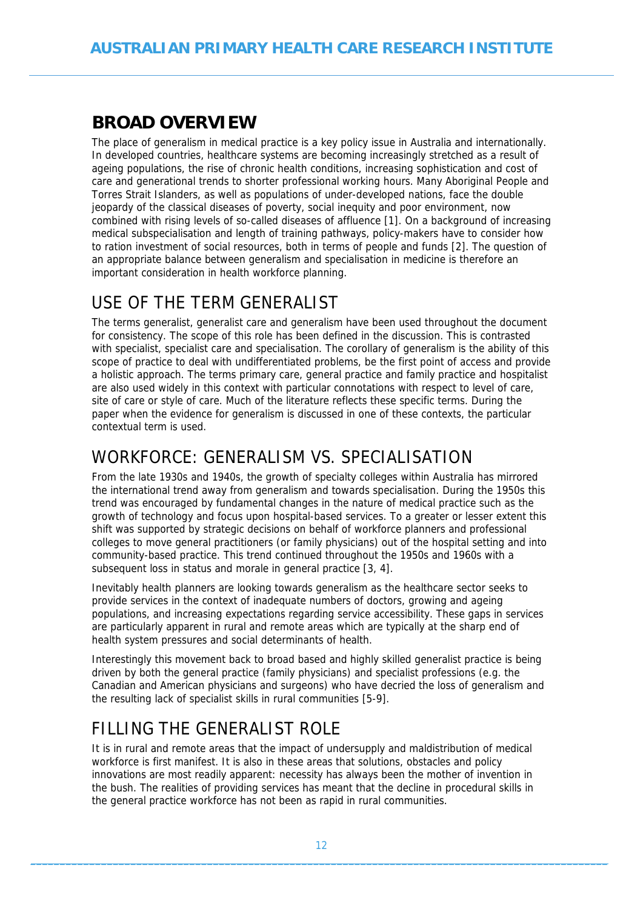# <span id="page-11-1"></span><span id="page-11-0"></span>**BROAD OVERVIEW**

The place of generalism in medical practice is a key policy issue in Australia and internationally. In developed countries, healthcare systems are becoming increasingly stretched as a result of ageing populations, the rise of chronic health conditions, increasing sophistication and cost of care and generational trends to shorter professional working hours. Many Aboriginal People and Torres Strait Islanders, as well as populations of under-developed nations, face the double jeopardy of the classical diseases of poverty, social inequity and poor environment, now combined with rising levels of so-called diseases of affluence [1]. On a background of increasing medical subspecialisation and length of training pathways, policy-makers have to consider how to ration investment of social resources, both in terms of people and funds [2]. The question of an appropriate balance between generalism and specialisation in medicine is therefore an important consideration in health workforce planning.

## <span id="page-11-2"></span>USE OF THE TERM GENERALIST

The terms generalist, generalist care and generalism have been used throughout the document for consistency. The scope of this role has been defined in the discussion. This is contrasted with specialist, specialist care and specialisation. The corollary of generalism is the ability of this scope of practice to deal with undifferentiated problems, be the first point of access and provide a holistic approach. The terms primary care, general practice and family practice and hospitalist are also used widely in this context with particular connotations with respect to level of care, site of care or style of care. Much of the literature reflects these specific terms. During the paper when the evidence for generalism is discussed in one of these contexts, the particular contextual term is used.

## <span id="page-11-3"></span>WORKFORCE: GENERALISM VS. SPECIALISATION

From the late 1930s and 1940s, the growth of specialty colleges within Australia has mirrored the international trend away from generalism and towards specialisation. During the 1950s this trend was encouraged by fundamental changes in the nature of medical practice such as the growth of technology and focus upon hospital-based services. To a greater or lesser extent this shift was supported by strategic decisions on behalf of workforce planners and professional colleges to move general practitioners (or family physicians) out of the hospital setting and into community-based practice. This trend continued throughout the 1950s and 1960s with a subsequent loss in status and morale in general practice [3, 4].

Inevitably health planners are looking towards generalism as the healthcare sector seeks to provide services in the context of inadequate numbers of doctors, growing and ageing populations, and increasing expectations regarding service accessibility. These gaps in services are particularly apparent in rural and remote areas which are typically at the sharp end of health system pressures and social determinants of health.

Interestingly this movement back to broad based and highly skilled generalist practice is being driven by both the general practice (family physicians) and specialist professions (e.g. the Canadian and American physicians and surgeons) who have decried the loss of generalism and the resulting lack of specialist skills in rural communities [5-9].

# <span id="page-11-4"></span>FILLING THE GENERALIST ROLE

It is in rural and remote areas that the impact of undersupply and maldistribution of medical workforce is first manifest. It is also in these areas that solutions, obstacles and policy innovations are most readily apparent: necessity has always been the mother of invention in the bush. The realities of providing services has meant that the decline in procedural skills in the general practice workforce has not been as rapid in rural communities.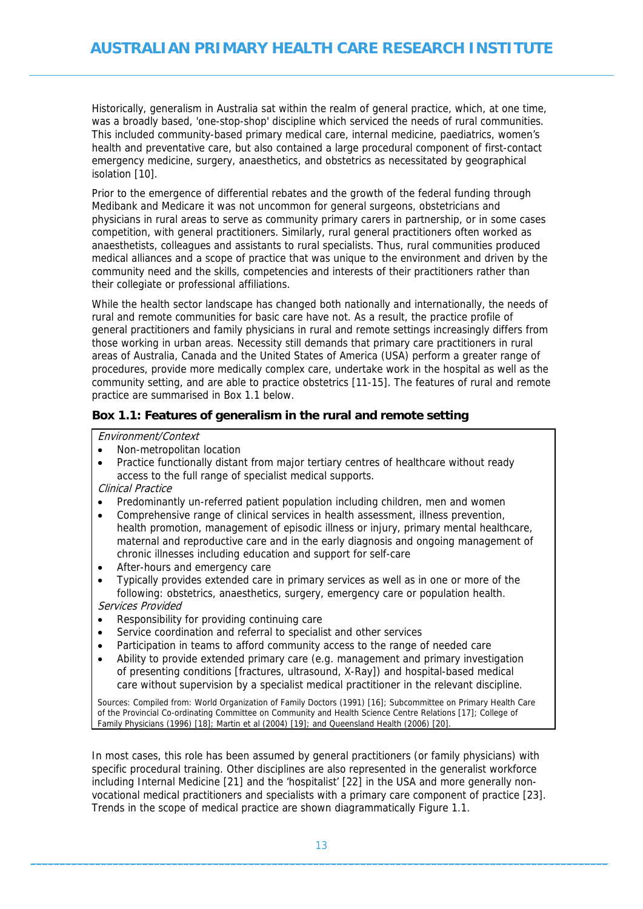<span id="page-12-0"></span>Historically, generalism in Australia sat within the realm of general practice, which, at one time, was a broadly based, 'one-stop-shop' discipline which serviced the needs of rural communities. This included community-based primary medical care, internal medicine, paediatrics, women's health and preventative care, but also contained a large procedural component of first-contact emergency medicine, surgery, anaesthetics, and obstetrics as necessitated by geographical isolation [10].

Prior to the emergence of differential rebates and the growth of the federal funding through Medibank and Medicare it was not uncommon for general surgeons, obstetricians and physicians in rural areas to serve as community primary carers in partnership, or in some cases competition, with general practitioners. Similarly, rural general practitioners often worked as anaesthetists, colleagues and assistants to rural specialists. Thus, rural communities produced medical alliances and a scope of practice that was unique to the environment and driven by the community need and the skills, competencies and interests of their practitioners rather than their collegiate or professional affiliations.

While the health sector landscape has changed both nationally and internationally, the needs of rural and remote communities for basic care have not. As a result, the practice profile of general practitioners and family physicians in rural and remote settings increasingly differs from those working in urban areas. Necessity still demands that primary care practitioners in rural areas of Australia, Canada and the United States of America (USA) perform a greater range of procedures, provide more medically complex care, undertake work in the hospital as well as the community setting, and are able to practice obstetrics [11-15]. The features of rural and remote practice are summarised in Box 1.1 below.

#### <span id="page-12-1"></span>**Box 1.1: Features of generalism in the rural and remote setting**

Environment/Context

- Non-metropolitan location
- Practice functionally distant from major tertiary centres of healthcare without ready access to the full range of specialist medical supports.

Clinical Practice

- Predominantly un-referred patient population including children, men and women
- Comprehensive range of clinical services in health assessment, illness prevention, health promotion, management of episodic illness or injury, primary mental healthcare, maternal and reproductive care and in the early diagnosis and ongoing management of chronic illnesses including education and support for self-care
- After-hours and emergency care
- Typically provides extended care in primary services as well as in one or more of the following: obstetrics, anaesthetics, surgery, emergency care or population health. Services Provided
- Responsibility for providing continuing care
- Service coordination and referral to specialist and other services
- Participation in teams to afford community access to the range of needed care
- Ability to provide extended primary care (e.g. management and primary investigation of presenting conditions [fractures, ultrasound, X-Ray]) and hospital-based medical care without supervision by a specialist medical practitioner in the relevant discipline.

Sources: Compiled from: World Organization of Family Doctors (1991) [16]; Subcommittee on Primary Health Care of the Provincial Co-ordinating Committee on Community and Health Science Centre Relations [17]; College of Family Physicians (1996) [18]; Martin et al (2004) [19]; and Queensland Health (2006) [20].

In most cases, this role has been assumed by general practitioners (or family physicians) with specific procedural training. Other disciplines are also represented in the generalist workforce including Internal Medicine [21] and the 'hospitalist' [22] in the USA and more generally nonvocational medical practitioners and specialists with a primary care component of practice [23]. Trends in the scope of medical practice are shown diagrammatically Figure 1.1.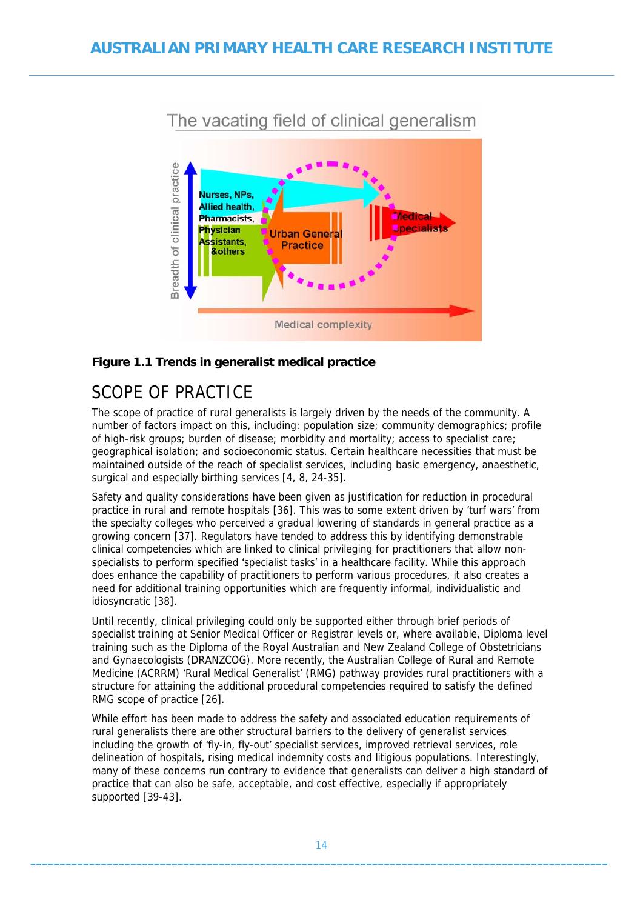<span id="page-13-0"></span>

#### <span id="page-13-2"></span>**Figure 1.1 Trends in generalist medical practice**

## <span id="page-13-1"></span>SCOPE OF PRACTICE

The scope of practice of rural generalists is largely driven by the needs of the community. A number of factors impact on this, including: population size; community demographics; profile of high-risk groups; burden of disease; morbidity and mortality; access to specialist care; geographical isolation; and socioeconomic status. Certain healthcare necessities that must be maintained outside of the reach of specialist services, including basic emergency, anaesthetic, surgical and especially birthing services [4, 8, 24-35].

Safety and quality considerations have been given as justification for reduction in procedural practice in rural and remote hospitals [36]. This was to some extent driven by 'turf wars' from the specialty colleges who perceived a gradual lowering of standards in general practice as a growing concern [37]. Regulators have tended to address this by identifying demonstrable clinical competencies which are linked to clinical privileging for practitioners that allow nonspecialists to perform specified 'specialist tasks' in a healthcare facility. While this approach does enhance the capability of practitioners to perform various procedures, it also creates a need for additional training opportunities which are frequently informal, individualistic and idiosyncratic [38].

Until recently, clinical privileging could only be supported either through brief periods of specialist training at Senior Medical Officer or Registrar levels or, where available, Diploma level training such as the Diploma of the Royal Australian and New Zealand College of Obstetricians and Gynaecologists (DRANZCOG). More recently, the Australian College of Rural and Remote Medicine (ACRRM) 'Rural Medical Generalist' (RMG) pathway provides rural practitioners with a structure for attaining the additional procedural competencies required to satisfy the defined RMG scope of practice [26].

While effort has been made to address the safety and associated education requirements of rural generalists there are other structural barriers to the delivery of generalist services including the growth of 'fly-in, fly-out' specialist services, improved retrieval services, role delineation of hospitals, rising medical indemnity costs and litigious populations. Interestingly, many of these concerns run contrary to evidence that generalists can deliver a high standard of practice that can also be safe, acceptable, and cost effective, especially if appropriately supported [39-43].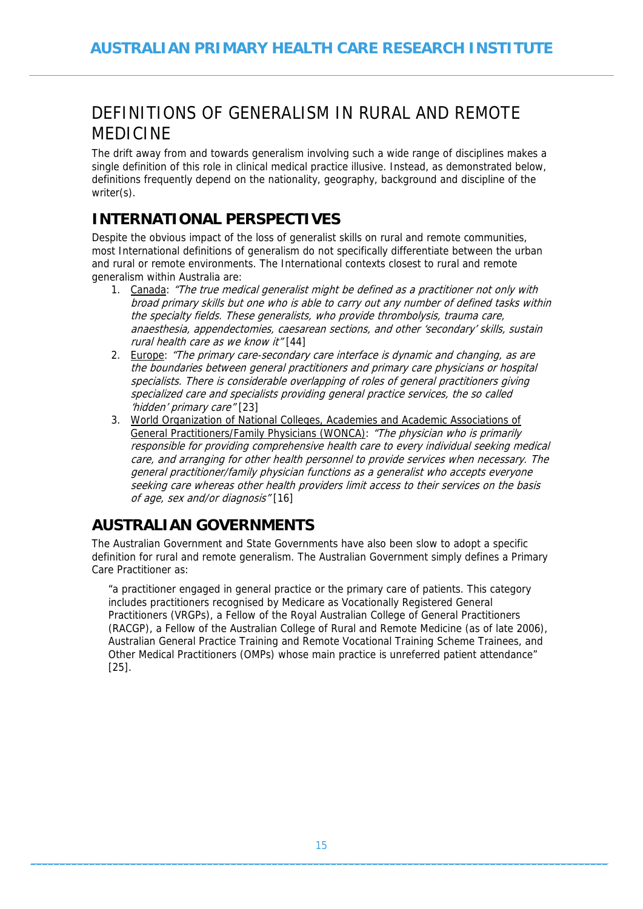# <span id="page-14-1"></span><span id="page-14-0"></span>DEFINITIONS OF GENERALISM IN RURAL AND REMOTE MEDICINE

The drift away from and towards generalism involving such a wide range of disciplines makes a single definition of this role in clinical medical practice illusive. Instead, as demonstrated below, definitions frequently depend on the nationality, geography, background and discipline of the writer(s).

## **INTERNATIONAL PERSPECTIVES**

<span id="page-14-2"></span>Despite the obvious impact of the loss of generalist skills on rural and remote communities, most International definitions of generalism do not specifically differentiate between the urban and rural or remote environments. The International contexts closest to rural and remote generalism within Australia are:

- 1. Canada: "The true medical generalist might be defined as a practitioner not only with broad primary skills but one who is able to carry out any number of defined tasks within the specialty fields. These generalists, who provide thrombolysis, trauma care, anaesthesia, appendectomies, caesarean sections, and other 'secondary' skills, sustain rural health care as we know it" [44]
- 2. Europe: "The primary care-secondary care interface is dynamic and changing, as are the boundaries between general practitioners and primary care physicians or hospital specialists. There is considerable overlapping of roles of general practitioners giving specialized care and specialists providing general practice services, the so called 'hidden' primary care" [23]
- 3. World Organization of National Colleges, Academies and Academic Associations of General Practitioners/Family Physicians (WONCA): "The physician who is primarily responsible for providing comprehensive health care to every individual seeking medical care, and arranging for other health personnel to provide services when necessary. The general practitioner/family physician functions as a generalist who accepts everyone seeking care whereas other health providers limit access to their services on the basis of age, sex and/or diagnosis" [16]

## <span id="page-14-3"></span>**AUSTRALIAN GOVERNMENTS**

The Australian Government and State Governments have also been slow to adopt a specific definition for rural and remote generalism. The Australian Government simply defines a Primary Care Practitioner as:

"a practitioner engaged in general practice or the primary care of patients. This category includes practitioners recognised by Medicare as Vocationally Registered General Practitioners (VRGPs), a Fellow of the Royal Australian College of General Practitioners (RACGP), a Fellow of the Australian College of Rural and Remote Medicine (as of late 2006), Australian General Practice Training and Remote Vocational Training Scheme Trainees, and Other Medical Practitioners (OMPs) whose main practice is unreferred patient attendance" [25].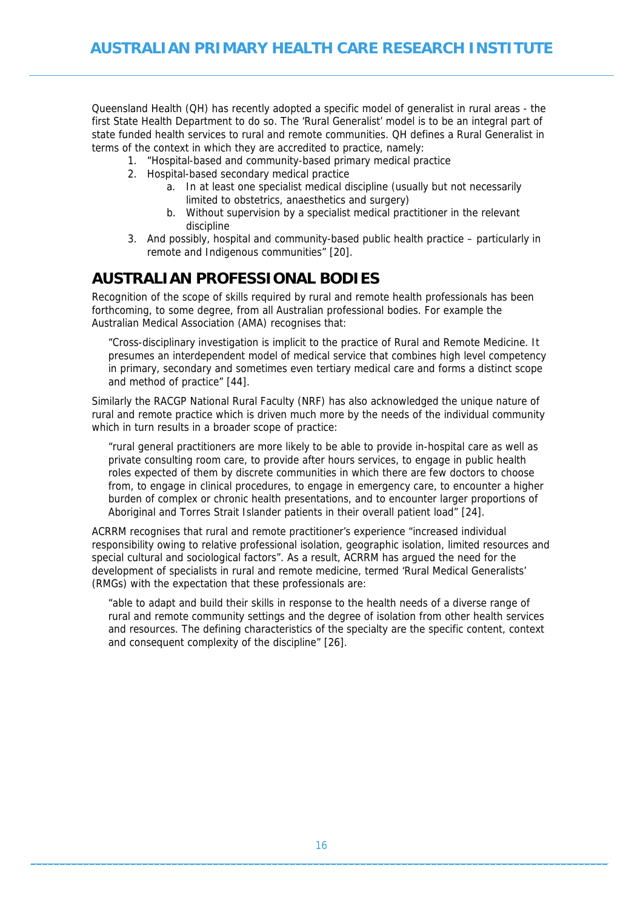<span id="page-15-0"></span>Queensland Health (QH) has recently adopted a specific model of generalist in rural areas - the first State Health Department to do so. The 'Rural Generalist' model is to be an integral part of state funded health services to rural and remote communities. QH defines a Rural Generalist in terms of the context in which they are accredited to practice, namely:

- 1. "Hospital-based and community-based primary medical practice
- 2. Hospital-based secondary medical practice
	- a. In at least one specialist medical discipline (usually but not necessarily limited to obstetrics, anaesthetics and surgery)
	- b. Without supervision by a specialist medical practitioner in the relevant discipline
- 3. And possibly, hospital and community-based public health practice particularly in remote and Indigenous communities" [20].

## <span id="page-15-1"></span>**AUSTRALIAN PROFESSIONAL BODIES**

Recognition of the scope of skills required by rural and remote health professionals has been forthcoming, to some degree, from all Australian professional bodies. For example the Australian Medical Association (AMA) recognises that:

"Cross-disciplinary investigation is implicit to the practice of Rural and Remote Medicine. It presumes an interdependent model of medical service that combines high level competency in primary, secondary and sometimes even tertiary medical care and forms a distinct scope and method of practice" [44].

Similarly the RACGP National Rural Faculty (NRF) has also acknowledged the unique nature of rural and remote practice which is driven much more by the needs of the individual community which in turn results in a broader scope of practice:

"rural general practitioners are more likely to be able to provide in-hospital care as well as private consulting room care, to provide after hours services, to engage in public health roles expected of them by discrete communities in which there are few doctors to choose from, to engage in clinical procedures, to engage in emergency care, to encounter a higher burden of complex or chronic health presentations, and to encounter larger proportions of Aboriginal and Torres Strait Islander patients in their overall patient load" [24].

ACRRM recognises that rural and remote practitioner's experience "increased individual responsibility owing to relative professional isolation, geographic isolation, limited resources and special cultural and sociological factors". As a result, ACRRM has argued the need for the development of specialists in rural and remote medicine, termed 'Rural Medical Generalists' (RMGs) with the expectation that these professionals are:

"able to adapt and build their skills in response to the health needs of a diverse range of rural and remote community settings and the degree of isolation from other health services and resources. The defining characteristics of the specialty are the specific content, context and consequent complexity of the discipline" [26].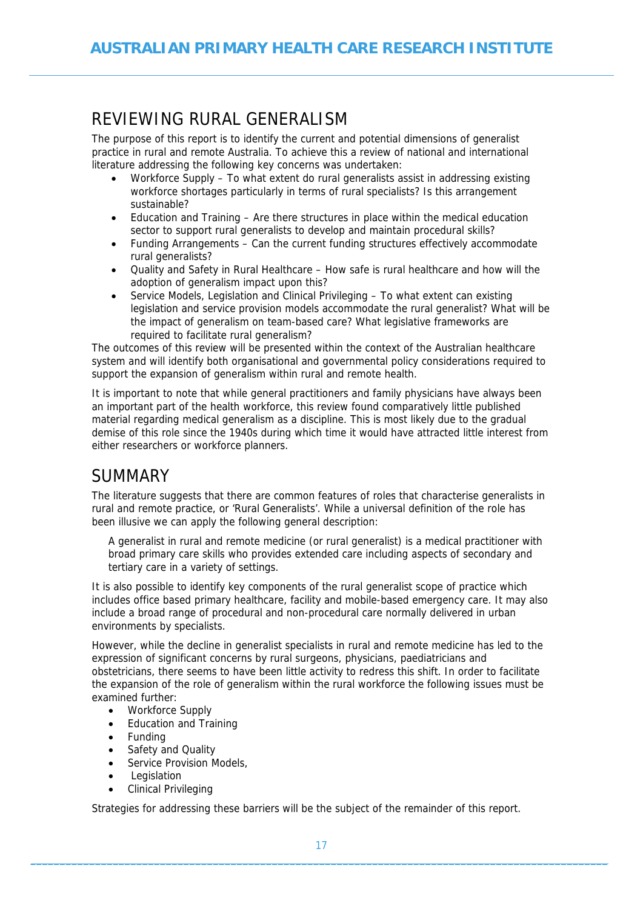# <span id="page-16-1"></span><span id="page-16-0"></span>REVIEWING RURAL GENERALISM

The purpose of this report is to identify the current and potential dimensions of generalist practice in rural and remote Australia. To achieve this a review of national and international literature addressing the following key concerns was undertaken:

- Workforce Supply To what extent do rural generalists assist in addressing existing workforce shortages particularly in terms of rural specialists? Is this arrangement sustainable?
- Education and Training Are there structures in place within the medical education sector to support rural generalists to develop and maintain procedural skills?
- Funding Arrangements Can the current funding structures effectively accommodate rural generalists?
- Quality and Safety in Rural Healthcare How safe is rural healthcare and how will the adoption of generalism impact upon this?
- Service Models, Legislation and Clinical Privileging To what extent can existing legislation and service provision models accommodate the rural generalist? What will be the impact of generalism on team-based care? What legislative frameworks are required to facilitate rural generalism?

The outcomes of this review will be presented within the context of the Australian healthcare system and will identify both organisational and governmental policy considerations required to support the expansion of generalism within rural and remote health.

It is important to note that while general practitioners and family physicians have always been an important part of the health workforce, this review found comparatively little published material regarding medical generalism as a discipline. This is most likely due to the gradual demise of this role since the 1940s during which time it would have attracted little interest from either researchers or workforce planners.

## <span id="page-16-2"></span>**SUMMARY**

The literature suggests that there are common features of roles that characterise generalists in rural and remote practice, or 'Rural Generalists'. While a universal definition of the role has been illusive we can apply the following general description:

A generalist in rural and remote medicine (or rural generalist) is a medical practitioner with broad primary care skills who provides extended care including aspects of secondary and tertiary care in a variety of settings.

It is also possible to identify key components of the rural generalist scope of practice which includes office based primary healthcare, facility and mobile-based emergency care. It may also include a broad range of procedural and non-procedural care normally delivered in urban environments by specialists.

However, while the decline in generalist specialists in rural and remote medicine has led to the expression of significant concerns by rural surgeons, physicians, paediatricians and obstetricians, there seems to have been little activity to redress this shift. In order to facilitate the expansion of the role of generalism within the rural workforce the following issues must be examined further:

- Workforce Supply
- Education and Training
- Funding
- Safety and Quality
- Service Provision Models.
- Legislation
- Clinical Privileging

Strategies for addressing these barriers will be the subject of the remainder of this report.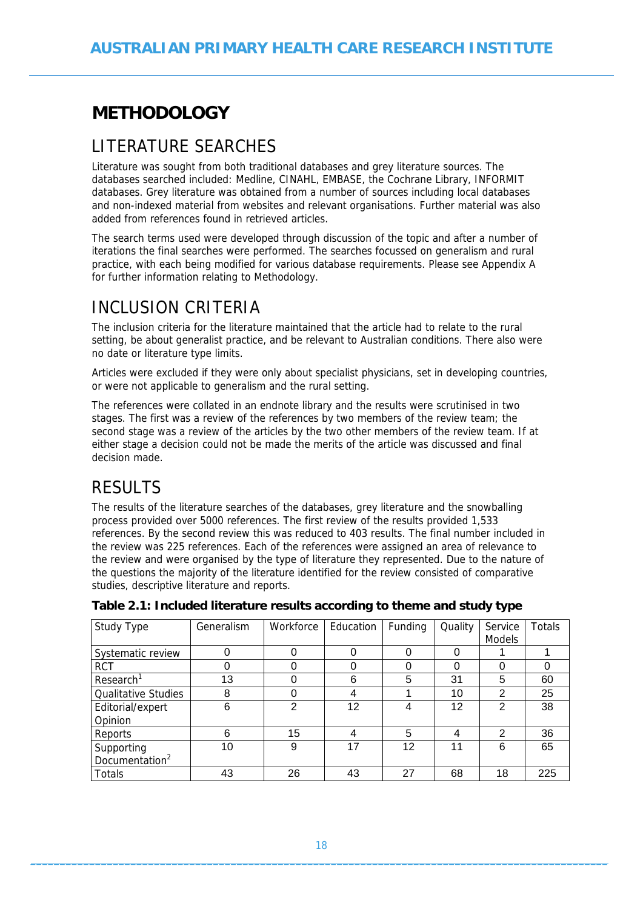# <span id="page-17-1"></span><span id="page-17-0"></span>**METHODOLOGY**

# <span id="page-17-2"></span>LITERATURE SEARCHES

Literature was sought from both traditional databases and grey literature sources. The databases searched included: Medline, CINAHL, EMBASE, the Cochrane Library, INFORMIT databases. Grey literature was obtained from a number of sources including local databases and non-indexed material from websites and relevant organisations. Further material was also added from references found in retrieved articles.

The search terms used were developed through discussion of the topic and after a number of iterations the final searches were performed. The searches focussed on generalism and rural practice, with each being modified for various database requirements. Please see Appendix A for further information relating to Methodology.

# <span id="page-17-3"></span>INCLUSION CRITERIA

The inclusion criteria for the literature maintained that the article had to relate to the rural setting, be about generalist practice, and be relevant to Australian conditions. There also were no date or literature type limits.

Articles were excluded if they were only about specialist physicians, set in developing countries, or were not applicable to generalism and the rural setting.

The references were collated in an endnote library and the results were scrutinised in two stages. The first was a review of the references by two members of the review team; the second stage was a review of the articles by the two other members of the review team. If at either stage a decision could not be made the merits of the article was discussed and final decision made.

# <span id="page-17-4"></span>**RESULTS**

The results of the literature searches of the databases, grey literature and the snowballing process provided over 5000 references. The first review of the results provided 1,533 references. By the second review this was reduced to 403 results. The final number included in the review was 225 references. Each of the references were assigned an area of relevance to the review and were organised by the type of literature they represented. Due to the nature of the questions the majority of the literature identified for the review consisted of comparative studies, descriptive literature and reports.

| Study Type                 | Generalism | Workforce     | Education | Funding           | Quality | Service        | <b>Totals</b> |
|----------------------------|------------|---------------|-----------|-------------------|---------|----------------|---------------|
|                            |            |               |           |                   |         | <b>Models</b>  |               |
| Systematic review          |            |               |           | 0                 | 0       |                |               |
| <b>RCT</b>                 |            |               |           | 0                 | 0       | 0              |               |
| Research <sup>1</sup>      | 13         |               | 6         | 5                 | 31      | 5              | 60            |
| <b>Qualitative Studies</b> | 8          |               | 4         |                   | 10      | $\overline{2}$ | 25            |
| Editorial/expert           | 6          | $\mathcal{P}$ | 12        | 4                 | 12      | $\overline{2}$ | 38            |
| Opinion                    |            |               |           |                   |         |                |               |
| Reports                    | 6          | 15            | 4         | 5                 | 4       | $\mathcal{P}$  | 36            |
| Supporting                 | 10         | 9             | 17        | $12 \overline{ }$ | 11      | 6              | 65            |
| Documentation <sup>2</sup> |            |               |           |                   |         |                |               |
| Totals                     | 43         | 26            | 43        | 27                | 68      | 18             | 225           |

<span id="page-17-5"></span>**Table 2.1: Included literature results according to theme and study type**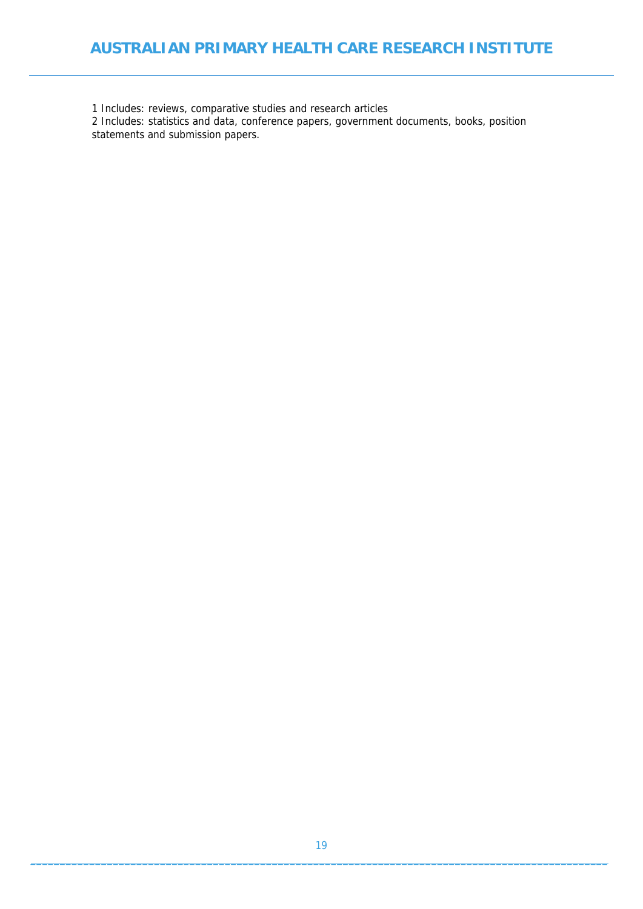### **AUSTRALIAN PRIMARY HEALTH CARE RESEARCH INSTITUTE**

1 Includes: reviews, comparative studies and research articles

2 Includes: statistics and data, conference papers, government documents, books, position statements and submission papers.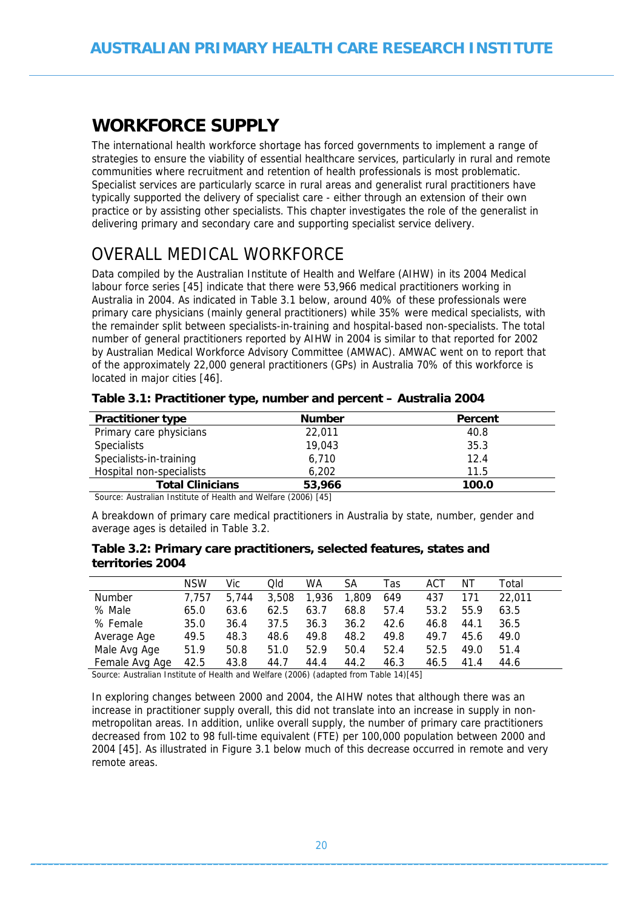# <span id="page-19-1"></span><span id="page-19-0"></span>**WORKFORCE SUPPLY**

The international health workforce shortage has forced governments to implement a range of strategies to ensure the viability of essential healthcare services, particularly in rural and remote communities where recruitment and retention of health professionals is most problematic. Specialist services are particularly scarce in rural areas and generalist rural practitioners have typically supported the delivery of specialist care - either through an extension of their own practice or by assisting other specialists. This chapter investigates the role of the generalist in delivering primary and secondary care and supporting specialist service delivery.

# <span id="page-19-2"></span>OVERALL MEDICAL WORKFORCE

Data compiled by the Australian Institute of Health and Welfare (AIHW) in its 2004 Medical labour force series [45] indicate that there were 53,966 medical practitioners working in Australia in 2004. As indicated in Table 3.1 below, around 40% of these professionals were primary care physicians (mainly general practitioners) while 35% were medical specialists, with the remainder split between specialists-in-training and hospital-based non-specialists. The total number of general practitioners reported by AIHW in 2004 is similar to that reported for 2002 by Australian Medical Workforce Advisory Committee (AMWAC). AMWAC went on to report that of the approximately 22,000 general practitioners (GPs) in Australia 70% of this workforce is located in major cities [46].

<span id="page-19-3"></span>

| <b>Practitioner type</b> | <b>Number</b> | Percent |
|--------------------------|---------------|---------|
| Primary care physicians  | 22,011        | 40.8    |
| <b>Specialists</b>       | 19,043        | 35.3    |
| Specialists-in-training  | 6,710         | 12.4    |
| Hospital non-specialists | 6.202         | 11.5    |
| <b>Total Clinicians</b>  | 53,966        | 100.0   |

| Table 3.1: Practitioner type, number and percent – Australia 2004 |  |  |
|-------------------------------------------------------------------|--|--|
|                                                                   |  |  |

Source: Australian Institute of Health and Welfare (2006) [45]

A breakdown of primary care medical practitioners in Australia by state, number, gender and average ages is detailed in Table 3.2.

#### <span id="page-19-4"></span>**Table 3.2: Primary care practitioners, selected features, states and territories 2004**

|                | NSW   | Vic   | Qld   | WA    | SА    | Tas  | ACT  | NΤ   | Total  |
|----------------|-------|-------|-------|-------|-------|------|------|------|--------|
| <b>Number</b>  | 7.757 | 5.744 | 3.508 | 1,936 | 1.809 | 649  | 437  | 171  | 22.011 |
| % Male         | 65.0  | 63.6  | 62.5  | 63.7  | 68.8  | 57.4 | 53.2 | 55.9 | 63.5   |
| % Female       | 35.0  | 36.4  | 37.5  | 36.3  | 36.2  | 42.6 | 46.8 | 44.1 | 36.5   |
| Average Age    | 49.5  | 48.3  | 48.6  | 49.8  | 48.2  | 49.8 | 49.7 | 45.6 | 49.0   |
| Male Avg Age   | 51.9  | 50.8  | 51.0  | 52.9  | 50.4  | 52.4 | 52.5 | 49.0 | 51.4   |
| Female Avg Age | 42.5  | 43.8  | 44.7  | 44.4  | 44.2  | 46.3 | 46.5 | 41.4 | 44.6   |

Source: Australian Institute of Health and Welfare (2006) (adapted from Table 14)[45]

In exploring changes between 2000 and 2004, the AIHW notes that although there was an increase in practitioner supply overall, this did not translate into an increase in supply in nonmetropolitan areas. In addition, unlike overall supply, the number of primary care practitioners decreased from 102 to 98 full-time equivalent (FTE) per 100,000 population between 2000 and 2004 [45]. As illustrated in Figure 3.1 below much of this decrease occurred in remote and very remote areas.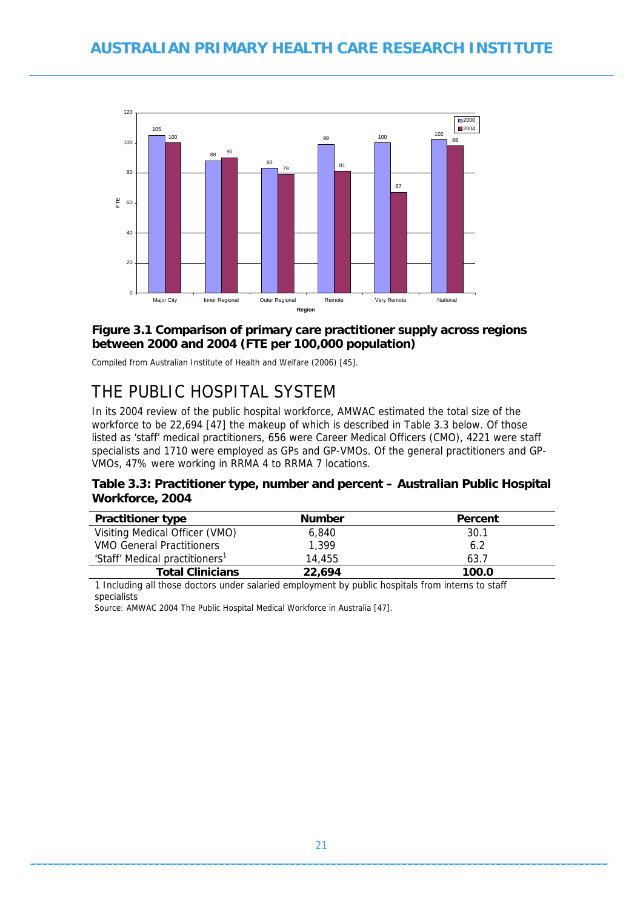<span id="page-20-0"></span>

#### <span id="page-20-3"></span>**Figure 3.1 Comparison of primary care practitioner supply across regions between 2000 and 2004 (FTE per 100,000 population)**

Compiled from Australian Institute of Health and Welfare (2006) [45].

# <span id="page-20-1"></span>THE PUBLIC HOSPITAL SYSTEM

In its 2004 review of the public hospital workforce, AMWAC estimated the total size of the workforce to be 22,694 [47] the makeup of which is described in Table 3.3 below. Of those listed as 'staff' medical practitioners, 656 were Career Medical Officers (CMO), 4221 were staff specialists and 1710 were employed as GPs and GP-VMOs. Of the general practitioners and GP-VMOs, 47% were working in RRMA 4 to RRMA 7 locations.

#### <span id="page-20-2"></span>**Table 3.3: Practitioner type, number and percent – Australian Public Hospital Workforce, 2004**

| <b>Practitioner type</b>                   | <b>Number</b> | Percent |
|--------------------------------------------|---------------|---------|
| Visiting Medical Officer (VMO)             | 6.840         | 30.1    |
| <b>VMO General Practitioners</b>           | 1.399         | 6.2     |
| 'Staff' Medical practitioners <sup>1</sup> | 14.455        | 63.7    |
| <b>Total Clinicians</b>                    | 22,694        | 100.0   |

1 Including all those doctors under salaried employment by public hospitals from interns to staff specialists

Source: AMWAC 2004 The Public Hospital Medical Workforce in Australia [47].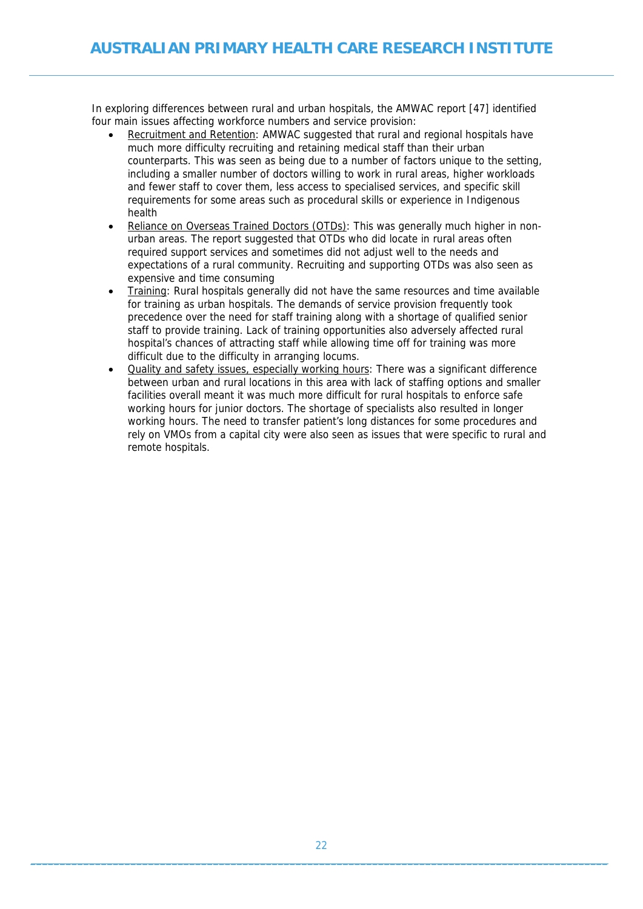In exploring differences between rural and urban hospitals, the AMWAC report [47] identified four main issues affecting workforce numbers and service provision:

- Recruitment and Retention: AMWAC suggested that rural and regional hospitals have much more difficulty recruiting and retaining medical staff than their urban counterparts. This was seen as being due to a number of factors unique to the setting, including a smaller number of doctors willing to work in rural areas, higher workloads and fewer staff to cover them, less access to specialised services, and specific skill requirements for some areas such as procedural skills or experience in Indigenous health
- Reliance on Overseas Trained Doctors (OTDs): This was generally much higher in nonurban areas. The report suggested that OTDs who did locate in rural areas often required support services and sometimes did not adjust well to the needs and expectations of a rural community. Recruiting and supporting OTDs was also seen as expensive and time consuming
- Training: Rural hospitals generally did not have the same resources and time available for training as urban hospitals. The demands of service provision frequently took precedence over the need for staff training along with a shortage of qualified senior staff to provide training. Lack of training opportunities also adversely affected rural hospital's chances of attracting staff while allowing time off for training was more difficult due to the difficulty in arranging locums.
- Quality and safety issues, especially working hours: There was a significant difference between urban and rural locations in this area with lack of staffing options and smaller facilities overall meant it was much more difficult for rural hospitals to enforce safe working hours for junior doctors. The shortage of specialists also resulted in longer working hours. The need to transfer patient's long distances for some procedures and rely on VMOs from a capital city were also seen as issues that were specific to rural and remote hospitals.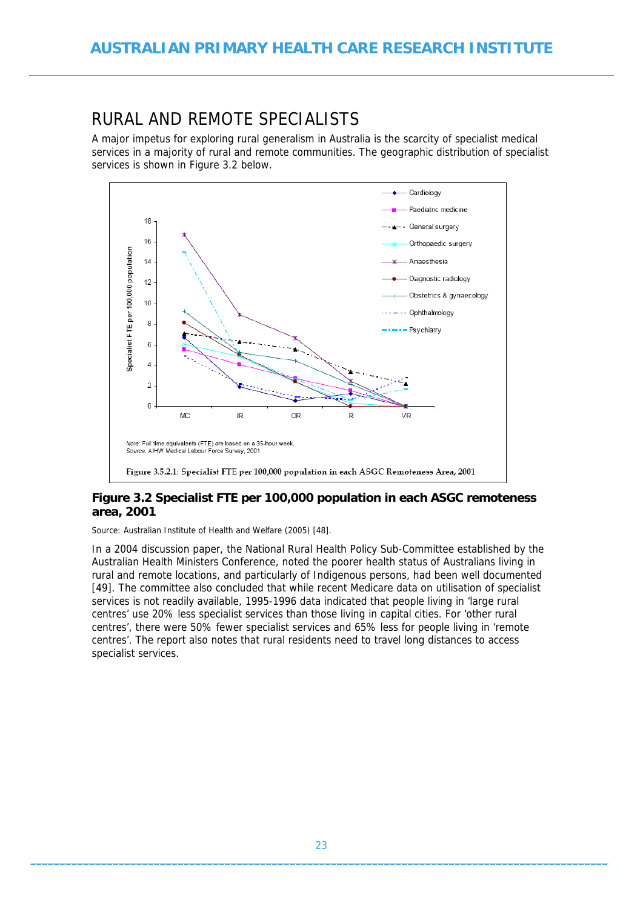# <span id="page-22-1"></span><span id="page-22-0"></span>RURAL AND REMOTE SPECIALISTS

A major impetus for exploring rural generalism in Australia is the scarcity of specialist medical services in a majority of rural and remote communities. The geographic distribution of specialist services is shown in Figure 3.2 below.



### <span id="page-22-2"></span>**Figure 3.2 Specialist FTE per 100,000 population in each ASGC remoteness area, 2001**

Source: Australian Institute of Health and Welfare (2005) [48].

In a 2004 discussion paper, the National Rural Health Policy Sub-Committee established by the Australian Health Ministers Conference, noted the poorer health status of Australians living in rural and remote locations, and particularly of Indigenous persons, had been well documented [49]. The committee also concluded that while recent Medicare data on utilisation of specialist services is not readily available, 1995-1996 data indicated that people living in 'large rural centres' use 20% less specialist services than those living in capital cities. For 'other rural centres', there were 50% fewer specialist services and 65% less for people living in 'remote centres'. The report also notes that rural residents need to travel long distances to access specialist services.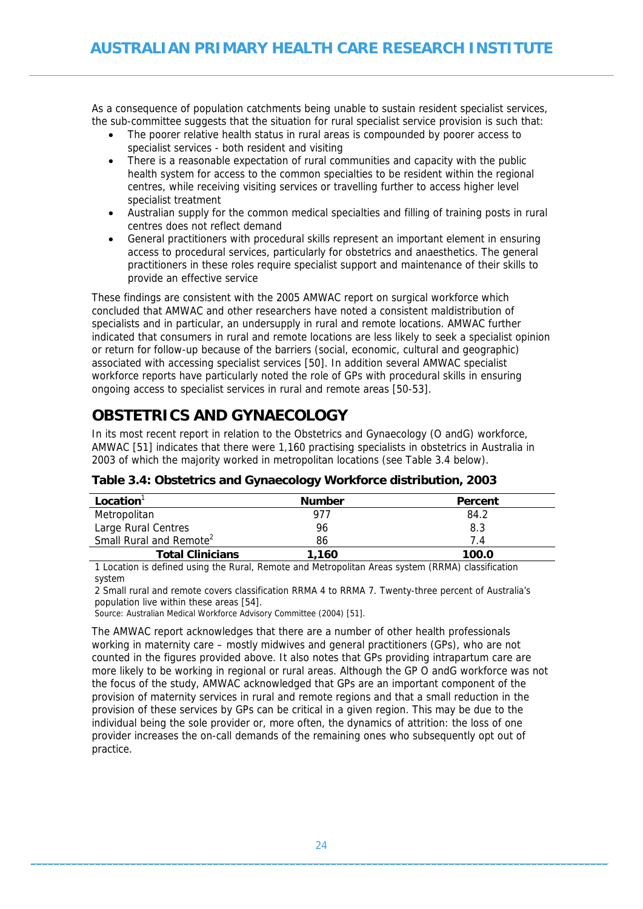<span id="page-23-0"></span>As a consequence of population catchments being unable to sustain resident specialist services, the sub-committee suggests that the situation for rural specialist service provision is such that:

- The poorer relative health status in rural areas is compounded by poorer access to specialist services - both resident and visiting
- There is a reasonable expectation of rural communities and capacity with the public health system for access to the common specialties to be resident within the regional centres, while receiving visiting services or travelling further to access higher level specialist treatment
- Australian supply for the common medical specialties and filling of training posts in rural centres does not reflect demand
- General practitioners with procedural skills represent an important element in ensuring access to procedural services, particularly for obstetrics and anaesthetics. The general practitioners in these roles require specialist support and maintenance of their skills to provide an effective service

These findings are consistent with the 2005 AMWAC report on surgical workforce which concluded that AMWAC and other researchers have noted a consistent maldistribution of specialists and in particular, an undersupply in rural and remote locations. AMWAC further indicated that consumers in rural and remote locations are less likely to seek a specialist opinion or return for follow-up because of the barriers (social, economic, cultural and geographic) associated with accessing specialist services [50]. In addition several AMWAC specialist workforce reports have particularly noted the role of GPs with procedural skills in ensuring ongoing access to specialist services in rural and remote areas [50-53].

## <span id="page-23-1"></span>**OBSTETRICS AND GYNAECOLOGY**

In its most recent report in relation to the Obstetrics and Gynaecology (O andG) workforce, AMWAC [51] indicates that there were 1,160 practising specialists in obstetrics in Australia in 2003 of which the majority worked in metropolitan locations (see Table 3.4 below).

<span id="page-23-2"></span>

| Location <sup>'</sup>               | <b>Number</b> | Percent |
|-------------------------------------|---------------|---------|
| Metropolitan                        | 977           | 84.2    |
| Large Rural Centres                 | 96            | 8.3     |
| Small Rural and Remote <sup>2</sup> | 86            | 74      |
| <b>Total Clinicians</b>             | 1.160         | 100.0   |

**Table 3.4: Obstetrics and Gynaecology Workforce distribution, 2003** 

1 Location is defined using the Rural, Remote and Metropolitan Areas system (RRMA) classification system

2 Small rural and remote covers classification RRMA 4 to RRMA 7. Twenty-three percent of Australia's population live within these areas [54].

Source: Australian Medical Workforce Advisory Committee (2004) [51].

The AMWAC report acknowledges that there are a number of other health professionals working in maternity care – mostly midwives and general practitioners (GPs), who are not counted in the figures provided above. It also notes that GPs providing intrapartum care are more likely to be working in regional or rural areas. Although the GP O andG workforce was not the focus of the study, AMWAC acknowledged that GPs are an important component of the provision of maternity services in rural and remote regions and that a small reduction in the provision of these services by GPs can be critical in a given region. This may be due to the individual being the sole provider or, more often, the dynamics of attrition: the loss of one provider increases the on-call demands of the remaining ones who subsequently opt out of practice.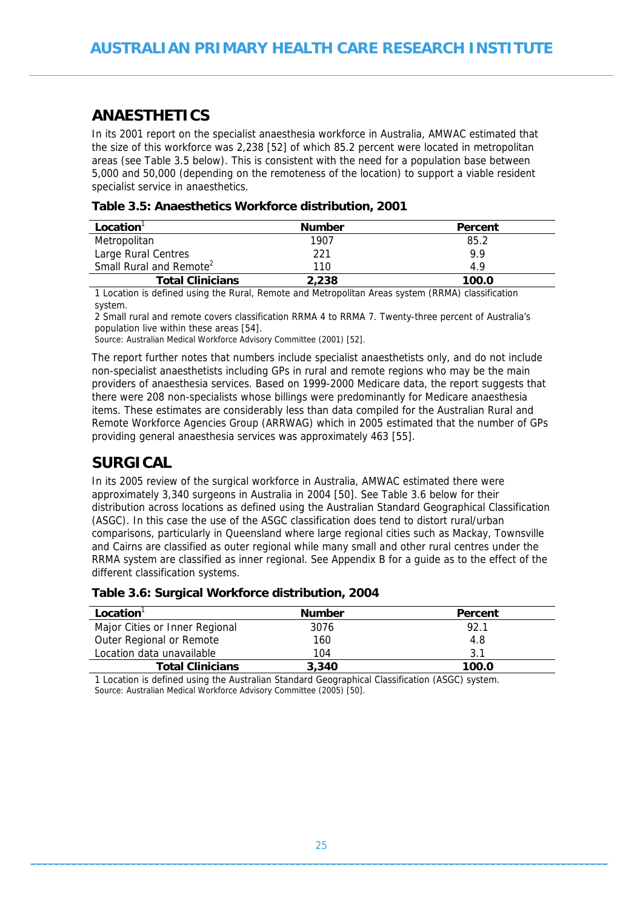### <span id="page-24-1"></span><span id="page-24-0"></span>**ANAESTHETICS**

In its 2001 report on the specialist anaesthesia workforce in Australia, AMWAC estimated that the size of this workforce was 2,238 [52] of which 85.2 percent were located in metropolitan areas (see Table 3.5 below). This is consistent with the need for a population base between 5,000 and 50,000 (depending on the remoteness of the location) to support a viable resident specialist service in anaesthetics.

<span id="page-24-3"></span>

| Location <sup>'</sup>               | <b>Number</b> | Percent |
|-------------------------------------|---------------|---------|
| Metropolitan                        | 1907          | 85.2    |
| Large Rural Centres                 | 221           | 9.9     |
| Small Rural and Remote <sup>2</sup> | 110           | 49      |
| <b>Total Clinicians</b>             | 2,238         | 100.0   |

**Table 3.5: Anaesthetics Workforce distribution, 2001** 

1 Location is defined using the Rural, Remote and Metropolitan Areas system (RRMA) classification system.

2 Small rural and remote covers classification RRMA 4 to RRMA 7. Twenty-three percent of Australia's population live within these areas [54].

Source: Australian Medical Workforce Advisory Committee (2001) [52].

The report further notes that numbers include specialist anaesthetists only, and do not include non-specialist anaesthetists including GPs in rural and remote regions who may be the main providers of anaesthesia services. Based on 1999-2000 Medicare data, the report suggests that there were 208 non-specialists whose billings were predominantly for Medicare anaesthesia items. These estimates are considerably less than data compiled for the Australian Rural and Remote Workforce Agencies Group (ARRWAG) which in 2005 estimated that the number of GPs providing general anaesthesia services was approximately 463 [55].

### <span id="page-24-2"></span>**SURGICAL**

In its 2005 review of the surgical workforce in Australia, AMWAC estimated there were approximately 3,340 surgeons in Australia in 2004 [50]. See Table 3.6 below for their distribution across locations as defined using the Australian Standard Geographical Classification (ASGC). In this case the use of the ASGC classification does tend to distort rural/urban comparisons, particularly in Queensland where large regional cities such as Mackay, Townsville and Cairns are classified as outer regional while many small and other rural centres under the RRMA system are classified as inner regional. See Appendix B for a guide as to the effect of the different classification systems.

|  |  |  | Table 3.6: Surgical Workforce distribution, 2004 |  |
|--|--|--|--------------------------------------------------|--|
|--|--|--|--------------------------------------------------|--|

<span id="page-24-4"></span>

| <b>Number</b> | Percent                                  |
|---------------|------------------------------------------|
| 3076          | 92.1                                     |
| 160           | 4.8                                      |
| 104           | 3.1                                      |
| 3.340         | 100.0                                    |
|               | $\cdots$ as a set to the set of $\cdots$ |

1 Location is defined using the Australian Standard Geographical Classification (ASGC) system. Source: Australian Medical Workforce Advisory Committee (2005) [50].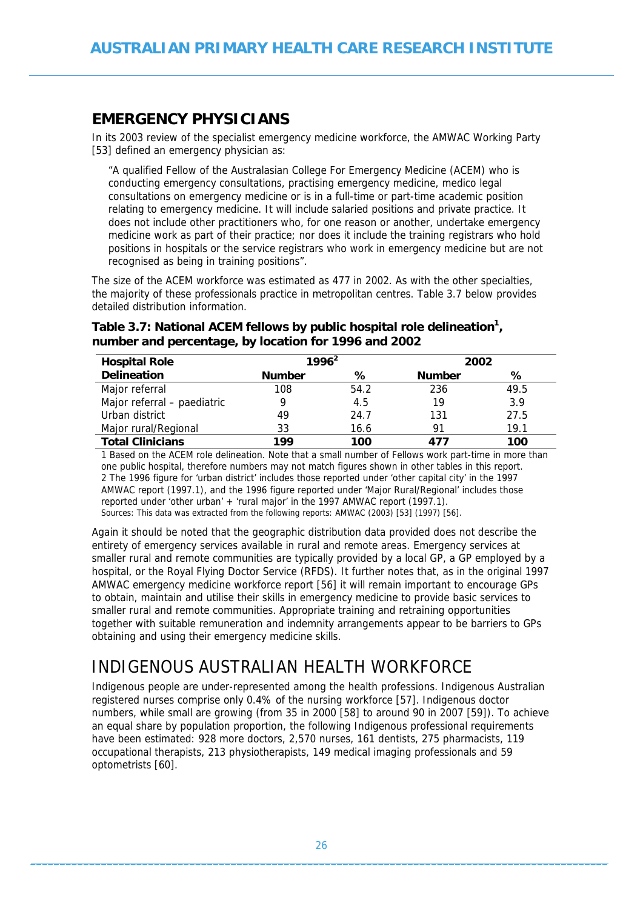### <span id="page-25-1"></span><span id="page-25-0"></span>**EMERGENCY PHYSICIANS**

In its 2003 review of the specialist emergency medicine workforce, the AMWAC Working Party [53] defined an emergency physician as:

"A qualified Fellow of the Australasian College For Emergency Medicine (ACEM) who is conducting emergency consultations, practising emergency medicine, medico legal consultations on emergency medicine or is in a full-time or part-time academic position relating to emergency medicine. It will include salaried positions and private practice. It does not include other practitioners who, for one reason or another, undertake emergency medicine work as part of their practice; nor does it include the training registrars who hold positions in hospitals or the service registrars who work in emergency medicine but are not recognised as being in training positions".

The size of the ACEM workforce was estimated as 477 in 2002. As with the other specialties, the majority of these professionals practice in metropolitan centres. Table 3.7 below provides detailed distribution information.

| <b>Hospital Role</b>        | $1996^2$      |      |               | 2002 |  |  |
|-----------------------------|---------------|------|---------------|------|--|--|
| <b>Delineation</b>          | <b>Number</b> | ℅    | <b>Number</b> | ℅    |  |  |
| Major referral              | 108           | 54.2 | 236           | 49.5 |  |  |
| Major referral - paediatric | Q             | 4.5  | 19            | 3.9  |  |  |
| Urban district              | 49            | 24.7 | 131           | 27.5 |  |  |
| Major rural/Regional        | 33            | 16.6 | 91            | 19.1 |  |  |
| <b>Total Clinicians</b>     | 199           | 100  | 477           | 100  |  |  |

### <span id="page-25-3"></span>Table 3.7: National ACEM fellows by public hospital role delineation<sup>1</sup>, **number and percentage, by location for 1996 and 2002**

1 Based on the ACEM role delineation. Note that a small number of Fellows work part-time in more than one public hospital, therefore numbers may not match figures shown in other tables in this report. 2 The 1996 figure for 'urban district' includes those reported under 'other capital city' in the 1997 AMWAC report (1997.1), and the 1996 figure reported under 'Major Rural/Regional' includes those reported under 'other urban' + 'rural major' in the 1997 AMWAC report (1997.1). Sources: This data was extracted from the following reports: AMWAC (2003) [53] (1997) [56].

Again it should be noted that the geographic distribution data provided does not describe the entirety of emergency services available in rural and remote areas. Emergency services at smaller rural and remote communities are typically provided by a local GP, a GP employed by a hospital, or the Royal Flying Doctor Service (RFDS). It further notes that, as in the original 1997 AMWAC emergency medicine workforce report [56] it will remain important to encourage GPs to obtain, maintain and utilise their skills in emergency medicine to provide basic services to smaller rural and remote communities. Appropriate training and retraining opportunities together with suitable remuneration and indemnity arrangements appear to be barriers to GPs obtaining and using their emergency medicine skills.

# <span id="page-25-2"></span>INDIGENOUS AUSTRALIAN HEALTH WORKFORCE

Indigenous people are under-represented among the health professions. Indigenous Australian registered nurses comprise only 0.4% of the nursing workforce [57]. Indigenous doctor numbers, while small are growing (from 35 in 2000 [58] to around 90 in 2007 [59]). To achieve an equal share by population proportion, the following Indigenous professional requirements have been estimated: 928 more doctors, 2,570 nurses, 161 dentists, 275 pharmacists, 119 occupational therapists, 213 physiotherapists, 149 medical imaging professionals and 59 optometrists [60].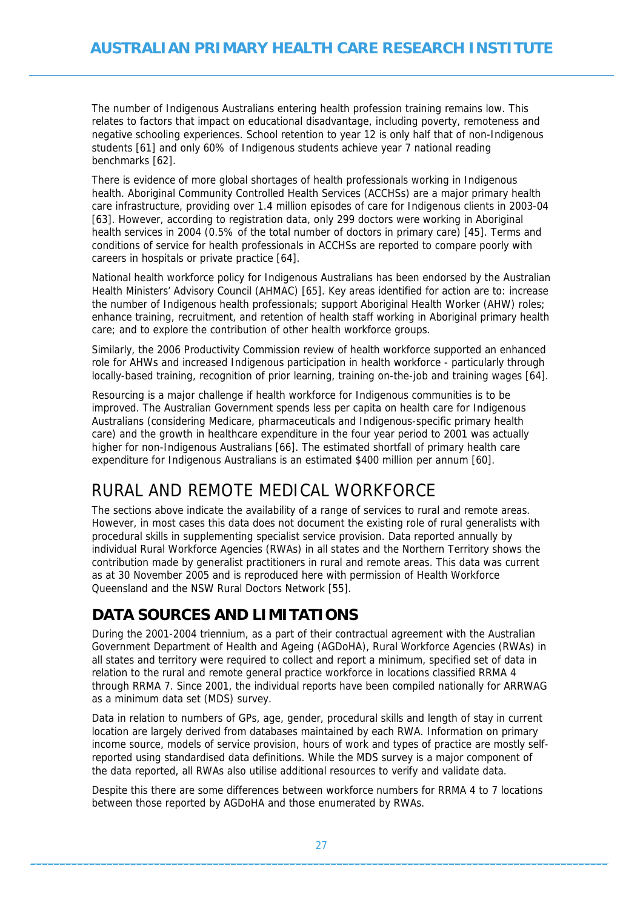<span id="page-26-0"></span>The number of Indigenous Australians entering health profession training remains low. This relates to factors that impact on educational disadvantage, including poverty, remoteness and negative schooling experiences. School retention to year 12 is only half that of non-Indigenous students [61] and only 60% of Indigenous students achieve year 7 national reading benchmarks [62].

There is evidence of more global shortages of health professionals working in Indigenous health. Aboriginal Community Controlled Health Services (ACCHSs) are a major primary health care infrastructure, providing over 1.4 million episodes of care for Indigenous clients in 2003-04 [63]. However, according to registration data, only 299 doctors were working in Aboriginal health services in 2004 (0.5% of the total number of doctors in primary care) [45]. Terms and conditions of service for health professionals in ACCHSs are reported to compare poorly with careers in hospitals or private practice [64].

National health workforce policy for Indigenous Australians has been endorsed by the Australian Health Ministers' Advisory Council (AHMAC) [65]. Key areas identified for action are to: increase the number of Indigenous health professionals; support Aboriginal Health Worker (AHW) roles; enhance training, recruitment, and retention of health staff working in Aboriginal primary health care; and to explore the contribution of other health workforce groups.

Similarly, the 2006 Productivity Commission review of health workforce supported an enhanced role for AHWs and increased Indigenous participation in health workforce - particularly through locally-based training, recognition of prior learning, training on-the-job and training wages [64].

Resourcing is a major challenge if health workforce for Indigenous communities is to be improved. The Australian Government spends less per capita on health care for Indigenous Australians (considering Medicare, pharmaceuticals and Indigenous-specific primary health care) and the growth in healthcare expenditure in the four year period to 2001 was actually higher for non-Indigenous Australians [66]. The estimated shortfall of primary health care expenditure for Indigenous Australians is an estimated \$400 million per annum [60].

## <span id="page-26-1"></span>RURAL AND REMOTE MEDICAL WORKFORCE

The sections above indicate the availability of a range of services to rural and remote areas. However, in most cases this data does not document the existing role of rural generalists with procedural skills in supplementing specialist service provision. Data reported annually by individual Rural Workforce Agencies (RWAs) in all states and the Northern Territory shows the contribution made by generalist practitioners in rural and remote areas. This data was current as at 30 November 2005 and is reproduced here with permission of Health Workforce Queensland and the NSW Rural Doctors Network [55].

### <span id="page-26-2"></span>**DATA SOURCES AND LIMITATIONS**

During the 2001-2004 triennium, as a part of their contractual agreement with the Australian Government Department of Health and Ageing (AGDoHA), Rural Workforce Agencies (RWAs) in all states and territory were required to collect and report a minimum, specified set of data in relation to the rural and remote general practice workforce in locations classified RRMA 4 through RRMA 7. Since 2001, the individual reports have been compiled nationally for ARRWAG as a minimum data set (MDS) survey.

Data in relation to numbers of GPs, age, gender, procedural skills and length of stay in current location are largely derived from databases maintained by each RWA. Information on primary income source, models of service provision, hours of work and types of practice are mostly selfreported using standardised data definitions. While the MDS survey is a major component of the data reported, all RWAs also utilise additional resources to verify and validate data.

Despite this there are some differences between workforce numbers for RRMA 4 to 7 locations between those reported by AGDoHA and those enumerated by RWAs.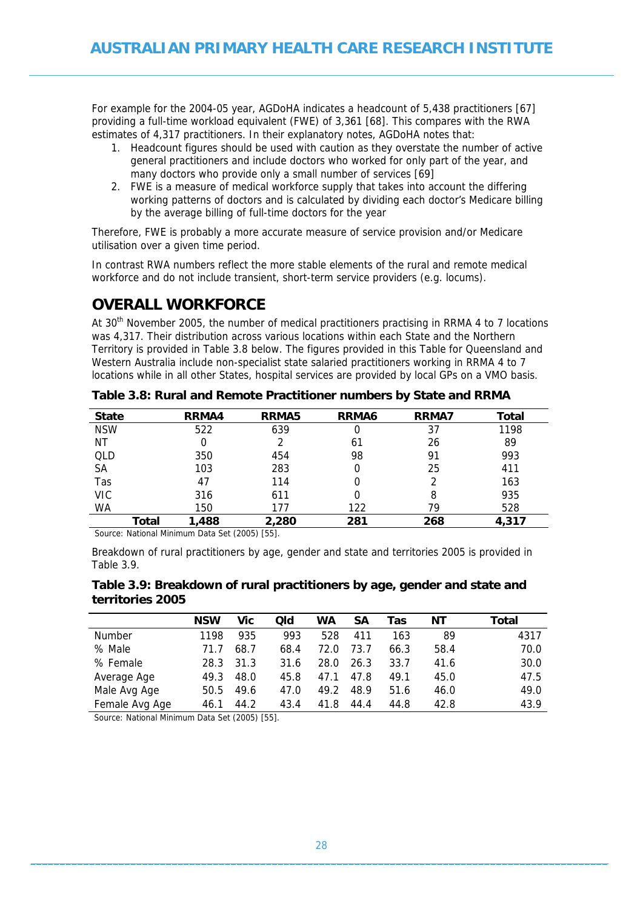<span id="page-27-0"></span>For example for the 2004-05 year, AGDoHA indicates a headcount of 5,438 practitioners [67] providing a full-time workload equivalent (FWE) of 3,361 [68]. This compares with the RWA estimates of 4,317 practitioners. In their explanatory notes, AGDoHA notes that:

- 1. Headcount figures should be used with caution as they overstate the number of active general practitioners and include doctors who worked for only part of the year, and many doctors who provide only a small number of services [69]
- 2. FWE is a measure of medical workforce supply that takes into account the differing working patterns of doctors and is calculated by dividing each doctor's Medicare billing by the average billing of full-time doctors for the year

Therefore, FWE is probably a more accurate measure of service provision and/or Medicare utilisation over a given time period.

In contrast RWA numbers reflect the more stable elements of the rural and remote medical workforce and do not include transient, short-term service providers (e.g. locums).

### <span id="page-27-1"></span>**OVERALL WORKFORCE**

At 30<sup>th</sup> November 2005, the number of medical practitioners practising in RRMA 4 to 7 locations was 4,317. Their distribution across various locations within each State and the Northern Territory is provided in Table 3.8 below. The figures provided in this Table for Queensland and Western Australia include non-specialist state salaried practitioners working in RRMA 4 to 7 locations while in all other States, hospital services are provided by local GPs on a VMO basis.

<span id="page-27-2"></span>

| <b>State</b> | RRMA4 | <b>RRMA5</b> | <b>RRMA6</b> | <b>RRMA7</b> | <b>Total</b> |
|--------------|-------|--------------|--------------|--------------|--------------|
| <b>NSW</b>   | 522   | 639          | 0            | 37           | 1198         |
| ΝT           |       |              | 61           | 26           | 89           |
| QLD          | 350   | 454          | 98           | 91           | 993          |
| SА           | 103   | 283          | 0            | 25           | 411          |
| Tas          | 47    | 114          | 0            | 2            | 163          |
| VIC          | 316   | 611          | 0            | 8            | 935          |
| WA           | 150   | 177          | 122          | 79           | 528          |
| Total        | 1,488 | 2,280        | 281          | 268          | 4,317        |

**Table 3.8: Rural and Remote Practitioner numbers by State and RRMA** 

Source: National Minimum Data Set (2005) [55].

Breakdown of rural practitioners by age, gender and state and territories 2005 is provided in Table 3.9.

#### <span id="page-27-3"></span>**Table 3.9: Breakdown of rural practitioners by age, gender and state and territories 2005**

|                | <b>NSW</b> | Vic  | Qld  | WA   | SΑ   | Tas  | ΝT   | Total |
|----------------|------------|------|------|------|------|------|------|-------|
| <b>Number</b>  | 1198       | 935  | 993  | 528  | 411  | 163  | 89   | 4317  |
| % Male         | 71.7       | 68.7 | 68.4 | 72.0 | 73.7 | 66.3 | 58.4 | 70.0  |
| % Female       | 28.3       | 31.3 | 31.6 | 28.0 | 26.3 | 33.7 | 41.6 | 30.0  |
| Average Age    | 49.3       | 48.0 | 45.8 | 47.1 | 47.8 | 49.1 | 45.0 | 47.5  |
| Male Avg Age   | 50.5       | 49.6 | 47.0 | 49.2 | 48.9 | 51.6 | 46.0 | 49.0  |
| Female Avg Age | 46.1       | 44.2 | 43.4 | 41.8 | 44.4 | 44.8 | 42.8 | 43.9  |

Source: National Minimum Data Set (2005) [55].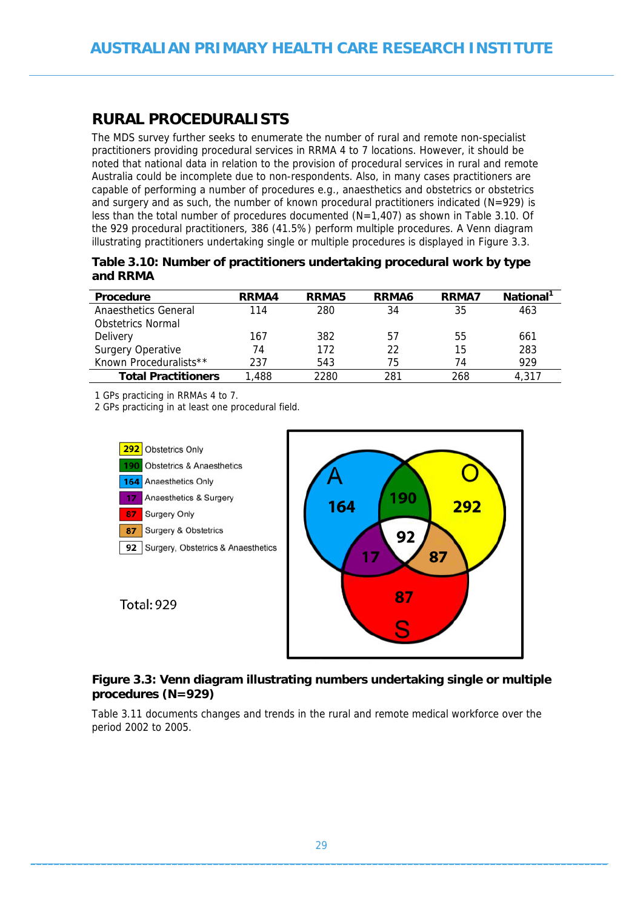### <span id="page-28-1"></span><span id="page-28-0"></span>**RURAL PROCEDURALISTS**

The MDS survey further seeks to enumerate the number of rural and remote non-specialist practitioners providing procedural services in RRMA 4 to 7 locations. However, it should be noted that national data in relation to the provision of procedural services in rural and remote Australia could be incomplete due to non-respondents. Also, in many cases practitioners are capable of performing a number of procedures e.g., anaesthetics and obstetrics or obstetrics and surgery and as such, the number of known procedural practitioners indicated ( $N=929$ ) is less than the total number of procedures documented (N=1,407) as shown in Table 3.10. Of the 929 procedural practitioners, 386 (41.5%) perform multiple procedures. A Venn diagram illustrating practitioners undertaking single or multiple procedures is displayed in Figure 3.3.

<span id="page-28-2"></span>

| Table 3.10: Number of practitioners undertaking procedural work by type |
|-------------------------------------------------------------------------|
| and RRMA                                                                |

| <b>Procedure</b>           | RRMA4 | RRMA5 | RRMA6 | RRMA7 | National <sup>1</sup> |
|----------------------------|-------|-------|-------|-------|-----------------------|
| Anaesthetics General       | 114   | 280   | 34    | 35    | 463                   |
| Obstetrics Normal          |       |       |       |       |                       |
| Delivery                   | 167   | 382   | 57    | 55    | 661                   |
| <b>Surgery Operative</b>   | 74    | 172   | 22    | 15    | 283                   |
| Known Proceduralists**     | 237   | 543   | 75    | 74    | 929                   |
| <b>Total Practitioners</b> | 1.488 | 2280  | 281   | 268   | 4.317                 |

1 GPs practicing in RRMAs 4 to 7.

2 GPs practicing in at least one procedural field.



#### <span id="page-28-3"></span>**Figure 3.3: Venn diagram illustrating numbers undertaking single or multiple procedures (N=929)**

Table 3.11 documents changes and trends in the rural and remote medical workforce over the period 2002 to 2005.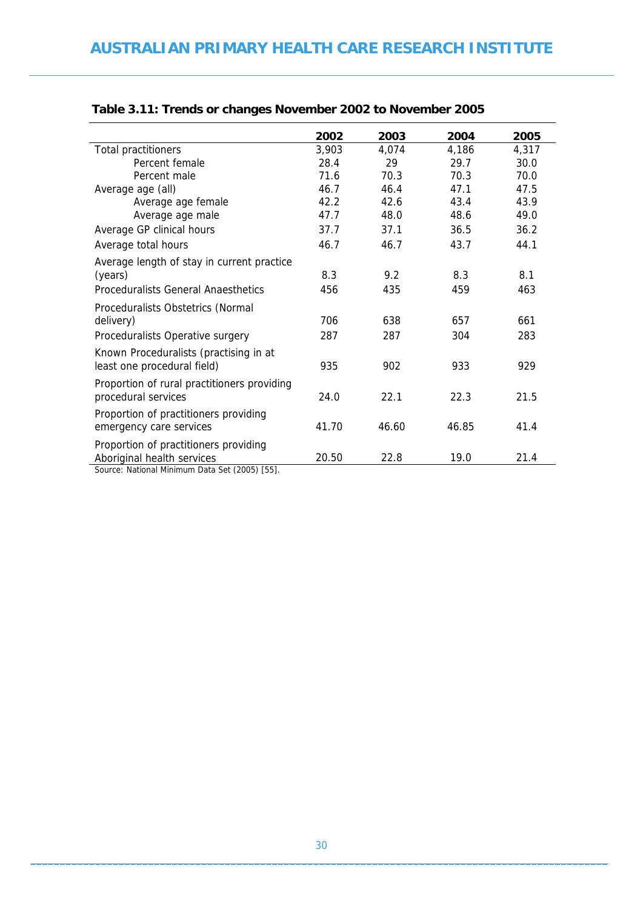|                                             | 2002  | 2003  | 2004  | 2005  |
|---------------------------------------------|-------|-------|-------|-------|
| <b>Total practitioners</b>                  | 3,903 | 4,074 | 4,186 | 4,317 |
| Percent female                              | 28.4  | 29    | 29.7  | 30.0  |
| Percent male                                | 71.6  | 70.3  | 70.3  | 70.0  |
| Average age (all)                           | 46.7  | 46.4  | 47.1  | 47.5  |
| Average age female                          | 42.2  | 42.6  | 43.4  | 43.9  |
| Average age male                            | 47.7  | 48.0  | 48.6  | 49.0  |
| Average GP clinical hours                   | 37.7  | 37.1  | 36.5  | 36.2  |
| Average total hours                         | 46.7  | 46.7  | 43.7  | 44.1  |
| Average length of stay in current practice  |       |       |       |       |
| (years)                                     | 8.3   | 9.2   | 8.3   | 8.1   |
| <b>Proceduralists General Anaesthetics</b>  | 456   | 435   | 459   | 463   |
| Proceduralists Obstetrics (Normal           |       |       |       |       |
| delivery)                                   | 706   | 638   | 657   | 661   |
| Proceduralists Operative surgery            | 287   | 287   | 304   | 283   |
| Known Proceduralists (practising in at      |       |       |       |       |
| least one procedural field)                 | 935   | 902   | 933   | 929   |
| Proportion of rural practitioners providing |       |       |       |       |
| procedural services                         | 24.0  | 22.1  | 22.3  | 21.5  |
| Proportion of practitioners providing       |       |       |       |       |
| emergency care services                     | 41.70 | 46.60 | 46.85 | 41.4  |
| Proportion of practitioners providing       |       |       |       |       |
| Aboriginal health services                  | 20.50 | 22.8  | 19.0  | 21.4  |
|                                             |       |       |       |       |

### <span id="page-29-0"></span>**Table 3.11: Trends or changes November 2002 to November 2005**

<span id="page-29-1"></span>Source: National Minimum Data Set (2005) [55].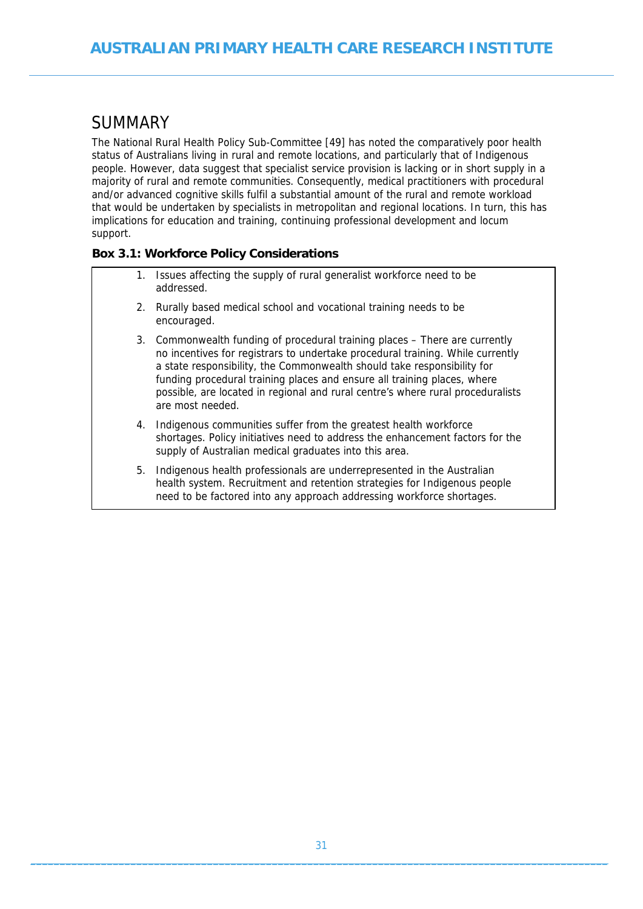# <span id="page-30-1"></span><span id="page-30-0"></span>SUMMARY

The National Rural Health Policy Sub-Committee [49] has noted the comparatively poor health status of Australians living in rural and remote locations, and particularly that of Indigenous people. However, data suggest that specialist service provision is lacking or in short supply in a majority of rural and remote communities. Consequently, medical practitioners with procedural and/or advanced cognitive skills fulfil a substantial amount of the rural and remote workload that would be undertaken by specialists in metropolitan and regional locations. In turn, this has implications for education and training, continuing professional development and locum support.

### <span id="page-30-2"></span>**Box 3.1: Workforce Policy Considerations**

- Issues affecting the supply of rural generalist workforce need to be addressed.
- 2. Rurally based medical school and vocational training needs to be encouraged.
- 3. Commonwealth funding of procedural training places There are currently no incentives for registrars to undertake procedural training. While currently a state responsibility, the Commonwealth should take responsibility for funding procedural training places and ensure all training places, where possible, are located in regional and rural centre's where rural proceduralists are most needed.
- 4. Indigenous communities suffer from the greatest health workforce shortages. Policy initiatives need to address the enhancement factors for the supply of Australian medical graduates into this area.
- 5. Indigenous health professionals are underrepresented in the Australian health system. Recruitment and retention strategies for Indigenous people need to be factored into any approach addressing workforce shortages.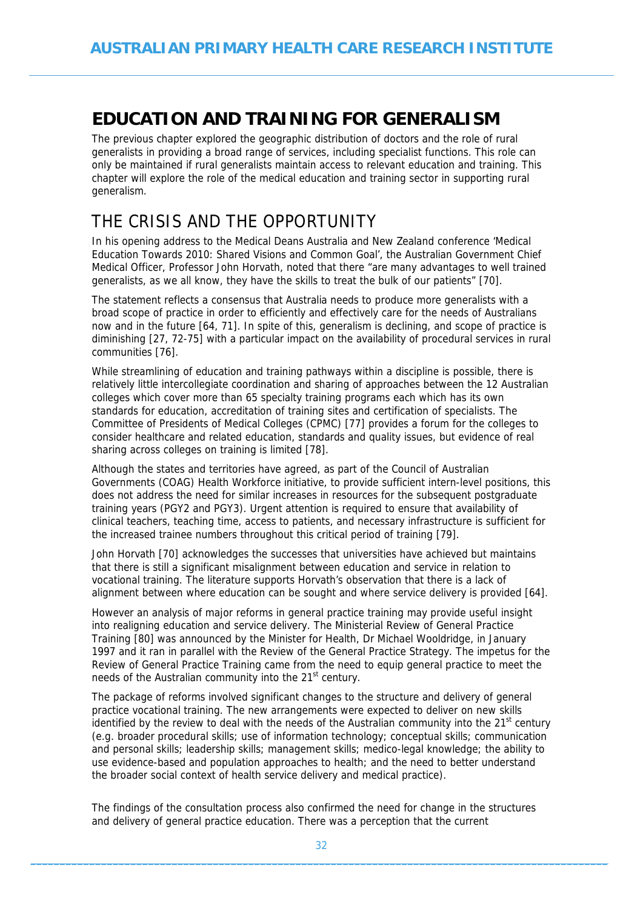# <span id="page-31-1"></span><span id="page-31-0"></span>**EDUCATION AND TRAINING FOR GENERALISM**

The previous chapter explored the geographic distribution of doctors and the role of rural generalists in providing a broad range of services, including specialist functions. This role can only be maintained if rural generalists maintain access to relevant education and training. This chapter will explore the role of the medical education and training sector in supporting rural generalism.

## <span id="page-31-2"></span>THE CRISIS AND THE OPPORTUNITY

In his opening address to the Medical Deans Australia and New Zealand conference 'Medical Education Towards 2010: Shared Visions and Common Goal', the Australian Government Chief Medical Officer, Professor John Horvath, noted that there "are many advantages to well trained generalists, as we all know, they have the skills to treat the bulk of our patients" [70].

The statement reflects a consensus that Australia needs to produce more generalists with a broad scope of practice in order to efficiently and effectively care for the needs of Australians now and in the future [64, 71]. In spite of this, generalism is declining, and scope of practice is diminishing [27, 72-75] with a particular impact on the availability of procedural services in rural communities [76].

While streamlining of education and training pathways within a discipline is possible, there is relatively little intercollegiate coordination and sharing of approaches between the 12 Australian colleges which cover more than 65 specialty training programs each which has its own standards for education, accreditation of training sites and certification of specialists. The Committee of Presidents of Medical Colleges (CPMC) [77] provides a forum for the colleges to consider healthcare and related education, standards and quality issues, but evidence of real sharing across colleges on training is limited [78].

Although the states and territories have agreed, as part of the Council of Australian Governments (COAG) Health Workforce initiative, to provide sufficient intern-level positions, this does not address the need for similar increases in resources for the subsequent postgraduate training years (PGY2 and PGY3). Urgent attention is required to ensure that availability of clinical teachers, teaching time, access to patients, and necessary infrastructure is sufficient for the increased trainee numbers throughout this critical period of training [79].

John Horvath [70] acknowledges the successes that universities have achieved but maintains that there is still a significant misalignment between education and service in relation to vocational training. The literature supports Horvath's observation that there is a lack of alignment between where education can be sought and where service delivery is provided [64].

However an analysis of major reforms in general practice training may provide useful insight into realigning education and service delivery. The Ministerial Review of General Practice Training [80] was announced by the Minister for Health, Dr Michael Wooldridge, in January 1997 and it ran in parallel with the Review of the General Practice Strategy. The impetus for the Review of General Practice Training came from the need to equip general practice to meet the needs of the Australian community into the 21<sup>st</sup> century.

The package of reforms involved significant changes to the structure and delivery of general practice vocational training. The new arrangements were expected to deliver on new skills identified by the review to deal with the needs of the Australian community into the  $21<sup>st</sup>$  century (e.g. broader procedural skills; use of information technology; conceptual skills; communication and personal skills; leadership skills; management skills; medico-legal knowledge; the ability to use evidence-based and population approaches to health; and the need to better understand the broader social context of health service delivery and medical practice).

The findings of the consultation process also confirmed the need for change in the structures and delivery of general practice education. There was a perception that the current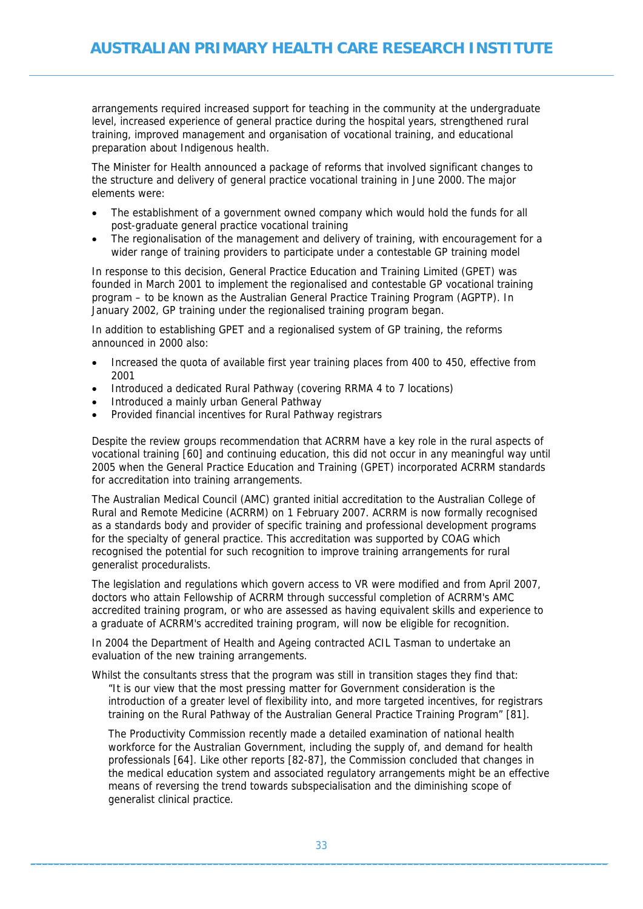arrangements required increased support for teaching in the community at the undergraduate level, increased experience of general practice during the hospital years, strengthened rural training, improved management and organisation of vocational training, and educational preparation about Indigenous health.

The Minister for Health announced a package of reforms that involved significant changes to the structure and delivery of general practice vocational training in June 2000. The major elements were:

- The establishment of a government owned company which would hold the funds for all post-graduate general practice vocational training
- The regionalisation of the management and delivery of training, with encouragement for a wider range of training providers to participate under a contestable GP training model

In response to this decision, General Practice Education and Training Limited (GPET) was founded in March 2001 to implement the regionalised and contestable GP vocational training program – to be known as the Australian General Practice Training Program (AGPTP). In January 2002, GP training under the regionalised training program began.

In addition to establishing GPET and a regionalised system of GP training, the reforms announced in 2000 also:

- Increased the quota of available first year training places from 400 to 450, effective from 2001
- Introduced a dedicated Rural Pathway (covering RRMA 4 to 7 locations)
- Introduced a mainly urban General Pathway
- Provided financial incentives for Rural Pathway registrars

Despite the review groups recommendation that ACRRM have a key role in the rural aspects of vocational training [60] and continuing education, this did not occur in any meaningful way until 2005 when the General Practice Education and Training (GPET) incorporated ACRRM standards for accreditation into training arrangements.

The Australian Medical Council (AMC) granted initial accreditation to the Australian College of Rural and Remote Medicine (ACRRM) on 1 February 2007. ACRRM is now formally recognised as a standards body and provider of specific training and professional development programs for the specialty of general practice. This accreditation was supported by COAG which recognised the potential for such recognition to improve training arrangements for rural generalist proceduralists.

The legislation and regulations which govern access to VR were modified and from April 2007, doctors who attain Fellowship of ACRRM through successful completion of ACRRM's AMC accredited training program, or who are assessed as having equivalent skills and experience to a graduate of ACRRM's accredited training program, will now be eligible for recognition.

In 2004 the Department of Health and Ageing contracted ACIL Tasman to undertake an evaluation of the new training arrangements.

Whilst the consultants stress that the program was still in transition stages they find that: "It is our view that the most pressing matter for Government consideration is the introduction of a greater level of flexibility into, and more targeted incentives, for registrars training on the Rural Pathway of the Australian General Practice Training Program" [81].

The Productivity Commission recently made a detailed examination of national health workforce for the Australian Government, including the supply of, and demand for health professionals [64]. Like other reports [82-87], the Commission concluded that changes in the medical education system and associated regulatory arrangements might be an effective means of reversing the trend towards subspecialisation and the diminishing scope of generalist clinical practice.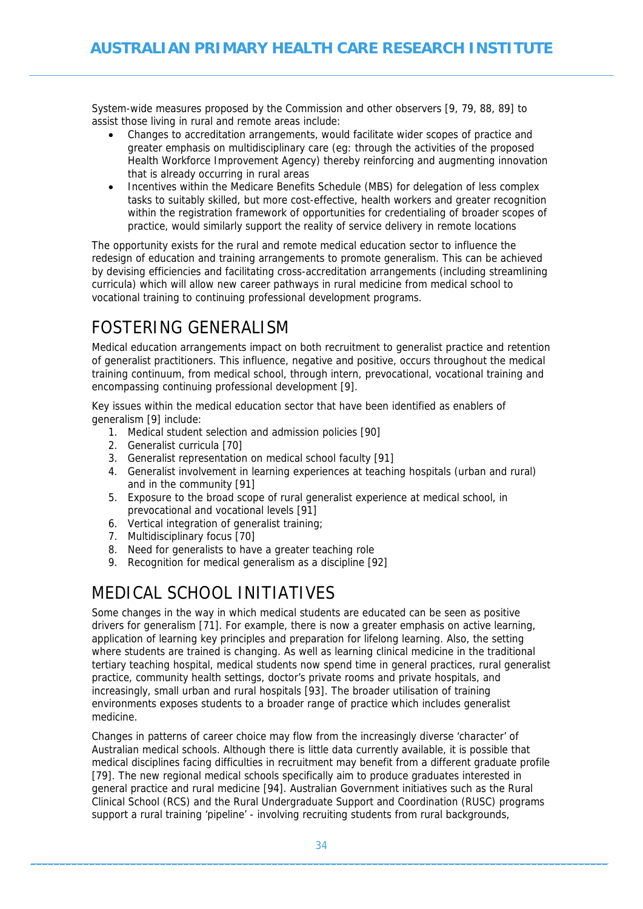<span id="page-33-0"></span>System-wide measures proposed by the Commission and other observers [9, 79, 88, 89] to assist those living in rural and remote areas include:

- Changes to accreditation arrangements, would facilitate wider scopes of practice and greater emphasis on multidisciplinary care (eg: through the activities of the proposed Health Workforce Improvement Agency) thereby reinforcing and augmenting innovation that is already occurring in rural areas
- Incentives within the Medicare Benefits Schedule (MBS) for delegation of less complex tasks to suitably skilled, but more cost-effective, health workers and greater recognition within the registration framework of opportunities for credentialing of broader scopes of practice, would similarly support the reality of service delivery in remote locations

The opportunity exists for the rural and remote medical education sector to influence the redesign of education and training arrangements to promote generalism. This can be achieved by devising efficiencies and facilitating cross-accreditation arrangements (including streamlining curricula) which will allow new career pathways in rural medicine from medical school to vocational training to continuing professional development programs.

# <span id="page-33-1"></span>FOSTERING GENERALISM

Medical education arrangements impact on both recruitment to generalist practice and retention of generalist practitioners. This influence, negative and positive, occurs throughout the medical training continuum, from medical school, through intern, prevocational, vocational training and encompassing continuing professional development [9].

Key issues within the medical education sector that have been identified as enablers of generalism [9] include:

- 1. Medical student selection and admission policies [90]
- 2. Generalist curricula [70]
- 3. Generalist representation on medical school faculty [91]
- 4. Generalist involvement in learning experiences at teaching hospitals (urban and rural) and in the community [91]
- 5. Exposure to the broad scope of rural generalist experience at medical school, in prevocational and vocational levels [91]
- 6. Vertical integration of generalist training;
- 7. Multidisciplinary focus [70]
- 8. Need for generalists to have a greater teaching role
- 9. Recognition for medical generalism as a discipline [92]

# <span id="page-33-2"></span>MEDICAL SCHOOL INITIATIVES

Some changes in the way in which medical students are educated can be seen as positive drivers for generalism [71]. For example, there is now a greater emphasis on active learning, application of learning key principles and preparation for lifelong learning. Also, the setting where students are trained is changing. As well as learning clinical medicine in the traditional tertiary teaching hospital, medical students now spend time in general practices, rural generalist practice, community health settings, doctor's private rooms and private hospitals, and increasingly, small urban and rural hospitals [93]. The broader utilisation of training environments exposes students to a broader range of practice which includes generalist medicine.

Changes in patterns of career choice may flow from the increasingly diverse 'character' of Australian medical schools. Although there is little data currently available, it is possible that medical disciplines facing difficulties in recruitment may benefit from a different graduate profile [79]. The new regional medical schools specifically aim to produce graduates interested in general practice and rural medicine [94]. Australian Government initiatives such as the Rural Clinical School (RCS) and the Rural Undergraduate Support and Coordination (RUSC) programs support a rural training 'pipeline' - involving recruiting students from rural backgrounds,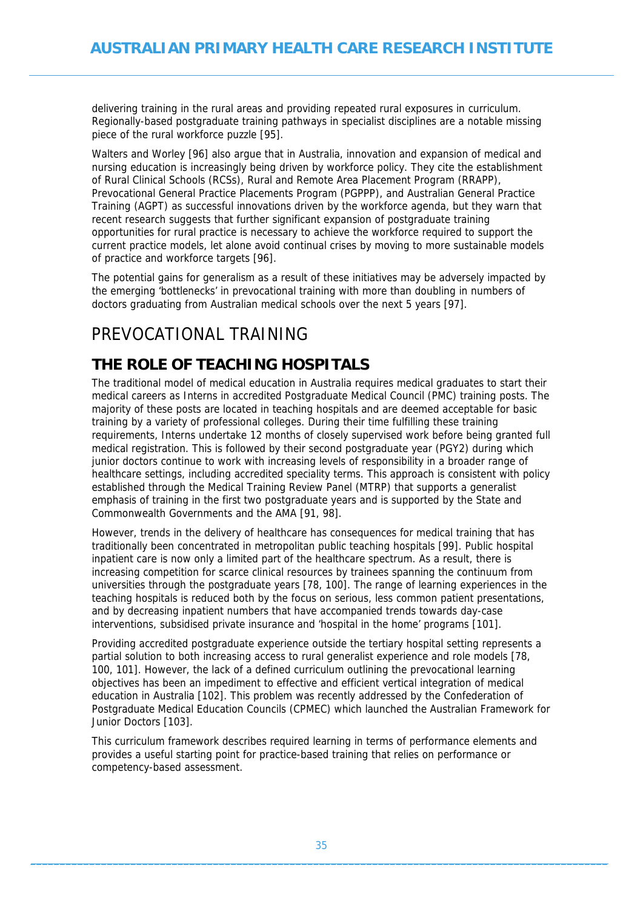<span id="page-34-0"></span>delivering training in the rural areas and providing repeated rural exposures in curriculum. Regionally-based postgraduate training pathways in specialist disciplines are a notable missing piece of the rural workforce puzzle [95].

Walters and Worley [96] also argue that in Australia, innovation and expansion of medical and nursing education is increasingly being driven by workforce policy. They cite the establishment of Rural Clinical Schools (RCSs), Rural and Remote Area Placement Program (RRAPP), Prevocational General Practice Placements Program (PGPPP), and Australian General Practice Training (AGPT) as successful innovations driven by the workforce agenda, but they warn that recent research suggests that further significant expansion of postgraduate training opportunities for rural practice is necessary to achieve the workforce required to support the current practice models, let alone avoid continual crises by moving to more sustainable models of practice and workforce targets [96].

The potential gains for generalism as a result of these initiatives may be adversely impacted by the emerging 'bottlenecks' in prevocational training with more than doubling in numbers of doctors graduating from Australian medical schools over the next 5 years [97].

# <span id="page-34-1"></span>PREVOCATIONAL TRAINING

## <span id="page-34-2"></span>**THE ROLE OF TEACHING HOSPITALS**

The traditional model of medical education in Australia requires medical graduates to start their medical careers as Interns in accredited Postgraduate Medical Council (PMC) training posts. The majority of these posts are located in teaching hospitals and are deemed acceptable for basic training by a variety of professional colleges. During their time fulfilling these training requirements, Interns undertake 12 months of closely supervised work before being granted full medical registration. This is followed by their second postgraduate year (PGY2) during which junior doctors continue to work with increasing levels of responsibility in a broader range of healthcare settings, including accredited speciality terms. This approach is consistent with policy established through the Medical Training Review Panel (MTRP) that supports a generalist emphasis of training in the first two postgraduate years and is supported by the State and Commonwealth Governments and the AMA [91, 98].

However, trends in the delivery of healthcare has consequences for medical training that has traditionally been concentrated in metropolitan public teaching hospitals [99]. Public hospital inpatient care is now only a limited part of the healthcare spectrum. As a result, there is increasing competition for scarce clinical resources by trainees spanning the continuum from universities through the postgraduate years [78, 100]. The range of learning experiences in the teaching hospitals is reduced both by the focus on serious, less common patient presentations, and by decreasing inpatient numbers that have accompanied trends towards day-case interventions, subsidised private insurance and 'hospital in the home' programs [101].

Providing accredited postgraduate experience outside the tertiary hospital setting represents a partial solution to both increasing access to rural generalist experience and role models [78, 100, 101]. However, the lack of a defined curriculum outlining the prevocational learning objectives has been an impediment to effective and efficient vertical integration of medical education in Australia [102]. This problem was recently addressed by the Confederation of Postgraduate Medical Education Councils (CPMEC) which launched the Australian Framework for Junior Doctors [103].

This curriculum framework describes required learning in terms of performance elements and provides a useful starting point for practice-based training that relies on performance or competency-based assessment.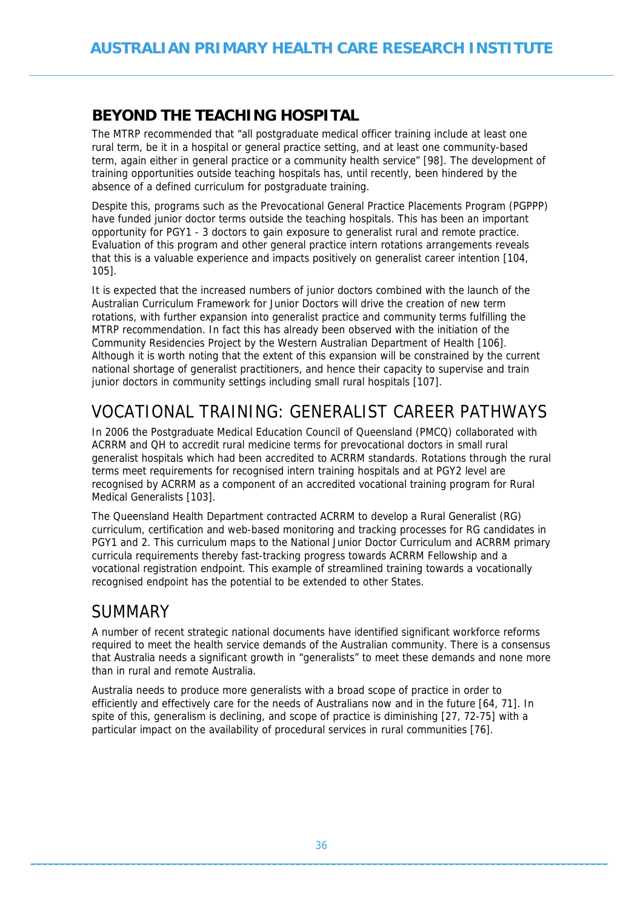### <span id="page-35-1"></span><span id="page-35-0"></span>**BEYOND THE TEACHING HOSPITAL**

The MTRP recommended that "all postgraduate medical officer training include at least one rural term, be it in a hospital or general practice setting, and at least one community-based term, again either in general practice or a community health service" [98]. The development of training opportunities outside teaching hospitals has, until recently, been hindered by the absence of a defined curriculum for postgraduate training.

Despite this, programs such as the Prevocational General Practice Placements Program (PGPPP) have funded junior doctor terms outside the teaching hospitals. This has been an important opportunity for PGY1 - 3 doctors to gain exposure to generalist rural and remote practice. Evaluation of this program and other general practice intern rotations arrangements reveals that this is a valuable experience and impacts positively on generalist career intention [104, 105].

It is expected that the increased numbers of junior doctors combined with the launch of the Australian Curriculum Framework for Junior Doctors will drive the creation of new term rotations, with further expansion into generalist practice and community terms fulfilling the MTRP recommendation. In fact this has already been observed with the initiation of the Community Residencies Project by the Western Australian Department of Health [106]. Although it is worth noting that the extent of this expansion will be constrained by the current national shortage of generalist practitioners, and hence their capacity to supervise and train junior doctors in community settings including small rural hospitals [107].

# <span id="page-35-2"></span>VOCATIONAL TRAINING: GENERALIST CAREER PATHWAYS

In 2006 the Postgraduate Medical Education Council of Queensland (PMCQ) collaborated with ACRRM and QH to accredit rural medicine terms for prevocational doctors in small rural generalist hospitals which had been accredited to ACRRM standards. Rotations through the rural terms meet requirements for recognised intern training hospitals and at PGY2 level are recognised by ACRRM as a component of an accredited vocational training program for Rural Medical Generalists [103].

The Queensland Health Department contracted ACRRM to develop a Rural Generalist (RG) curriculum, certification and web-based monitoring and tracking processes for RG candidates in PGY1 and 2. This curriculum maps to the National Junior Doctor Curriculum and ACRRM primary curricula requirements thereby fast-tracking progress towards ACRRM Fellowship and a vocational registration endpoint. This example of streamlined training towards a vocationally recognised endpoint has the potential to be extended to other States.

## <span id="page-35-3"></span>**SUMMARY**

A number of recent strategic national documents have identified significant workforce reforms required to meet the health service demands of the Australian community. There is a consensus that Australia needs a significant growth in "generalists" to meet these demands and none more than in rural and remote Australia.

Australia needs to produce more generalists with a broad scope of practice in order to efficiently and effectively care for the needs of Australians now and in the future [64, 71]. In spite of this, generalism is declining, and scope of practice is diminishing [27, 72-75] with a particular impact on the availability of procedural services in rural communities [76].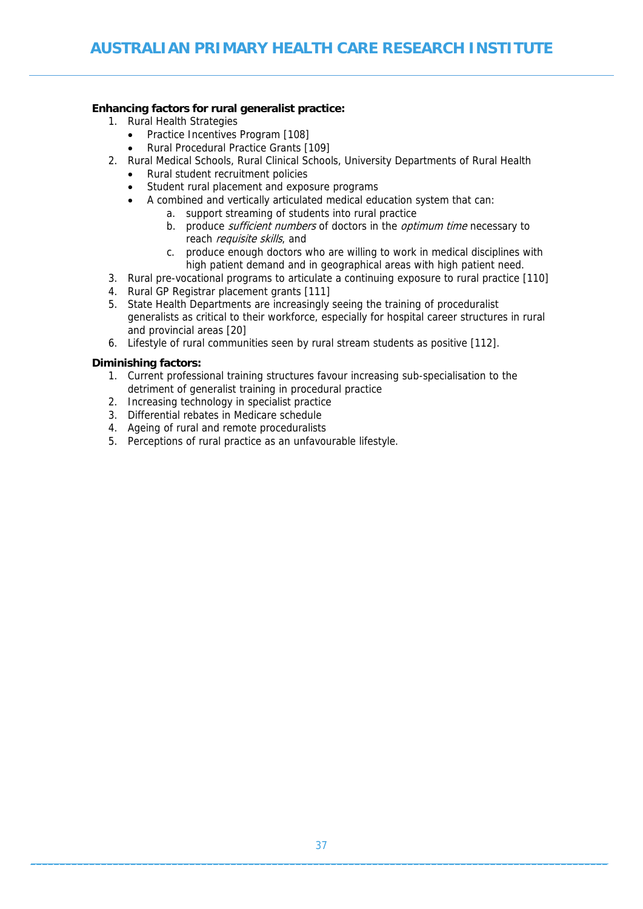#### **Enhancing factors for rural generalist practice:**

- 1. Rural Health Strategies
	- Practice Incentives Program [108]
	- Rural Procedural Practice Grants [109]
- 2. Rural Medical Schools, Rural Clinical Schools, University Departments of Rural Health
	- Rural student recruitment policies
	- Student rural placement and exposure programs
	- A combined and vertically articulated medical education system that can:
		- a. support streaming of students into rural practice
			- b. produce *sufficient numbers* of doctors in the *optimum time* necessary to reach *requisite skills*, and
			- c. produce enough doctors who are willing to work in medical disciplines with high patient demand and in geographical areas with high patient need.
- 3. Rural pre-vocational programs to articulate a continuing exposure to rural practice [110]
- 4. Rural GP Registrar placement grants [111]
- 5. State Health Departments are increasingly seeing the training of proceduralist generalists as critical to their workforce, especially for hospital career structures in rural and provincial areas [20]
- 6. Lifestyle of rural communities seen by rural stream students as positive [112].

#### **Diminishing factors:**

- 1. Current professional training structures favour increasing sub-specialisation to the detriment of generalist training in procedural practice
- 2. Increasing technology in specialist practice
- 3. Differential rebates in Medicare schedule
- 4. Ageing of rural and remote proceduralists
- 5. Perceptions of rural practice as an unfavourable lifestyle.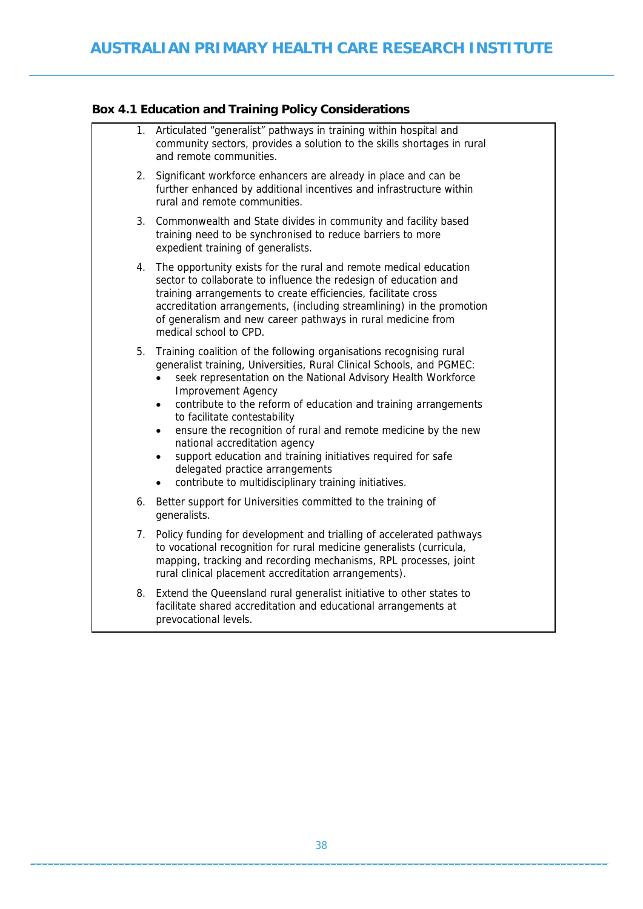### **Box 4.1 Education and Training Policy Considerations**

|    | 1. Articulated "generalist" pathways in training within hospital and<br>community sectors, provides a solution to the skills shortages in rural<br>and remote communities.                                                                                                                                                                                                                                                                                                                                                                                                                                                                                            |
|----|-----------------------------------------------------------------------------------------------------------------------------------------------------------------------------------------------------------------------------------------------------------------------------------------------------------------------------------------------------------------------------------------------------------------------------------------------------------------------------------------------------------------------------------------------------------------------------------------------------------------------------------------------------------------------|
| 2. | Significant workforce enhancers are already in place and can be<br>further enhanced by additional incentives and infrastructure within<br>rural and remote communities.                                                                                                                                                                                                                                                                                                                                                                                                                                                                                               |
| 3. | Commonwealth and State divides in community and facility based<br>training need to be synchronised to reduce barriers to more<br>expedient training of generalists.                                                                                                                                                                                                                                                                                                                                                                                                                                                                                                   |
| 4. | The opportunity exists for the rural and remote medical education<br>sector to collaborate to influence the redesign of education and<br>training arrangements to create efficiencies, facilitate cross<br>accreditation arrangements, (including streamlining) in the promotion<br>of generalism and new career pathways in rural medicine from<br>medical school to CPD.                                                                                                                                                                                                                                                                                            |
| 5. | Training coalition of the following organisations recognising rural<br>generalist training, Universities, Rural Clinical Schools, and PGMEC:<br>seek representation on the National Advisory Health Workforce<br>$\bullet$<br><b>Improvement Agency</b><br>contribute to the reform of education and training arrangements<br>$\bullet$<br>to facilitate contestability<br>ensure the recognition of rural and remote medicine by the new<br>٠<br>national accreditation agency<br>support education and training initiatives required for safe<br>$\bullet$<br>delegated practice arrangements<br>contribute to multidisciplinary training initiatives.<br>$\bullet$ |
| 6. | Better support for Universities committed to the training of<br>generalists.                                                                                                                                                                                                                                                                                                                                                                                                                                                                                                                                                                                          |
| 7. | Policy funding for development and trialling of accelerated pathways<br>to vocational recognition for rural medicine generalists (curricula,<br>mapping, tracking and recording mechanisms, RPL processes, joint<br>rural clinical placement accreditation arrangements).                                                                                                                                                                                                                                                                                                                                                                                             |
| 8. | Extend the Queensland rural generalist initiative to other states to<br>facilitate shared accreditation and educational arrangements at<br>prevocational levels.                                                                                                                                                                                                                                                                                                                                                                                                                                                                                                      |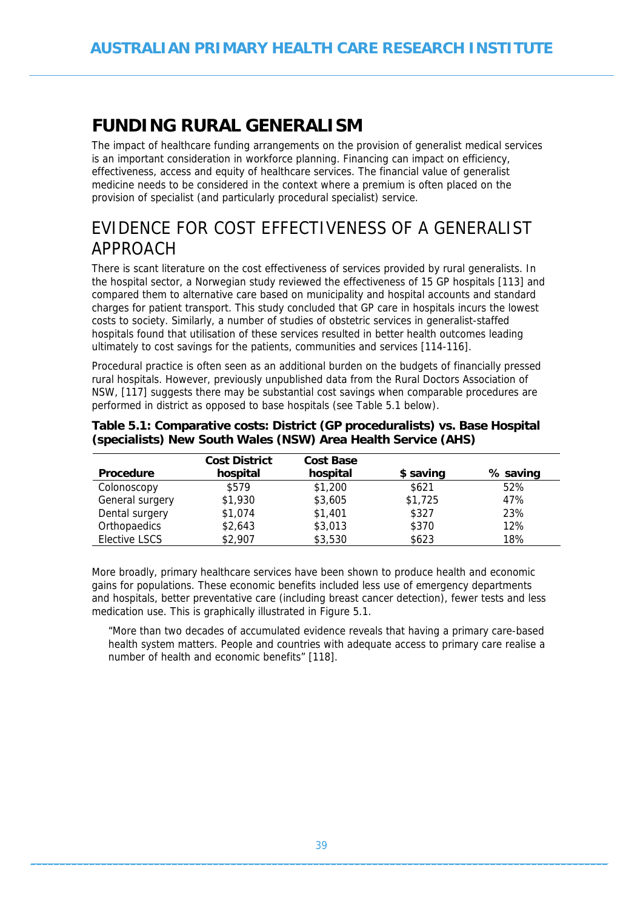# **FUNDING RURAL GENERALISM**

The impact of healthcare funding arrangements on the provision of generalist medical services is an important consideration in workforce planning. Financing can impact on efficiency, effectiveness, access and equity of healthcare services. The financial value of generalist medicine needs to be considered in the context where a premium is often placed on the provision of specialist (and particularly procedural specialist) service.

# EVIDENCE FOR COST EFFECTIVENESS OF A GENERALIST APPROACH

There is scant literature on the cost effectiveness of services provided by rural generalists. In the hospital sector, a Norwegian study reviewed the effectiveness of 15 GP hospitals [113] and compared them to alternative care based on municipality and hospital accounts and standard charges for patient transport. This study concluded that GP care in hospitals incurs the lowest costs to society. Similarly, a number of studies of obstetric services in generalist-staffed hospitals found that utilisation of these services resulted in better health outcomes leading ultimately to cost savings for the patients, communities and services [114-116].

Procedural practice is often seen as an additional burden on the budgets of financially pressed rural hospitals. However, previously unpublished data from the Rural Doctors Association of NSW, [117] suggests there may be substantial cost savings when comparable procedures are performed in district as opposed to base hospitals (see Table 5.1 below).

|                  | <b>Cost District</b> | <b>Cost Base</b> |           |          |
|------------------|----------------------|------------------|-----------|----------|
| <b>Procedure</b> | hospital             | hospital         | \$ saving | % saving |
| Colonoscopy      | \$579                | \$1,200          | \$621     | 52%      |
| General surgery  | \$1,930              | \$3,605          | \$1,725   | 47%      |
| Dental surgery   | \$1,074              | \$1,401          | \$327     | 23%      |
| Orthopaedics     | \$2,643              | \$3,013          | \$370     | 12%      |
| Elective LSCS    | \$2,907              | \$3,530          | \$623     | 18%      |

#### **Table 5.1: Comparative costs: District (GP proceduralists) vs. Base Hospital (specialists) New South Wales (NSW) Area Health Service (AHS)**

More broadly, primary healthcare services have been shown to produce health and economic gains for populations. These economic benefits included less use of emergency departments and hospitals, better preventative care (including breast cancer detection), fewer tests and less medication use. This is graphically illustrated in Figure 5.1.

"More than two decades of accumulated evidence reveals that having a primary care-based health system matters. People and countries with adequate access to primary care realise a number of health and economic benefits" [118].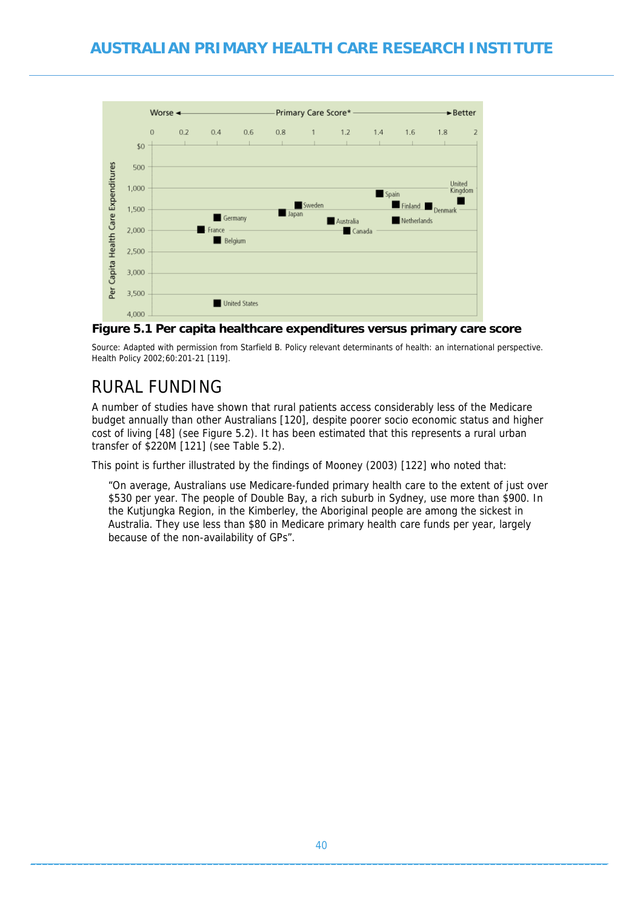

#### **Figure 5.1 Per capita healthcare expenditures versus primary care score**

Source: Adapted with permission from Starfield B. Policy relevant determinants of health: an international perspective. Health Policy 2002;60:201-21 [119].

## RURAL FUNDING

A number of studies have shown that rural patients access considerably less of the Medicare budget annually than other Australians [120], despite poorer socio economic status and higher cost of living [48] (see Figure 5.2). It has been estimated that this represents a rural urban transfer of \$220M [121] (see Table 5.2).

This point is further illustrated by the findings of Mooney (2003) [122] who noted that:

"On average, Australians use Medicare-funded primary health care to the extent of just over \$530 per year. The people of Double Bay, a rich suburb in Sydney, use more than \$900. In the Kutjungka Region, in the Kimberley, the Aboriginal people are among the sickest in Australia. They use less than \$80 in Medicare primary health care funds per year, largely because of the non-availability of GPs".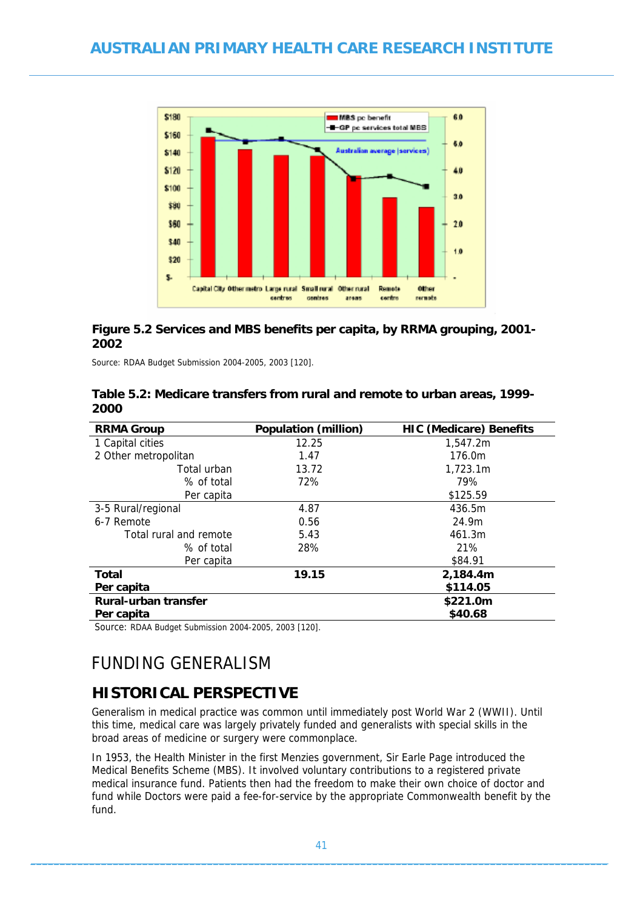

#### **Figure 5.2 Services and MBS benefits per capita, by RRMA grouping, 2001- 2002**

Source: RDAA Budget Submission 2004-2005, 2003 [120].

| Table 5.2: Medicare transfers from rural and remote to urban areas, 1999- |  |
|---------------------------------------------------------------------------|--|
| 2000                                                                      |  |

| <b>RRMA Group</b>      | <b>Population (million)</b> | <b>HIC (Medicare) Benefits</b> |
|------------------------|-----------------------------|--------------------------------|
| 1 Capital cities       | 12.25                       | 1,547.2m                       |
| 2 Other metropolitan   | 1.47                        | 176.0m                         |
| Total urban            | 13.72                       | 1,723.1m                       |
| % of total             | 72%                         | 79%                            |
| Per capita             |                             | \$125.59                       |
| 3-5 Rural/regional     | 4.87                        | 436.5m                         |
| 6-7 Remote             | 0.56                        | 24.9m                          |
| Total rural and remote | 5.43                        | 461.3m                         |
| % of total             | 28%                         | 21%                            |
| Per capita             |                             | \$84.91                        |
| <b>Total</b>           | 19.15                       | 2,184.4m                       |
| Per capita             |                             | \$114.05                       |
| Rural-urban transfer   |                             | \$221.0m                       |
| Per capita             |                             | \$40.68                        |
|                        |                             |                                |

Source: RDAA Budget Submission 2004-2005, 2003 [120].

# FUNDING GENERALISM

### **HISTORICAL PERSPECTIVE**

Generalism in medical practice was common until immediately post World War 2 (WWII). Until this time, medical care was largely privately funded and generalists with special skills in the broad areas of medicine or surgery were commonplace.

In 1953, the Health Minister in the first Menzies government, Sir Earle Page introduced the Medical Benefits Scheme (MBS). It involved voluntary contributions to a registered private medical insurance fund. Patients then had the freedom to make their own choice of doctor and fund while Doctors were paid a fee-for-service by the appropriate Commonwealth benefit by the fund.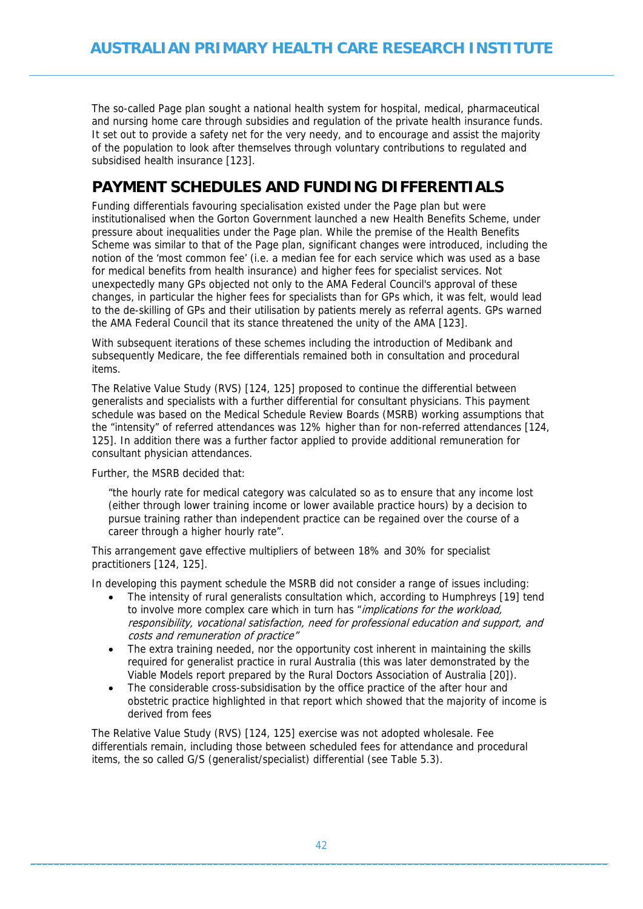The so-called Page plan sought a national health system for hospital, medical, pharmaceutical and nursing home care through subsidies and regulation of the private health insurance funds. It set out to provide a safety net for the very needy, and to encourage and assist the majority of the population to look after themselves through voluntary contributions to regulated and subsidised health insurance [123].

### **PAYMENT SCHEDULES AND FUNDING DIFFERENTIALS**

Funding differentials favouring specialisation existed under the Page plan but were institutionalised when the Gorton Government launched a new Health Benefits Scheme, under pressure about inequalities under the Page plan. While the premise of the Health Benefits Scheme was similar to that of the Page plan, significant changes were introduced, including the notion of the 'most common fee' (i.e. a median fee for each service which was used as a base for medical benefits from health insurance) and higher fees for specialist services. Not unexpectedly many GPs objected not only to the AMA Federal Council's approval of these changes, in particular the higher fees for specialists than for GPs which, it was felt, would lead to the de-skilling of GPs and their utilisation by patients merely as referral agents. GPs warned the AMA Federal Council that its stance threatened the unity of the AMA [123].

With subsequent iterations of these schemes including the introduction of Medibank and subsequently Medicare, the fee differentials remained both in consultation and procedural items.

The Relative Value Study (RVS) [124, 125] proposed to continue the differential between generalists and specialists with a further differential for consultant physicians. This payment schedule was based on the Medical Schedule Review Boards (MSRB) working assumptions that the "intensity" of referred attendances was 12% higher than for non-referred attendances [124, 125]. In addition there was a further factor applied to provide additional remuneration for consultant physician attendances.

Further, the MSRB decided that:

"the hourly rate for medical category was calculated so as to ensure that any income lost (either through lower training income or lower available practice hours) by a decision to pursue training rather than independent practice can be regained over the course of a career through a higher hourly rate".

This arrangement gave effective multipliers of between 18% and 30% for specialist practitioners [124, 125].

In developing this payment schedule the MSRB did not consider a range of issues including:

- The intensity of rural generalists consultation which, according to Humphreys [19] tend to involve more complex care which in turn has "implications for the workload, responsibility, vocational satisfaction, need for professional education and support, and costs and remuneration of practice"
- The extra training needed, nor the opportunity cost inherent in maintaining the skills required for generalist practice in rural Australia (this was later demonstrated by the Viable Models report prepared by the Rural Doctors Association of Australia [20]).
- The considerable cross-subsidisation by the office practice of the after hour and obstetric practice highlighted in that report which showed that the majority of income is derived from fees

The Relative Value Study (RVS) [124, 125] exercise was not adopted wholesale. Fee differentials remain, including those between scheduled fees for attendance and procedural items, the so called G/S (generalist/specialist) differential (see Table 5.3).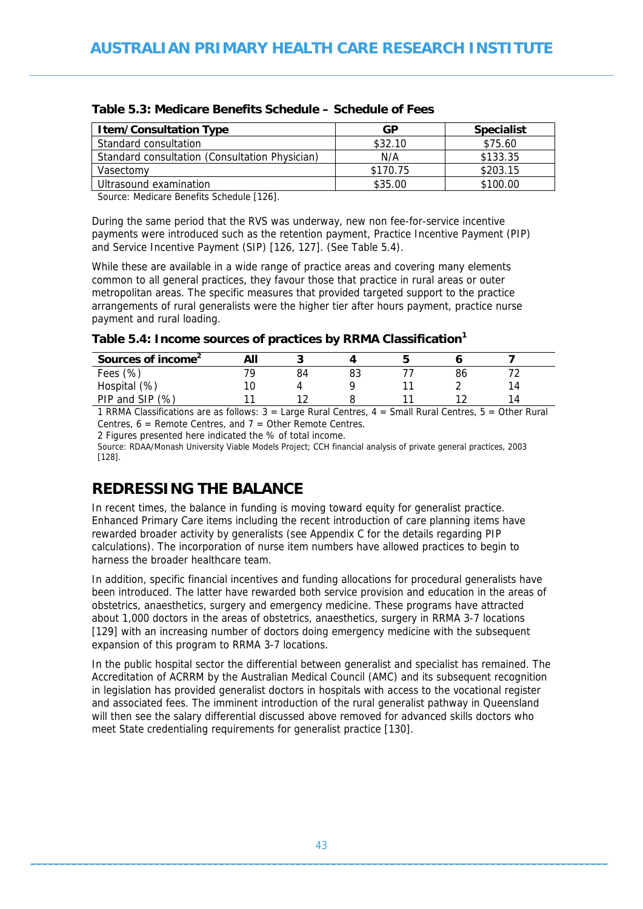| <b>Item/Consultation Type</b>                  | GP       | <b>Specialist</b> |
|------------------------------------------------|----------|-------------------|
| Standard consultation                          | \$32.10  | \$75.60           |
| Standard consultation (Consultation Physician) | N/A      | \$133.35          |
| Vasectomv                                      | \$170.75 | \$203.15          |
| Ultrasound examination                         | \$35.00  | \$100.00          |

#### **Table 5.3: Medicare Benefits Schedule – Schedule of Fees**

Source: Medicare Benefits Schedule [126].

During the same period that the RVS was underway, new non fee-for-service incentive payments were introduced such as the retention payment, Practice Incentive Payment (PIP) and Service Incentive Payment (SIP) [126, 127]. (See Table 5.4).

While these are available in a wide range of practice areas and covering many elements common to all general practices, they favour those that practice in rural areas or outer metropolitan areas. The specific measures that provided targeted support to the practice arrangements of rural generalists were the higher tier after hours payment, practice nurse payment and rural loading.

**Table 5.4: Income sources of practices by RRMA Classification<sup>1</sup>**

| Sources of income <sup>2</sup> | All |    |    |    |    |  |
|--------------------------------|-----|----|----|----|----|--|
| Fees $(\%)$                    |     | 84 | 83 | 86 |    |  |
| Hospital (%)                   |     |    |    |    | 14 |  |
| PIP and SIP (%)                |     |    |    |    | 14 |  |

1 RRMA Classifications are as follows:  $3 =$  Large Rural Centres,  $4 =$  Small Rural Centres,  $5 =$  Other Rural Centres,  $6 =$  Remote Centres, and  $7 =$  Other Remote Centres.

2 Figures presented here indicated the % of total income.

Source: RDAA/Monash University Viable Models Project; CCH financial analysis of private general practices, 2003 [128].

### **REDRESSING THE BALANCE**

In recent times, the balance in funding is moving toward equity for generalist practice. Enhanced Primary Care items including the recent introduction of care planning items have rewarded broader activity by generalists (see Appendix C for the details regarding PIP calculations). The incorporation of nurse item numbers have allowed practices to begin to harness the broader healthcare team.

In addition, specific financial incentives and funding allocations for procedural generalists have been introduced. The latter have rewarded both service provision and education in the areas of obstetrics, anaesthetics, surgery and emergency medicine. These programs have attracted about 1,000 doctors in the areas of obstetrics, anaesthetics, surgery in RRMA 3-7 locations [129] with an increasing number of doctors doing emergency medicine with the subsequent expansion of this program to RRMA 3-7 locations.

In the public hospital sector the differential between generalist and specialist has remained. The Accreditation of ACRRM by the Australian Medical Council (AMC) and its subsequent recognition in legislation has provided generalist doctors in hospitals with access to the vocational register and associated fees. The imminent introduction of the rural generalist pathway in Queensland will then see the salary differential discussed above removed for advanced skills doctors who meet State credentialing requirements for generalist practice [130].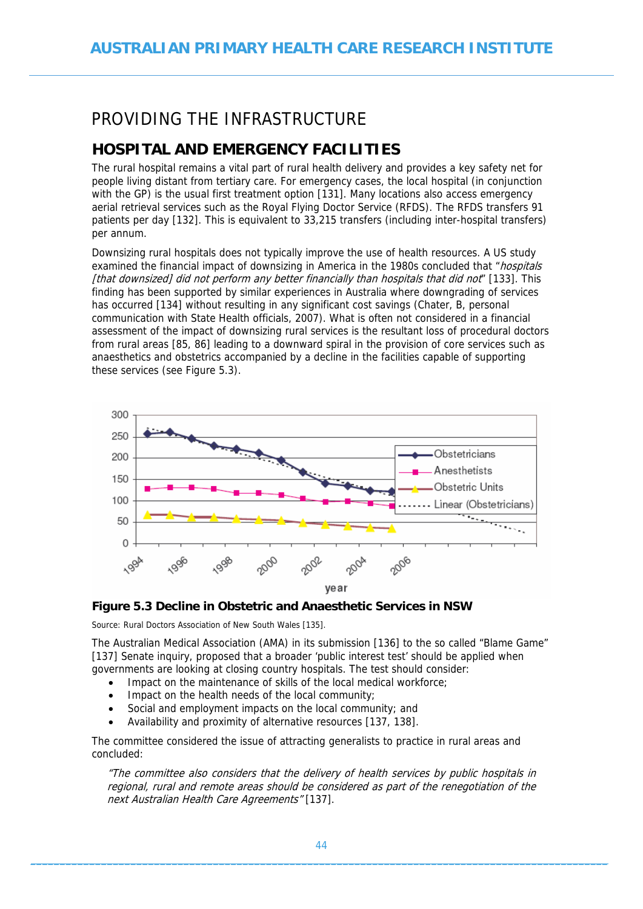# PROVIDING THE INFRASTRUCTURE

## **HOSPITAL AND EMERGENCY FACILITIES**

The rural hospital remains a vital part of rural health delivery and provides a key safety net for people living distant from tertiary care. For emergency cases, the local hospital (in conjunction with the GP) is the usual first treatment option [131]. Many locations also access emergency aerial retrieval services such as the Royal Flying Doctor Service (RFDS). The RFDS transfers 91 patients per day [132]. This is equivalent to 33,215 transfers (including inter-hospital transfers) per annum.

Downsizing rural hospitals does not typically improve the use of health resources. A US study examined the financial impact of downsizing in America in the 1980s concluded that "hospitals [that downsized] did not perform any better financially than hospitals that did not" [133]. This finding has been supported by similar experiences in Australia where downgrading of services has occurred [134] without resulting in any significant cost savings (Chater, B, personal communication with State Health officials, 2007). What is often not considered in a financial assessment of the impact of downsizing rural services is the resultant loss of procedural doctors from rural areas [85, 86] leading to a downward spiral in the provision of core services such as anaesthetics and obstetrics accompanied by a decline in the facilities capable of supporting these services (see Figure 5.3).



#### **Figure 5.3 Decline in Obstetric and Anaesthetic Services in NSW**

Source: Rural Doctors Association of New South Wales [135].

The Australian Medical Association (AMA) in its submission [136] to the so called "Blame Game" [137] Senate inquiry, proposed that a broader 'public interest test' should be applied when governments are looking at closing country hospitals. The test should consider:

- Impact on the maintenance of skills of the local medical workforce:
- Impact on the health needs of the local community;
- Social and employment impacts on the local community; and
- Availability and proximity of alternative resources [137, 138].

The committee considered the issue of attracting generalists to practice in rural areas and concluded:

"The committee also considers that the delivery of health services by public hospitals in regional, rural and remote areas should be considered as part of the renegotiation of the next Australian Health Care Agreements" [137].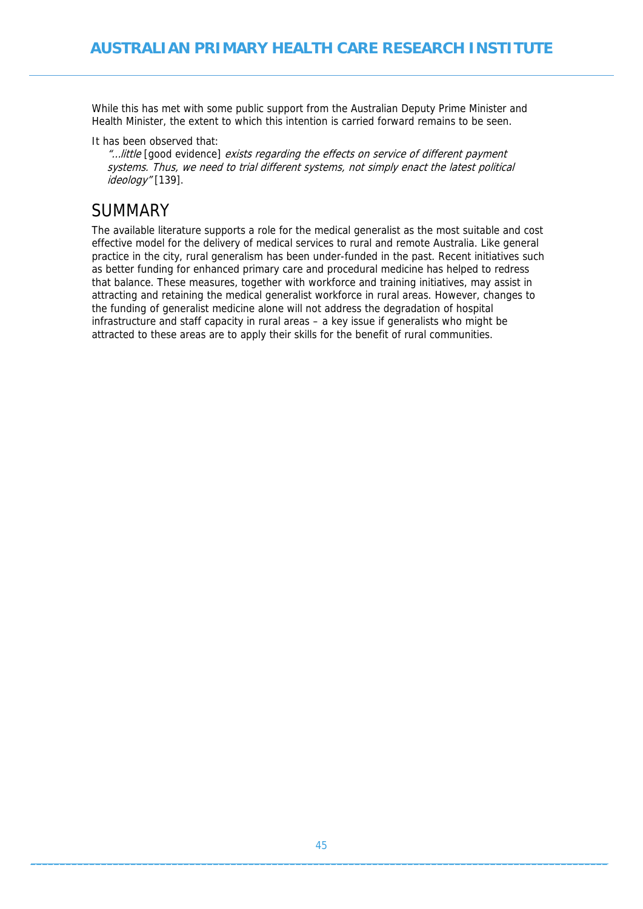While this has met with some public support from the Australian Deputy Prime Minister and Health Minister, the extent to which this intention is carried forward remains to be seen.

It has been observed that:

"…little [good evidence] exists regarding the effects on service of different payment systems. Thus, we need to trial different systems, not simply enact the latest political ideology" [139].

## SUMMARY

The available literature supports a role for the medical generalist as the most suitable and cost effective model for the delivery of medical services to rural and remote Australia. Like general practice in the city, rural generalism has been under-funded in the past. Recent initiatives such as better funding for enhanced primary care and procedural medicine has helped to redress that balance. These measures, together with workforce and training initiatives, may assist in attracting and retaining the medical generalist workforce in rural areas. However, changes to the funding of generalist medicine alone will not address the degradation of hospital infrastructure and staff capacity in rural areas – a key issue if generalists who might be attracted to these areas are to apply their skills for the benefit of rural communities.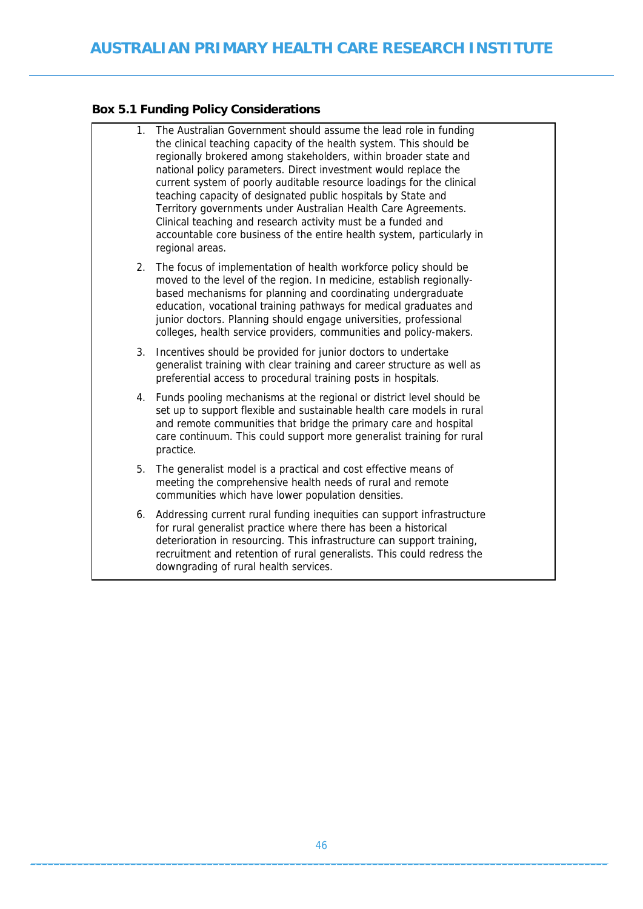### **Box 5.1 Funding Policy Considerations**

| 1. | The Australian Government should assume the lead role in funding<br>the clinical teaching capacity of the health system. This should be<br>regionally brokered among stakeholders, within broader state and<br>national policy parameters. Direct investment would replace the<br>current system of poorly auditable resource loadings for the clinical<br>teaching capacity of designated public hospitals by State and<br>Territory governments under Australian Health Care Agreements.<br>Clinical teaching and research activity must be a funded and<br>accountable core business of the entire health system, particularly in<br>regional areas. |
|----|---------------------------------------------------------------------------------------------------------------------------------------------------------------------------------------------------------------------------------------------------------------------------------------------------------------------------------------------------------------------------------------------------------------------------------------------------------------------------------------------------------------------------------------------------------------------------------------------------------------------------------------------------------|
| 2. | The focus of implementation of health workforce policy should be<br>moved to the level of the region. In medicine, establish regionally-<br>based mechanisms for planning and coordinating undergraduate<br>education, vocational training pathways for medical graduates and<br>junior doctors. Planning should engage universities, professional<br>colleges, health service providers, communities and policy-makers.                                                                                                                                                                                                                                |
| 3. | Incentives should be provided for junior doctors to undertake<br>generalist training with clear training and career structure as well as<br>preferential access to procedural training posts in hospitals.                                                                                                                                                                                                                                                                                                                                                                                                                                              |
| 4. | Funds pooling mechanisms at the regional or district level should be<br>set up to support flexible and sustainable health care models in rural<br>and remote communities that bridge the primary care and hospital<br>care continuum. This could support more generalist training for rural<br>practice.                                                                                                                                                                                                                                                                                                                                                |
| 5. | The generalist model is a practical and cost effective means of<br>meeting the comprehensive health needs of rural and remote<br>communities which have lower population densities.                                                                                                                                                                                                                                                                                                                                                                                                                                                                     |
| 6. | Addressing current rural funding inequities can support infrastructure<br>for rural generalist practice where there has been a historical<br>deterioration in resourcing. This infrastructure can support training,<br>recruitment and retention of rural generalists. This could redress the<br>downgrading of rural health services.                                                                                                                                                                                                                                                                                                                  |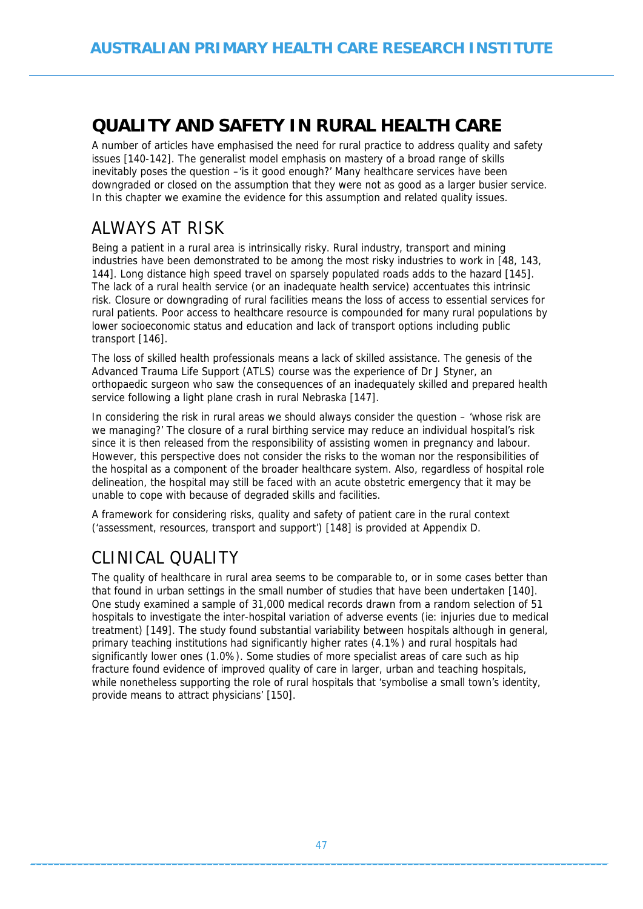# **QUALITY AND SAFETY IN RURAL HEALTH CARE**

A number of articles have emphasised the need for rural practice to address quality and safety issues [140-142]. The generalist model emphasis on mastery of a broad range of skills inevitably poses the question –'is it good enough?' Many healthcare services have been downgraded or closed on the assumption that they were not as good as a larger busier service. In this chapter we examine the evidence for this assumption and related quality issues.

# ALWAYS AT RISK

Being a patient in a rural area is intrinsically risky. Rural industry, transport and mining industries have been demonstrated to be among the most risky industries to work in [48, 143, 144]. Long distance high speed travel on sparsely populated roads adds to the hazard [145]. The lack of a rural health service (or an inadequate health service) accentuates this intrinsic risk. Closure or downgrading of rural facilities means the loss of access to essential services for rural patients. Poor access to healthcare resource is compounded for many rural populations by lower socioeconomic status and education and lack of transport options including public transport [146].

The loss of skilled health professionals means a lack of skilled assistance. The genesis of the Advanced Trauma Life Support (ATLS) course was the experience of Dr J Styner, an orthopaedic surgeon who saw the consequences of an inadequately skilled and prepared health service following a light plane crash in rural Nebraska [147].

In considering the risk in rural areas we should always consider the question – 'whose risk are we managing?' The closure of a rural birthing service may reduce an individual hospital's risk since it is then released from the responsibility of assisting women in pregnancy and labour. However, this perspective does not consider the risks to the woman nor the responsibilities of the hospital as a component of the broader healthcare system. Also, regardless of hospital role delineation, the hospital may still be faced with an acute obstetric emergency that it may be unable to cope with because of degraded skills and facilities.

A framework for considering risks, quality and safety of patient care in the rural context ('assessment, resources, transport and support') [148] is provided at Appendix D.

# CLINICAL QUALITY

The quality of healthcare in rural area seems to be comparable to, or in some cases better than that found in urban settings in the small number of studies that have been undertaken [140]. One study examined a sample of 31,000 medical records drawn from a random selection of 51 hospitals to investigate the inter-hospital variation of adverse events (ie: injuries due to medical treatment) [149]. The study found substantial variability between hospitals although in general, primary teaching institutions had significantly higher rates (4.1%) and rural hospitals had significantly lower ones (1.0%). Some studies of more specialist areas of care such as hip fracture found evidence of improved quality of care in larger, urban and teaching hospitals, while nonetheless supporting the role of rural hospitals that 'symbolise a small town's identity, provide means to attract physicians' [150].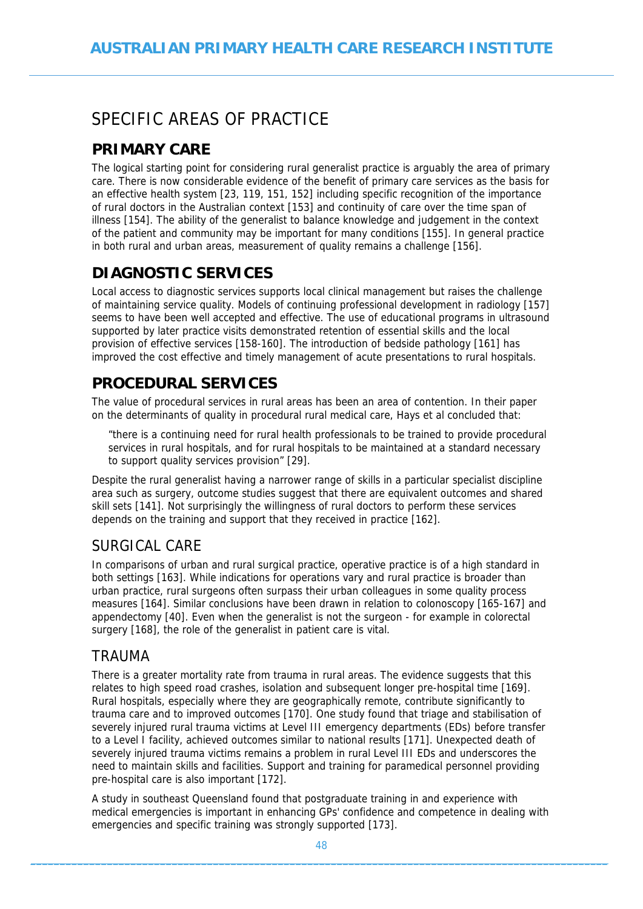# SPECIFIC AREAS OF PRACTICE

## **PRIMARY CARE**

The logical starting point for considering rural generalist practice is arguably the area of primary care. There is now considerable evidence of the benefit of primary care services as the basis for an effective health system [23, 119, 151, 152] including specific recognition of the importance of rural doctors in the Australian context [153] and continuity of care over the time span of illness [154]. The ability of the generalist to balance knowledge and judgement in the context of the patient and community may be important for many conditions [155]. In general practice in both rural and urban areas, measurement of quality remains a challenge [156].

## **DIAGNOSTIC SERVICES**

Local access to diagnostic services supports local clinical management but raises the challenge of maintaining service quality. Models of continuing professional development in radiology [157] seems to have been well accepted and effective. The use of educational programs in ultrasound supported by later practice visits demonstrated retention of essential skills and the local provision of effective services [158-160]. The introduction of bedside pathology [161] has improved the cost effective and timely management of acute presentations to rural hospitals.

## **PROCEDURAL SERVICES**

The value of procedural services in rural areas has been an area of contention. In their paper on the determinants of quality in procedural rural medical care, Hays et al concluded that:

"there is a continuing need for rural health professionals to be trained to provide procedural services in rural hospitals, and for rural hospitals to be maintained at a standard necessary to support quality services provision" [29].

Despite the rural generalist having a narrower range of skills in a particular specialist discipline area such as surgery, outcome studies suggest that there are equivalent outcomes and shared skill sets [141]. Not surprisingly the willingness of rural doctors to perform these services depends on the training and support that they received in practice [162].

### SURGICAL CARE

In comparisons of urban and rural surgical practice, operative practice is of a high standard in both settings [163]. While indications for operations vary and rural practice is broader than urban practice, rural surgeons often surpass their urban colleagues in some quality process measures [164]. Similar conclusions have been drawn in relation to colonoscopy [165-167] and appendectomy [40]. Even when the generalist is not the surgeon - for example in colorectal surgery [168], the role of the generalist in patient care is vital.

### TRAUMA

There is a greater mortality rate from trauma in rural areas. The evidence suggests that this relates to high speed road crashes, isolation and subsequent longer pre-hospital time [169]. Rural hospitals, especially where they are geographically remote, contribute significantly to trauma care and to improved outcomes [170]. One study found that triage and stabilisation of severely injured rural trauma victims at Level III emergency departments (EDs) before transfer to a Level I facility, achieved outcomes similar to national results [171]. Unexpected death of severely injured trauma victims remains a problem in rural Level III EDs and underscores the need to maintain skills and facilities. Support and training for paramedical personnel providing pre-hospital care is also important [172].

A study in southeast Queensland found that postgraduate training in and experience with medical emergencies is important in enhancing GPs' confidence and competence in dealing with emergencies and specific training was strongly supported [173].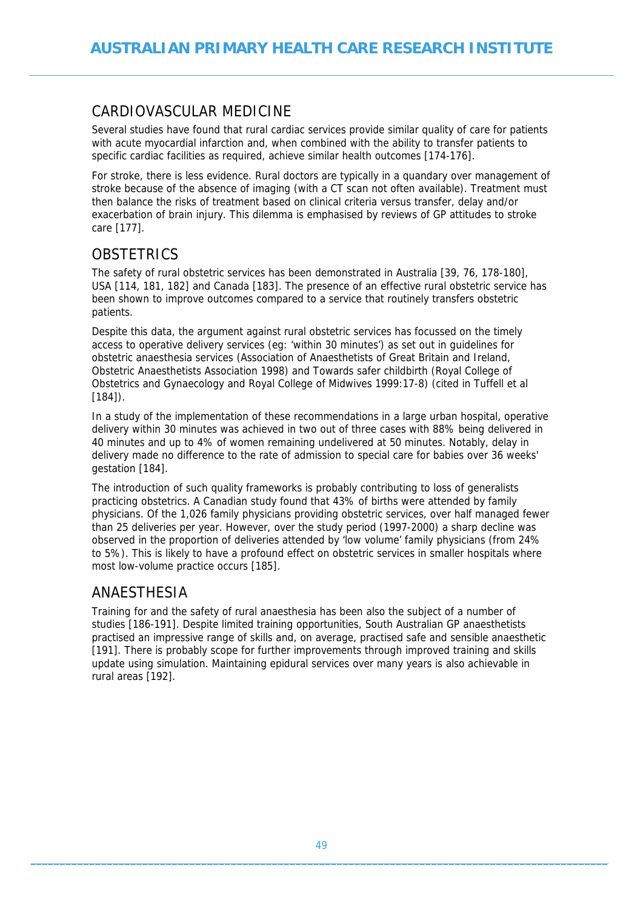### CARDIOVASCULAR MEDICINE

Several studies have found that rural cardiac services provide similar quality of care for patients with acute myocardial infarction and, when combined with the ability to transfer patients to specific cardiac facilities as required, achieve similar health outcomes [174-176].

For stroke, there is less evidence. Rural doctors are typically in a quandary over management of stroke because of the absence of imaging (with a CT scan not often available). Treatment must then balance the risks of treatment based on clinical criteria versus transfer, delay and/or exacerbation of brain injury. This dilemma is emphasised by reviews of GP attitudes to stroke care [177].

### **OBSTETRICS**

The safety of rural obstetric services has been demonstrated in Australia [39, 76, 178-180], USA [114, 181, 182] and Canada [183]. The presence of an effective rural obstetric service has been shown to improve outcomes compared to a service that routinely transfers obstetric patients.

Despite this data, the argument against rural obstetric services has focussed on the timely access to operative delivery services (eg: 'within 30 minutes') as set out in guidelines for obstetric anaesthesia services (Association of Anaesthetists of Great Britain and Ireland, Obstetric Anaesthetists Association 1998) and Towards safer childbirth (Royal College of Obstetrics and Gynaecology and Royal College of Midwives 1999:17-8) (cited in Tuffell et al [184]).

In a study of the implementation of these recommendations in a large urban hospital, operative delivery within 30 minutes was achieved in two out of three cases with 88% being delivered in 40 minutes and up to 4% of women remaining undelivered at 50 minutes. Notably, delay in delivery made no difference to the rate of admission to special care for babies over 36 weeks' gestation [184].

The introduction of such quality frameworks is probably contributing to loss of generalists practicing obstetrics. A Canadian study found that 43% of births were attended by family physicians. Of the 1,026 family physicians providing obstetric services, over half managed fewer than 25 deliveries per year. However, over the study period (1997-2000) a sharp decline was observed in the proportion of deliveries attended by 'low volume' family physicians (from 24% to 5%). This is likely to have a profound effect on obstetric services in smaller hospitals where most low-volume practice occurs [185].

#### ANAESTHESIA

Training for and the safety of rural anaesthesia has been also the subject of a number of studies [186-191]. Despite limited training opportunities, South Australian GP anaesthetists practised an impressive range of skills and, on average, practised safe and sensible anaesthetic [191]. There is probably scope for further improvements through improved training and skills update using simulation. Maintaining epidural services over many years is also achievable in rural areas [192].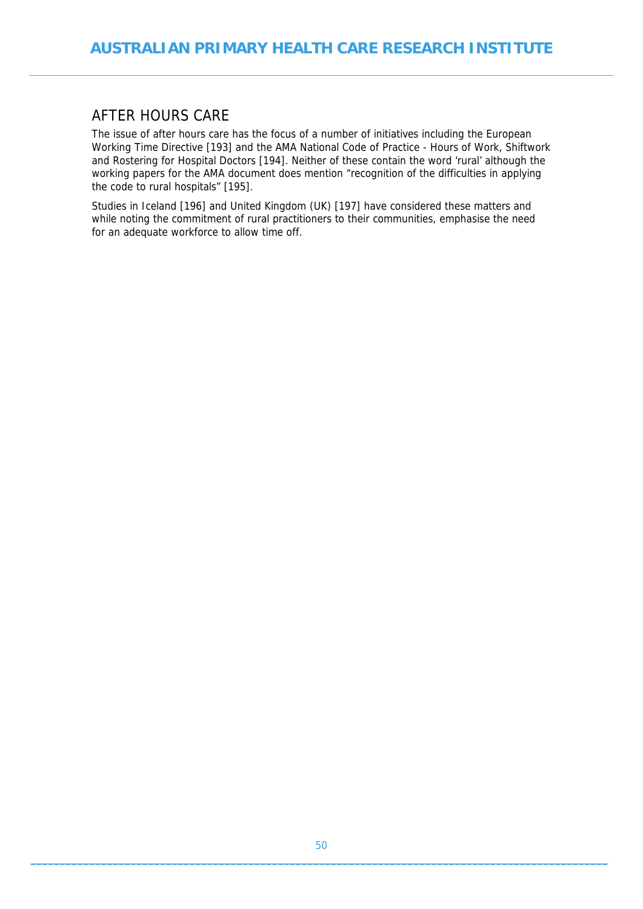#### AFTER HOURS CARE

The issue of after hours care has the focus of a number of initiatives including the European Working Time Directive [193] and the AMA National Code of Practice - Hours of Work, Shiftwork and Rostering for Hospital Doctors [194]. Neither of these contain the word 'rural' although the working papers for the AMA document does mention "recognition of the difficulties in applying the code to rural hospitals" [195].

Studies in Iceland [196] and United Kingdom (UK) [197] have considered these matters and while noting the commitment of rural practitioners to their communities, emphasise the need for an adequate workforce to allow time off.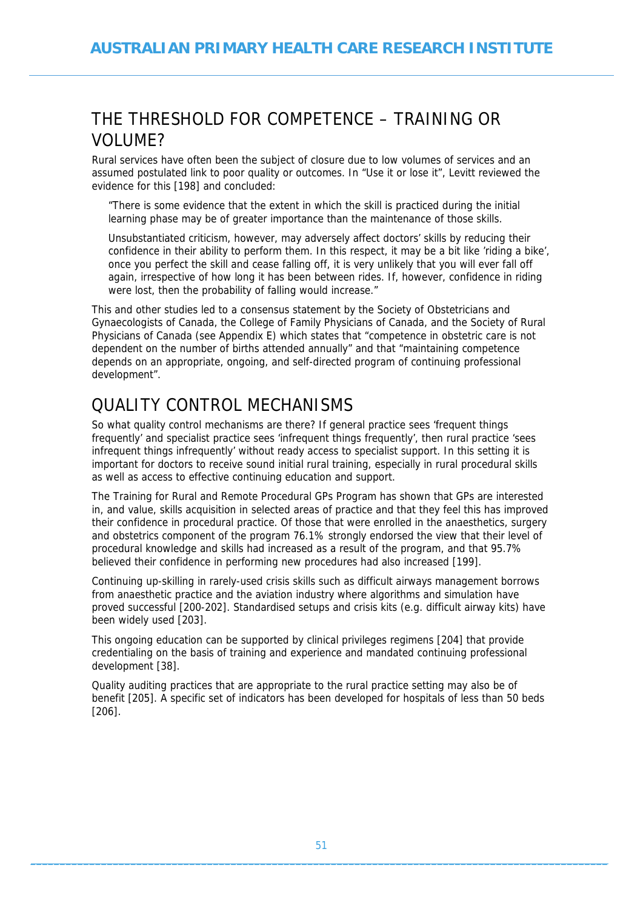## THE THRESHOLD FOR COMPETENCE – TRAINING OR VOLUME?

Rural services have often been the subject of closure due to low volumes of services and an assumed postulated link to poor quality or outcomes. In "Use it or lose it", Levitt reviewed the evidence for this [198] and concluded:

"There is some evidence that the extent in which the skill is practiced during the initial learning phase may be of greater importance than the maintenance of those skills.

Unsubstantiated criticism, however, may adversely affect doctors' skills by reducing their confidence in their ability to perform them. In this respect, it may be a bit like 'riding a bike', once you perfect the skill and cease falling off, it is very unlikely that you will ever fall off again, irrespective of how long it has been between rides. If, however, confidence in riding were lost, then the probability of falling would increase."

This and other studies led to a consensus statement by the Society of Obstetricians and Gynaecologists of Canada, the College of Family Physicians of Canada, and the Society of Rural Physicians of Canada (see Appendix E) which states that "competence in obstetric care is not dependent on the number of births attended annually" and that "maintaining competence depends on an appropriate, ongoing, and self-directed program of continuing professional development".

# QUALITY CONTROL MECHANISMS

So what quality control mechanisms are there? If general practice sees 'frequent things frequently' and specialist practice sees 'infrequent things frequently', then rural practice 'sees infrequent things infrequently' without ready access to specialist support. In this setting it is important for doctors to receive sound initial rural training, especially in rural procedural skills as well as access to effective continuing education and support.

The Training for Rural and Remote Procedural GPs Program has shown that GPs are interested in, and value, skills acquisition in selected areas of practice and that they feel this has improved their confidence in procedural practice. Of those that were enrolled in the anaesthetics, surgery and obstetrics component of the program 76.1% strongly endorsed the view that their level of procedural knowledge and skills had increased as a result of the program, and that 95.7% believed their confidence in performing new procedures had also increased [199].

Continuing up-skilling in rarely-used crisis skills such as difficult airways management borrows from anaesthetic practice and the aviation industry where algorithms and simulation have proved successful [200-202]. Standardised setups and crisis kits (e.g. difficult airway kits) have been widely used [203].

This ongoing education can be supported by clinical privileges regimens [204] that provide credentialing on the basis of training and experience and mandated continuing professional development [38].

Quality auditing practices that are appropriate to the rural practice setting may also be of benefit [205]. A specific set of indicators has been developed for hospitals of less than 50 beds [206].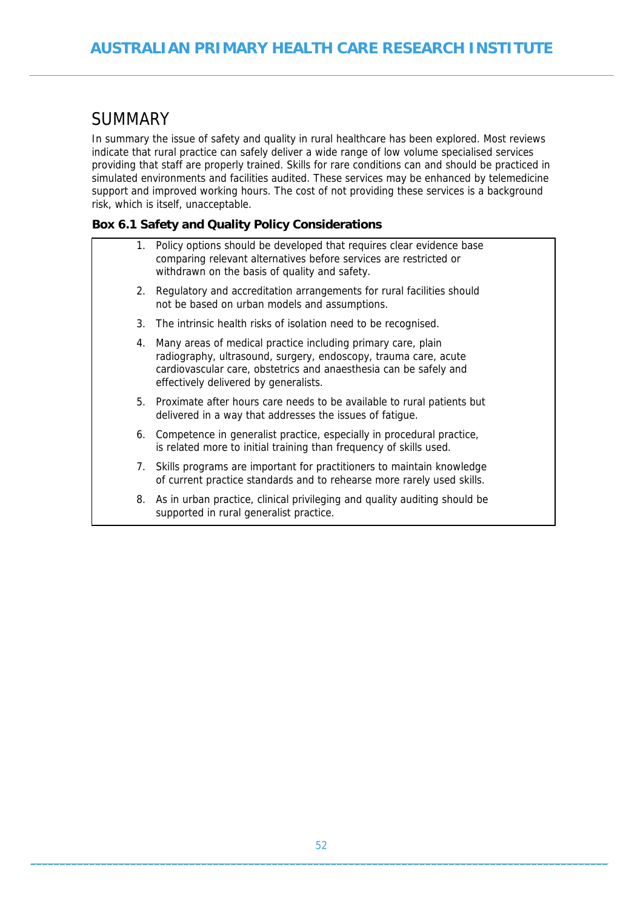## **SUMMARY**

In summary the issue of safety and quality in rural healthcare has been explored. Most reviews indicate that rural practice can safely deliver a wide range of low volume specialised services providing that staff are properly trained. Skills for rare conditions can and should be practiced in simulated environments and facilities audited. These services may be enhanced by telemedicine support and improved working hours. The cost of not providing these services is a background risk, which is itself, unacceptable.

#### **Box 6.1 Safety and Quality Policy Considerations**

supported in rural generalist practice.

|    | 1. Policy options should be developed that requires clear evidence base<br>comparing relevant alternatives before services are restricted or<br>withdrawn on the basis of quality and safety.                                                 |
|----|-----------------------------------------------------------------------------------------------------------------------------------------------------------------------------------------------------------------------------------------------|
|    | 2. Regulatory and accreditation arrangements for rural facilities should<br>not be based on urban models and assumptions.                                                                                                                     |
|    | 3. The intrinsic health risks of isolation need to be recognised.                                                                                                                                                                             |
| 4. | Many areas of medical practice including primary care, plain<br>radiography, ultrasound, surgery, endoscopy, trauma care, acute<br>cardiovascular care, obstetrics and anaesthesia can be safely and<br>effectively delivered by generalists. |
| 5. | Proximate after hours care needs to be available to rural patients but<br>delivered in a way that addresses the issues of fatigue.                                                                                                            |
| 6. | Competence in generalist practice, especially in procedural practice,<br>is related more to initial training than frequency of skills used.                                                                                                   |
|    | 7. Skills programs are important for practitioners to maintain knowledge<br>of current practice standards and to rehearse more rarely used skills.                                                                                            |
| 8. | As in urban practice, clinical privileging and quality auditing should be                                                                                                                                                                     |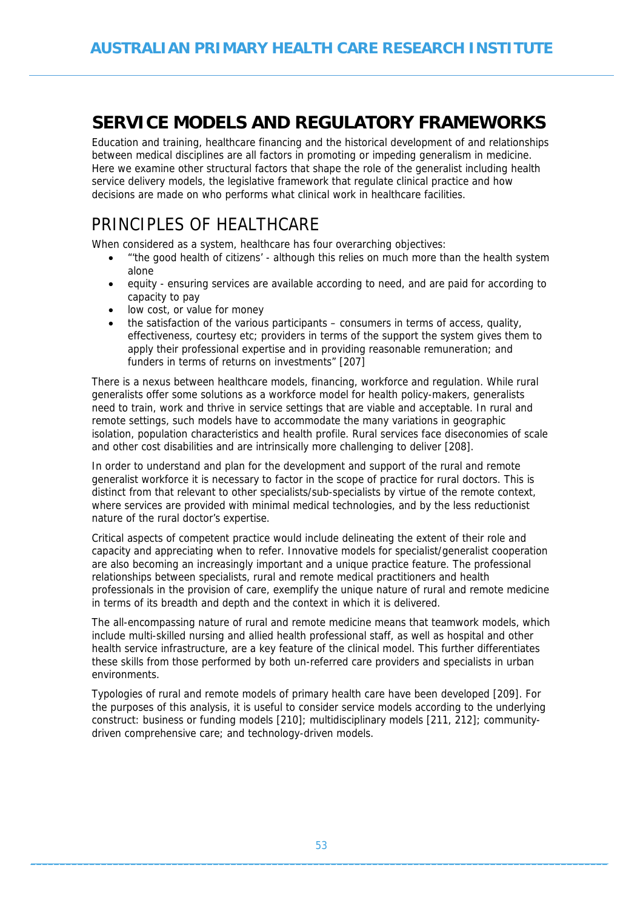# **SERVICE MODELS AND REGULATORY FRAMEWORKS**

Education and training, healthcare financing and the historical development of and relationships between medical disciplines are all factors in promoting or impeding generalism in medicine. Here we examine other structural factors that shape the role of the generalist including health service delivery models, the legislative framework that regulate clinical practice and how decisions are made on who performs what clinical work in healthcare facilities.

# PRINCIPLES OF HEALTHCARE

When considered as a system, healthcare has four overarching objectives:

- "'the good health of citizens' although this relies on much more than the health system alone
- equity ensuring services are available according to need, and are paid for according to capacity to pay
- low cost, or value for money
- the satisfaction of the various participants consumers in terms of access, quality, effectiveness, courtesy etc; providers in terms of the support the system gives them to apply their professional expertise and in providing reasonable remuneration; and funders in terms of returns on investments" [207]

There is a nexus between healthcare models, financing, workforce and regulation. While rural generalists offer some solutions as a workforce model for health policy-makers, generalists need to train, work and thrive in service settings that are viable and acceptable. In rural and remote settings, such models have to accommodate the many variations in geographic isolation, population characteristics and health profile. Rural services face diseconomies of scale and other cost disabilities and are intrinsically more challenging to deliver [208].

In order to understand and plan for the development and support of the rural and remote generalist workforce it is necessary to factor in the scope of practice for rural doctors. This is distinct from that relevant to other specialists/sub-specialists by virtue of the remote context, where services are provided with minimal medical technologies, and by the less reductionist nature of the rural doctor's expertise.

Critical aspects of competent practice would include delineating the extent of their role and capacity and appreciating when to refer. Innovative models for specialist/generalist cooperation are also becoming an increasingly important and a unique practice feature. The professional relationships between specialists, rural and remote medical practitioners and health professionals in the provision of care, exemplify the unique nature of rural and remote medicine in terms of its breadth and depth and the context in which it is delivered.

The all-encompassing nature of rural and remote medicine means that teamwork models, which include multi-skilled nursing and allied health professional staff, as well as hospital and other health service infrastructure, are a key feature of the clinical model. This further differentiates these skills from those performed by both un-referred care providers and specialists in urban environments.

Typologies of rural and remote models of primary health care have been developed [209]. For the purposes of this analysis, it is useful to consider service models according to the underlying construct: business or funding models [210]; multidisciplinary models [211, 212]; communitydriven comprehensive care; and technology-driven models.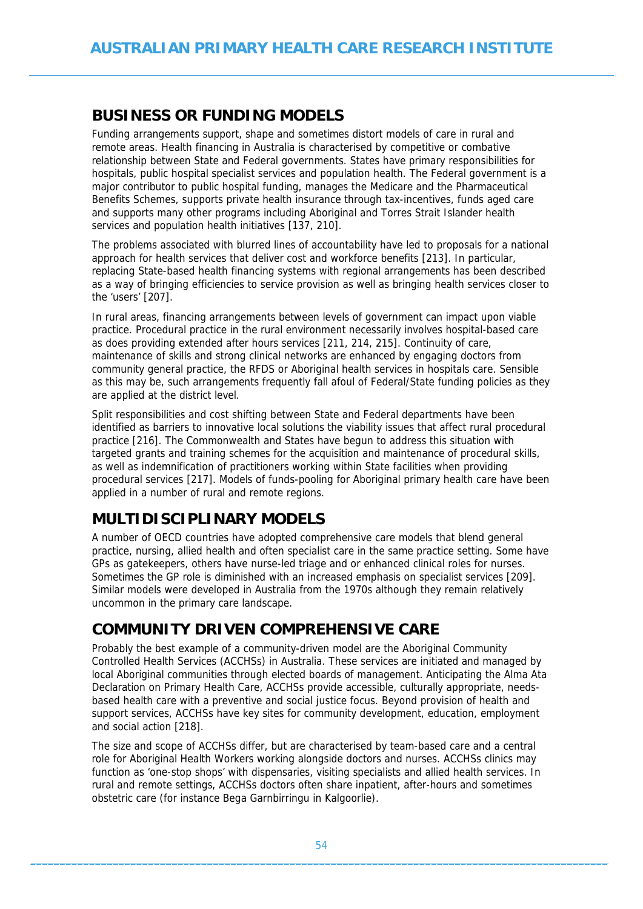### **BUSINESS OR FUNDING MODELS**

Funding arrangements support, shape and sometimes distort models of care in rural and remote areas. Health financing in Australia is characterised by competitive or combative relationship between State and Federal governments. States have primary responsibilities for hospitals, public hospital specialist services and population health. The Federal government is a major contributor to public hospital funding, manages the Medicare and the Pharmaceutical Benefits Schemes, supports private health insurance through tax-incentives, funds aged care and supports many other programs including Aboriginal and Torres Strait Islander health services and population health initiatives [137, 210].

The problems associated with blurred lines of accountability have led to proposals for a national approach for health services that deliver cost and workforce benefits [213]. In particular, replacing State-based health financing systems with regional arrangements has been described as a way of bringing efficiencies to service provision as well as bringing health services closer to the 'users' [207].

In rural areas, financing arrangements between levels of government can impact upon viable practice. Procedural practice in the rural environment necessarily involves hospital-based care as does providing extended after hours services [211, 214, 215]. Continuity of care, maintenance of skills and strong clinical networks are enhanced by engaging doctors from community general practice, the RFDS or Aboriginal health services in hospitals care. Sensible as this may be, such arrangements frequently fall afoul of Federal/State funding policies as they are applied at the district level.

Split responsibilities and cost shifting between State and Federal departments have been identified as barriers to innovative local solutions the viability issues that affect rural procedural practice [216]. The Commonwealth and States have begun to address this situation with targeted grants and training schemes for the acquisition and maintenance of procedural skills, as well as indemnification of practitioners working within State facilities when providing procedural services [217]. Models of funds-pooling for Aboriginal primary health care have been applied in a number of rural and remote regions.

## **MULTIDISCIPLINARY MODELS**

A number of OECD countries have adopted comprehensive care models that blend general practice, nursing, allied health and often specialist care in the same practice setting. Some have GPs as gatekeepers, others have nurse-led triage and or enhanced clinical roles for nurses. Sometimes the GP role is diminished with an increased emphasis on specialist services [209]. Similar models were developed in Australia from the 1970s although they remain relatively uncommon in the primary care landscape.

### **COMMUNITY DRIVEN COMPREHENSIVE CARE**

Probably the best example of a community-driven model are the Aboriginal Community Controlled Health Services (ACCHSs) in Australia. These services are initiated and managed by local Aboriginal communities through elected boards of management. Anticipating the Alma Ata Declaration on Primary Health Care, ACCHSs provide accessible, culturally appropriate, needsbased health care with a preventive and social justice focus. Beyond provision of health and support services, ACCHSs have key sites for community development, education, employment and social action [218].

The size and scope of ACCHSs differ, but are characterised by team-based care and a central role for Aboriginal Health Workers working alongside doctors and nurses. ACCHSs clinics may function as 'one-stop shops' with dispensaries, visiting specialists and allied health services. In rural and remote settings, ACCHSs doctors often share inpatient, after-hours and sometimes obstetric care (for instance Bega Garnbirringu in Kalgoorlie).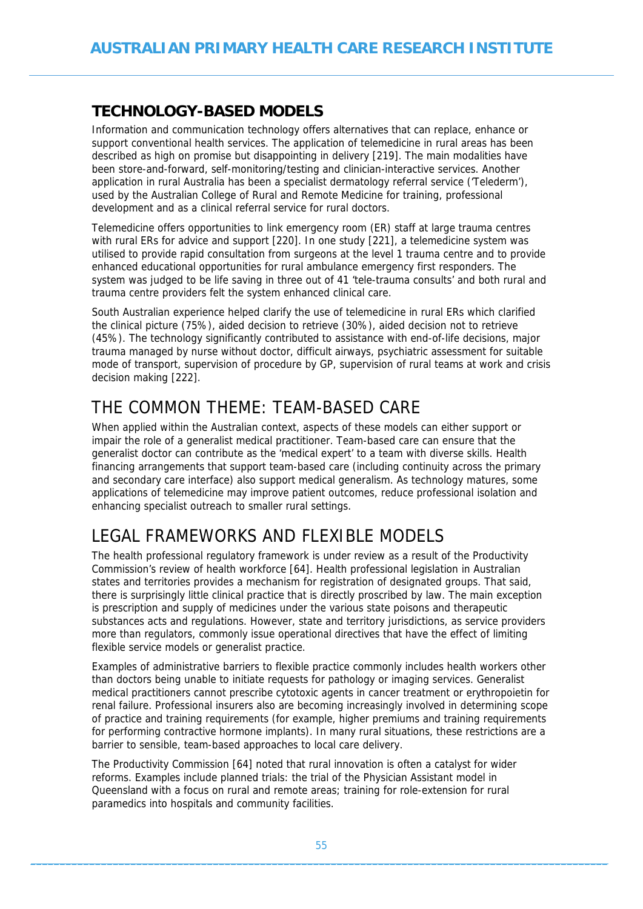## **TECHNOLOGY-BASED MODELS**

Information and communication technology offers alternatives that can replace, enhance or support conventional health services. The application of telemedicine in rural areas has been described as high on promise but disappointing in delivery [219]. The main modalities have been store-and-forward, self-monitoring/testing and clinician-interactive services. Another application in rural Australia has been a specialist dermatology referral service ('Telederm'), used by the Australian College of Rural and Remote Medicine for training, professional development and as a clinical referral service for rural doctors.

Telemedicine offers opportunities to link emergency room (ER) staff at large trauma centres with rural ERs for advice and support [220]. In one study [221], a telemedicine system was utilised to provide rapid consultation from surgeons at the level 1 trauma centre and to provide enhanced educational opportunities for rural ambulance emergency first responders. The system was judged to be life saving in three out of 41 'tele-trauma consults' and both rural and trauma centre providers felt the system enhanced clinical care.

South Australian experience helped clarify the use of telemedicine in rural ERs which clarified the clinical picture (75%), aided decision to retrieve (30%), aided decision not to retrieve (45%). The technology significantly contributed to assistance with end-of-life decisions, major trauma managed by nurse without doctor, difficult airways, psychiatric assessment for suitable mode of transport, supervision of procedure by GP, supervision of rural teams at work and crisis decision making [222].

# THE COMMON THEME: TEAM-BASED CARE

When applied within the Australian context, aspects of these models can either support or impair the role of a generalist medical practitioner. Team-based care can ensure that the generalist doctor can contribute as the 'medical expert' to a team with diverse skills. Health financing arrangements that support team-based care (including continuity across the primary and secondary care interface) also support medical generalism. As technology matures, some applications of telemedicine may improve patient outcomes, reduce professional isolation and enhancing specialist outreach to smaller rural settings.

# LEGAL FRAMEWORKS AND FLEXIBLE MODELS

The health professional regulatory framework is under review as a result of the Productivity Commission's review of health workforce [64]. Health professional legislation in Australian states and territories provides a mechanism for registration of designated groups. That said, there is surprisingly little clinical practice that is directly proscribed by law. The main exception is prescription and supply of medicines under the various state poisons and therapeutic substances acts and regulations. However, state and territory jurisdictions, as service providers more than regulators, commonly issue operational directives that have the effect of limiting flexible service models or generalist practice.

Examples of administrative barriers to flexible practice commonly includes health workers other than doctors being unable to initiate requests for pathology or imaging services. Generalist medical practitioners cannot prescribe cytotoxic agents in cancer treatment or erythropoietin for renal failure. Professional insurers also are becoming increasingly involved in determining scope of practice and training requirements (for example, higher premiums and training requirements for performing contractive hormone implants). In many rural situations, these restrictions are a barrier to sensible, team-based approaches to local care delivery.

The Productivity Commission [64] noted that rural innovation is often a catalyst for wider reforms. Examples include planned trials: the trial of the Physician Assistant model in Queensland with a focus on rural and remote areas; training for role-extension for rural paramedics into hospitals and community facilities.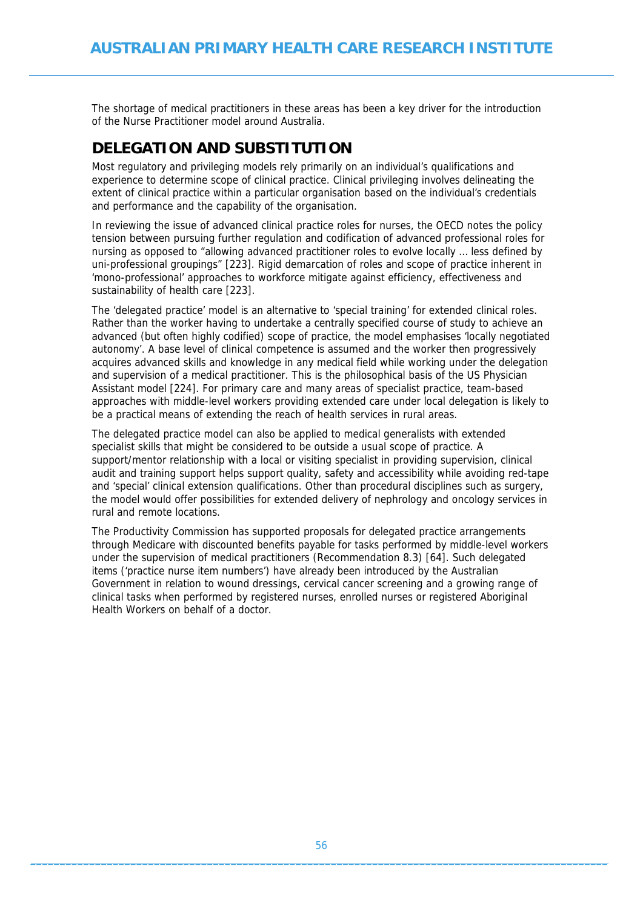The shortage of medical practitioners in these areas has been a key driver for the introduction of the Nurse Practitioner model around Australia.

### **DELEGATION AND SUBSTITUTION**

Most regulatory and privileging models rely primarily on an individual's qualifications and experience to determine scope of clinical practice. Clinical privileging involves delineating the extent of clinical practice within a particular organisation based on the individual's credentials and performance and the capability of the organisation.

In reviewing the issue of advanced clinical practice roles for nurses, the OECD notes the policy tension between pursuing further regulation and codification of advanced professional roles for nursing as opposed to "allowing advanced practitioner roles to evolve locally … less defined by uni-professional groupings" [223]. Rigid demarcation of roles and scope of practice inherent in 'mono-professional' approaches to workforce mitigate against efficiency, effectiveness and sustainability of health care [223].

The 'delegated practice' model is an alternative to 'special training' for extended clinical roles. Rather than the worker having to undertake a centrally specified course of study to achieve an advanced (but often highly codified) scope of practice, the model emphasises 'locally negotiated autonomy'. A base level of clinical competence is assumed and the worker then progressively acquires advanced skills and knowledge in any medical field while working under the delegation and supervision of a medical practitioner. This is the philosophical basis of the US Physician Assistant model [224]. For primary care and many areas of specialist practice, team-based approaches with middle-level workers providing extended care under local delegation is likely to be a practical means of extending the reach of health services in rural areas.

The delegated practice model can also be applied to medical generalists with extended specialist skills that might be considered to be outside a usual scope of practice. A support/mentor relationship with a local or visiting specialist in providing supervision, clinical audit and training support helps support quality, safety and accessibility while avoiding red-tape and 'special' clinical extension qualifications. Other than procedural disciplines such as surgery, the model would offer possibilities for extended delivery of nephrology and oncology services in rural and remote locations.

The Productivity Commission has supported proposals for delegated practice arrangements through Medicare with discounted benefits payable for tasks performed by middle-level workers under the supervision of medical practitioners (Recommendation 8.3) [64]. Such delegated items ('practice nurse item numbers') have already been introduced by the Australian Government in relation to wound dressings, cervical cancer screening and a growing range of clinical tasks when performed by registered nurses, enrolled nurses or registered Aboriginal Health Workers on behalf of a doctor.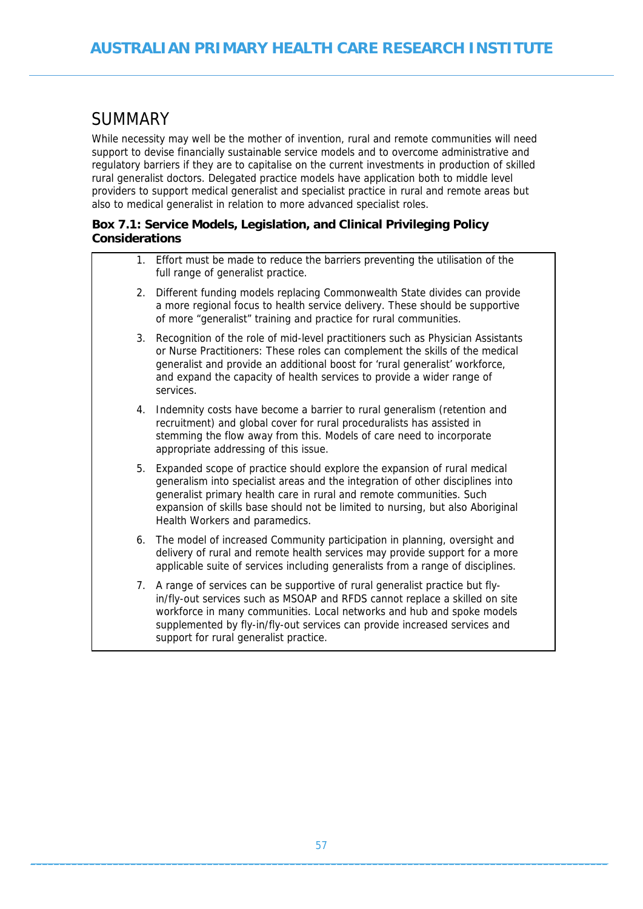## **SUMMARY**

While necessity may well be the mother of invention, rural and remote communities will need support to devise financially sustainable service models and to overcome administrative and regulatory barriers if they are to capitalise on the current investments in production of skilled rural generalist doctors. Delegated practice models have application both to middle level providers to support medical generalist and specialist practice in rural and remote areas but also to medical generalist in relation to more advanced specialist roles.

#### **Box 7.1: Service Models, Legislation, and Clinical Privileging Policy Considerations**

|    | 1. Effort must be made to reduce the barriers preventing the utilisation of the<br>full range of generalist practice.                                                                                                                                                                                                                                           |
|----|-----------------------------------------------------------------------------------------------------------------------------------------------------------------------------------------------------------------------------------------------------------------------------------------------------------------------------------------------------------------|
|    | 2. Different funding models replacing Commonwealth State divides can provide<br>a more regional focus to health service delivery. These should be supportive<br>of more "generalist" training and practice for rural communities.                                                                                                                               |
| 3. | Recognition of the role of mid-level practitioners such as Physician Assistants<br>or Nurse Practitioners: These roles can complement the skills of the medical<br>generalist and provide an additional boost for 'rural generalist' workforce,<br>and expand the capacity of health services to provide a wider range of<br>services.                          |
| 4. | Indemnity costs have become a barrier to rural generalism (retention and<br>recruitment) and global cover for rural proceduralists has assisted in<br>stemming the flow away from this. Models of care need to incorporate<br>appropriate addressing of this issue.                                                                                             |
| 5. | Expanded scope of practice should explore the expansion of rural medical<br>generalism into specialist areas and the integration of other disciplines into<br>generalist primary health care in rural and remote communities. Such<br>expansion of skills base should not be limited to nursing, but also Aboriginal<br>Health Workers and paramedics.          |
| 6. | The model of increased Community participation in planning, oversight and<br>delivery of rural and remote health services may provide support for a more<br>applicable suite of services including generalists from a range of disciplines.                                                                                                                     |
|    | 7. A range of services can be supportive of rural generalist practice but fly-<br>in/fly-out services such as MSOAP and RFDS cannot replace a skilled on site<br>workforce in many communities. Local networks and hub and spoke models<br>supplemented by fly-in/fly-out services can provide increased services and<br>support for rural generalist practice. |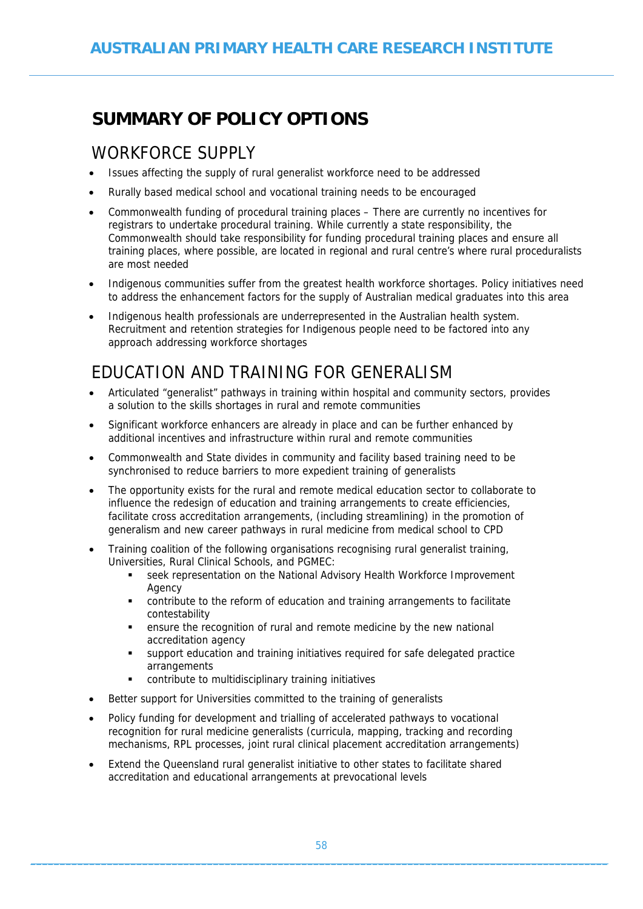# **SUMMARY OF POLICY OPTIONS**

## WORKFORCE SUPPLY

- Issues affecting the supply of rural generalist workforce need to be addressed
- Rurally based medical school and vocational training needs to be encouraged
- Commonwealth funding of procedural training places There are currently no incentives for registrars to undertake procedural training. While currently a state responsibility, the Commonwealth should take responsibility for funding procedural training places and ensure all training places, where possible, are located in regional and rural centre's where rural proceduralists are most needed
- Indigenous communities suffer from the greatest health workforce shortages. Policy initiatives need to address the enhancement factors for the supply of Australian medical graduates into this area
- Indigenous health professionals are underrepresented in the Australian health system. Recruitment and retention strategies for Indigenous people need to be factored into any approach addressing workforce shortages

# EDUCATION AND TRAINING FOR GENERALISM

- Articulated "generalist" pathways in training within hospital and community sectors, provides a solution to the skills shortages in rural and remote communities
- Significant workforce enhancers are already in place and can be further enhanced by additional incentives and infrastructure within rural and remote communities
- Commonwealth and State divides in community and facility based training need to be synchronised to reduce barriers to more expedient training of generalists
- The opportunity exists for the rural and remote medical education sector to collaborate to influence the redesign of education and training arrangements to create efficiencies, facilitate cross accreditation arrangements, (including streamlining) in the promotion of generalism and new career pathways in rural medicine from medical school to CPD
- Training coalition of the following organisations recognising rural generalist training, Universities, Rural Clinical Schools, and PGMEC:
	- seek representation on the National Advisory Health Workforce Improvement Agency
	- contribute to the reform of education and training arrangements to facilitate contestability
	- ensure the recognition of rural and remote medicine by the new national accreditation agency
	- support education and training initiatives required for safe delegated practice arrangements
	- contribute to multidisciplinary training initiatives
- Better support for Universities committed to the training of generalists
- Policy funding for development and trialling of accelerated pathways to vocational recognition for rural medicine generalists (curricula, mapping, tracking and recording mechanisms, RPL processes, joint rural clinical placement accreditation arrangements)
- Extend the Queensland rural generalist initiative to other states to facilitate shared accreditation and educational arrangements at prevocational levels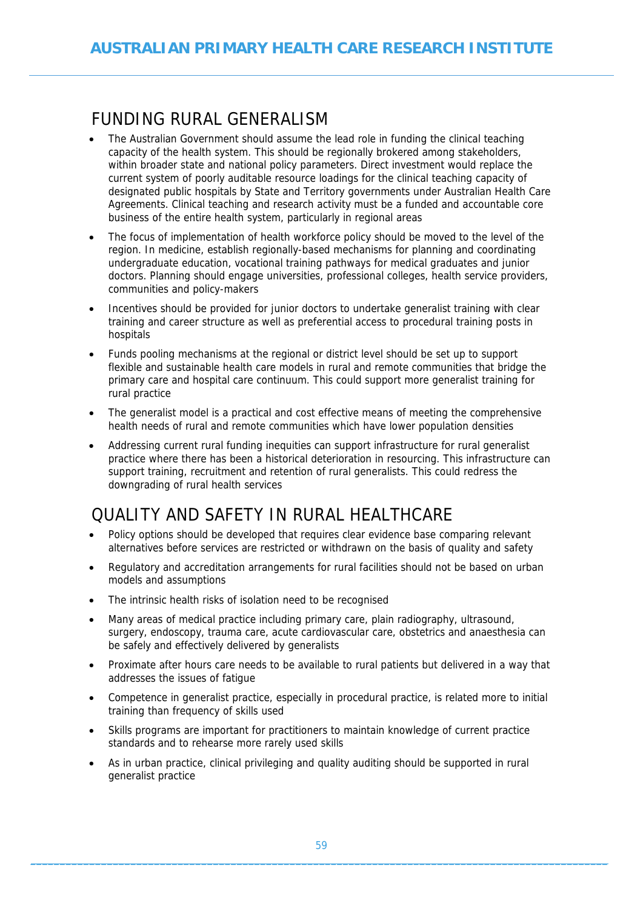# FUNDING RURAL GENERALISM

- The Australian Government should assume the lead role in funding the clinical teaching capacity of the health system. This should be regionally brokered among stakeholders, within broader state and national policy parameters. Direct investment would replace the current system of poorly auditable resource loadings for the clinical teaching capacity of designated public hospitals by State and Territory governments under Australian Health Care Agreements. Clinical teaching and research activity must be a funded and accountable core business of the entire health system, particularly in regional areas
- The focus of implementation of health workforce policy should be moved to the level of the region. In medicine, establish regionally-based mechanisms for planning and coordinating undergraduate education, vocational training pathways for medical graduates and junior doctors. Planning should engage universities, professional colleges, health service providers, communities and policy-makers
- Incentives should be provided for junior doctors to undertake generalist training with clear training and career structure as well as preferential access to procedural training posts in hospitals
- Funds pooling mechanisms at the regional or district level should be set up to support flexible and sustainable health care models in rural and remote communities that bridge the primary care and hospital care continuum. This could support more generalist training for rural practice
- The generalist model is a practical and cost effective means of meeting the comprehensive health needs of rural and remote communities which have lower population densities
- Addressing current rural funding inequities can support infrastructure for rural generalist practice where there has been a historical deterioration in resourcing. This infrastructure can support training, recruitment and retention of rural generalists. This could redress the downgrading of rural health services

# QUALITY AND SAFETY IN RURAL HEALTHCARE

- Policy options should be developed that requires clear evidence base comparing relevant alternatives before services are restricted or withdrawn on the basis of quality and safety
- Regulatory and accreditation arrangements for rural facilities should not be based on urban models and assumptions
- The intrinsic health risks of isolation need to be recognised
- Many areas of medical practice including primary care, plain radiography, ultrasound, surgery, endoscopy, trauma care, acute cardiovascular care, obstetrics and anaesthesia can be safely and effectively delivered by generalists
- Proximate after hours care needs to be available to rural patients but delivered in a way that addresses the issues of fatigue
- Competence in generalist practice, especially in procedural practice, is related more to initial training than frequency of skills used
- Skills programs are important for practitioners to maintain knowledge of current practice standards and to rehearse more rarely used skills
- As in urban practice, clinical privileging and quality auditing should be supported in rural generalist practice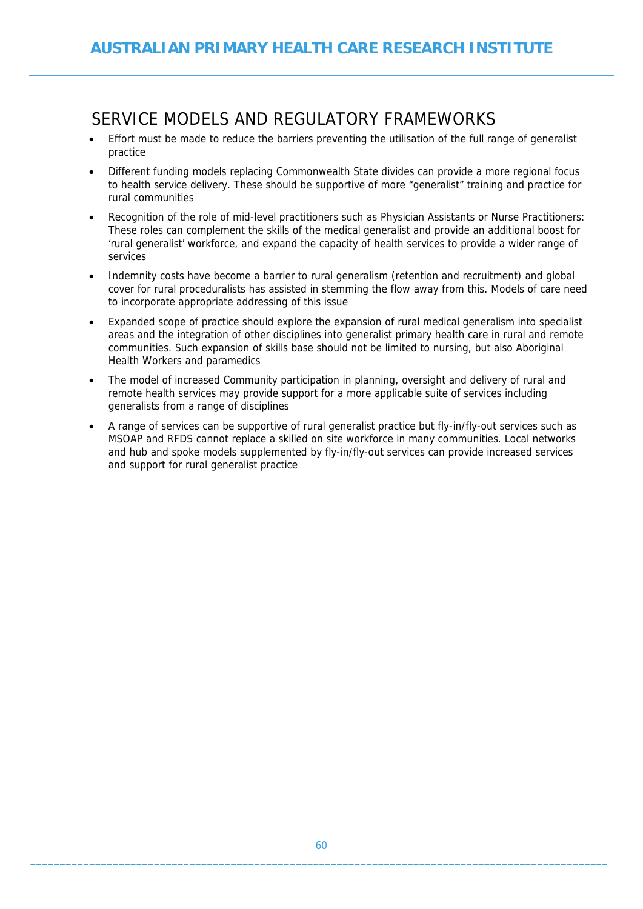# SERVICE MODELS AND REGULATORY FRAMEWORKS

- Effort must be made to reduce the barriers preventing the utilisation of the full range of generalist practice
- Different funding models replacing Commonwealth State divides can provide a more regional focus to health service delivery. These should be supportive of more "generalist" training and practice for rural communities
- Recognition of the role of mid-level practitioners such as Physician Assistants or Nurse Practitioners: These roles can complement the skills of the medical generalist and provide an additional boost for 'rural generalist' workforce, and expand the capacity of health services to provide a wider range of services
- Indemnity costs have become a barrier to rural generalism (retention and recruitment) and global cover for rural proceduralists has assisted in stemming the flow away from this. Models of care need to incorporate appropriate addressing of this issue
- Expanded scope of practice should explore the expansion of rural medical generalism into specialist areas and the integration of other disciplines into generalist primary health care in rural and remote communities. Such expansion of skills base should not be limited to nursing, but also Aboriginal Health Workers and paramedics
- The model of increased Community participation in planning, oversight and delivery of rural and remote health services may provide support for a more applicable suite of services including generalists from a range of disciplines
- A range of services can be supportive of rural generalist practice but fly-in/fly-out services such as MSOAP and RFDS cannot replace a skilled on site workforce in many communities. Local networks and hub and spoke models supplemented by fly-in/fly-out services can provide increased services and support for rural generalist practice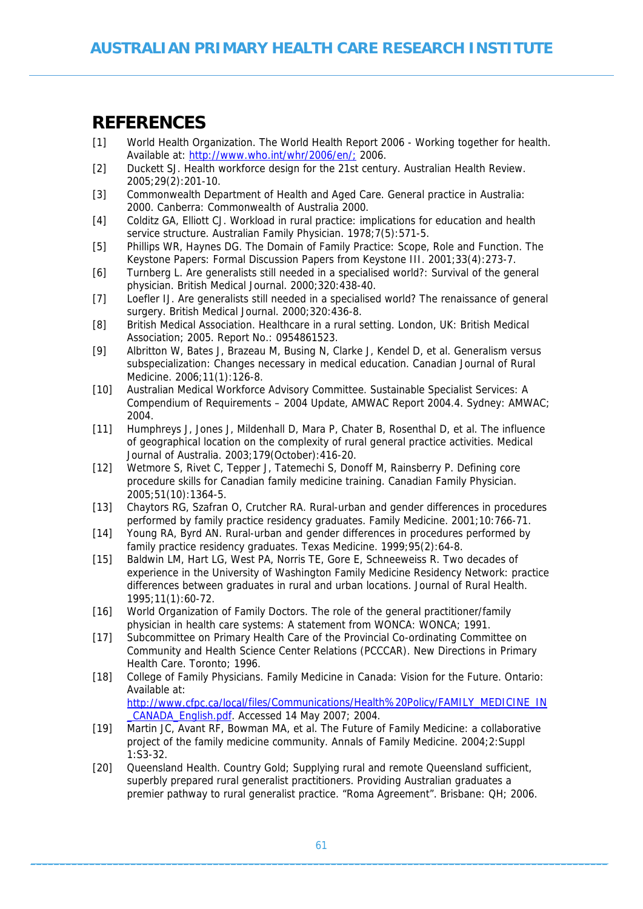## **REFERENCES**

- [1] World Health Organization. The World Health Report 2006 Working together for health. Available at:<http://www.who.int/whr/2006/en/;> 2006.
- [2] Duckett SJ. Health workforce design for the 21st century. Australian Health Review. 2005;29(2):201-10.
- [3] Commonwealth Department of Health and Aged Care. General practice in Australia: 2000. Canberra: Commonwealth of Australia 2000.
- [4] Colditz GA, Elliott CJ. Workload in rural practice: implications for education and health service structure. Australian Family Physician. 1978;7(5):571-5.
- [5] Phillips WR, Haynes DG. The Domain of Family Practice: Scope, Role and Function. The Keystone Papers: Formal Discussion Papers from Keystone III. 2001;33(4):273-7.
- [6] Turnberg L. Are generalists still needed in a specialised world?: Survival of the general physician. British Medical Journal. 2000;320:438-40.
- [7] Loefler IJ. Are generalists still needed in a specialised world? The renaissance of general surgery. British Medical Journal. 2000;320:436-8.
- [8] British Medical Association. Healthcare in a rural setting. London, UK: British Medical Association; 2005. Report No.: 0954861523.
- [9] Albritton W, Bates J, Brazeau M, Busing N, Clarke J, Kendel D, et al. Generalism versus subspecialization: Changes necessary in medical education. Canadian Journal of Rural Medicine. 2006;11(1):126-8.
- [10] Australian Medical Workforce Advisory Committee. Sustainable Specialist Services: A Compendium of Requirements – 2004 Update, AMWAC Report 2004.4. Sydney: AMWAC; 2004.
- [11] Humphreys J, Jones J, Mildenhall D, Mara P, Chater B, Rosenthal D, et al. The influence of geographical location on the complexity of rural general practice activities. Medical Journal of Australia. 2003;179(October):416-20.
- [12] Wetmore S, Rivet C, Tepper J, Tatemechi S, Donoff M, Rainsberry P. Defining core procedure skills for Canadian family medicine training. Canadian Family Physician. 2005;51(10):1364-5.
- [13] Chaytors RG, Szafran O, Crutcher RA. Rural-urban and gender differences in procedures performed by family practice residency graduates. Family Medicine. 2001;10:766-71.
- [14] Young RA, Byrd AN. Rural-urban and gender differences in procedures performed by family practice residency graduates. Texas Medicine. 1999;95(2):64-8.
- [15] Baldwin LM, Hart LG, West PA, Norris TE, Gore E, Schneeweiss R. Two decades of experience in the University of Washington Family Medicine Residency Network: practice differences between graduates in rural and urban locations. Journal of Rural Health. 1995;11(1):60-72.
- [16] World Organization of Family Doctors. The role of the general practitioner/family physician in health care systems: A statement from WONCA: WONCA; 1991.
- [17] Subcommittee on Primary Health Care of the Provincial Co-ordinating Committee on Community and Health Science Center Relations (PCCCAR). New Directions in Primary Health Care. Toronto; 1996.
- [18] College of Family Physicians. Family Medicine in Canada: Vision for the Future. Ontario: Available at: [http://www.cfpc.ca/local/files/Communications/Health%20Policy/FAMILY\\_MEDICINE\\_IN](http://www.cfpc.ca/local/files/Communications/Health Policy/FAMILY_MEDICINE_IN_CANADA_English.pdf) [\\_CANADA\\_English.pdf.](http://www.cfpc.ca/local/files/Communications/Health Policy/FAMILY_MEDICINE_IN_CANADA_English.pdf) Accessed 14 May 2007; 2004.
- [19] Martin JC, Avant RF, Bowman MA, et al. The Future of Family Medicine: a collaborative project of the family medicine community. Annals of Family Medicine. 2004;2:Suppl 1:S3-32.
- [20] Queensland Health. Country Gold; Supplying rural and remote Queensland sufficient, superbly prepared rural generalist practitioners. Providing Australian graduates a premier pathway to rural generalist practice. "Roma Agreement". Brisbane: QH; 2006.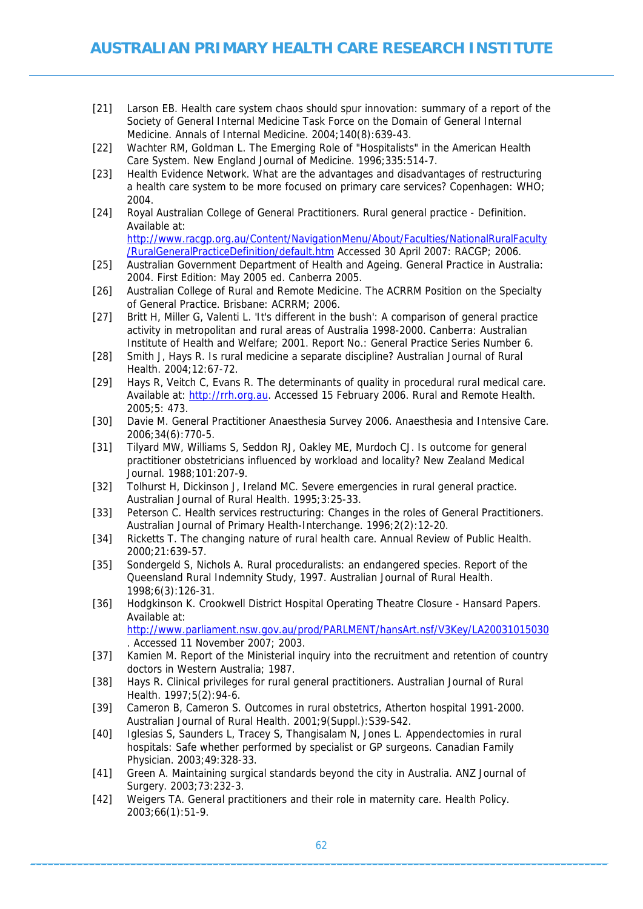- [21] Larson EB. Health care system chaos should spur innovation: summary of a report of the Society of General Internal Medicine Task Force on the Domain of General Internal Medicine. Annals of Internal Medicine. 2004;140(8):639-43.
- [22] Wachter RM, Goldman L. The Emerging Role of "Hospitalists" in the American Health Care System. New England Journal of Medicine. 1996;335:514-7.
- [23] Health Evidence Network. What are the advantages and disadvantages of restructuring a health care system to be more focused on primary care services? Copenhagen: WHO; 2004.
- [24] Royal Australian College of General Practitioners. Rural general practice Definition. Available at: [http://www.racgp.org.au/Content/NavigationMenu/About/Faculties/NationalRuralFaculty](http://www.racgp.org.au/Content/NavigationMenu/About/Faculties/NationalRuralFaculty/RuralGeneralPracticeDefinition/default.htm)
- [/RuralGeneralPracticeDefinition/default.htm](http://www.racgp.org.au/Content/NavigationMenu/About/Faculties/NationalRuralFaculty/RuralGeneralPracticeDefinition/default.htm) Accessed 30 April 2007: RACGP; 2006. [25] Australian Government Department of Health and Ageing. General Practice in Australia: 2004. First Edition: May 2005 ed. Canberra 2005.
- [26] Australian College of Rural and Remote Medicine. The ACRRM Position on the Specialty of General Practice. Brisbane: ACRRM; 2006.
- [27] Britt H, Miller G, Valenti L. 'It's different in the bush': A comparison of general practice activity in metropolitan and rural areas of Australia 1998-2000. Canberra: Australian Institute of Health and Welfare; 2001. Report No.: General Practice Series Number 6.
- [28] Smith J, Hays R. Is rural medicine a separate discipline? Australian Journal of Rural Health. 2004;12:67-72.
- [29] Hays R, Veitch C, Evans R. The determinants of quality in procedural rural medical care. Available at: [http://rrh.org.au](http://rrh.org.au/). Accessed 15 February 2006. Rural and Remote Health. 2005;5: 473.
- [30] Davie M. General Practitioner Anaesthesia Survey 2006. Anaesthesia and Intensive Care. 2006;34(6):770-5.
- [31] Tilyard MW, Williams S, Seddon RJ, Oakley ME, Murdoch CJ. Is outcome for general practitioner obstetricians influenced by workload and locality? New Zealand Medical Journal. 1988;101:207-9.
- [32] Tolhurst H, Dickinson J, Ireland MC. Severe emergencies in rural general practice. Australian Journal of Rural Health. 1995;3:25-33.
- [33] Peterson C. Health services restructuring: Changes in the roles of General Practitioners. Australian Journal of Primary Health-Interchange. 1996;2(2):12-20.
- [34] Ricketts T. The changing nature of rural health care. Annual Review of Public Health. 2000;21:639-57.
- [35] Sondergeld S, Nichols A. Rural proceduralists: an endangered species. Report of the Queensland Rural Indemnity Study, 1997. Australian Journal of Rural Health. 1998;6(3):126-31.
- [36] Hodgkinson K. Crookwell District Hospital Operating Theatre Closure Hansard Papers. Available at: <http://www.parliament.nsw.gov.au/prod/PARLMENT/hansArt.nsf/V3Key/LA20031015030> . Accessed 11 November 2007; 2003.
- [37] Kamien M. Report of the Ministerial inquiry into the recruitment and retention of country doctors in Western Australia; 1987.
- [38] Hays R. Clinical privileges for rural general practitioners. Australian Journal of Rural Health. 1997;5(2):94-6.
- [39] Cameron B, Cameron S. Outcomes in rural obstetrics, Atherton hospital 1991-2000. Australian Journal of Rural Health. 2001;9(Suppl.):S39-S42.
- [40] Iglesias S, Saunders L, Tracey S, Thangisalam N, Jones L. Appendectomies in rural hospitals: Safe whether performed by specialist or GP surgeons. Canadian Family Physician. 2003;49:328-33.
- [41] Green A. Maintaining surgical standards beyond the city in Australia. ANZ Journal of Surgery. 2003;73:232-3.
- [42] Weigers TA. General practitioners and their role in maternity care. Health Policy. 2003;66(1):51-9.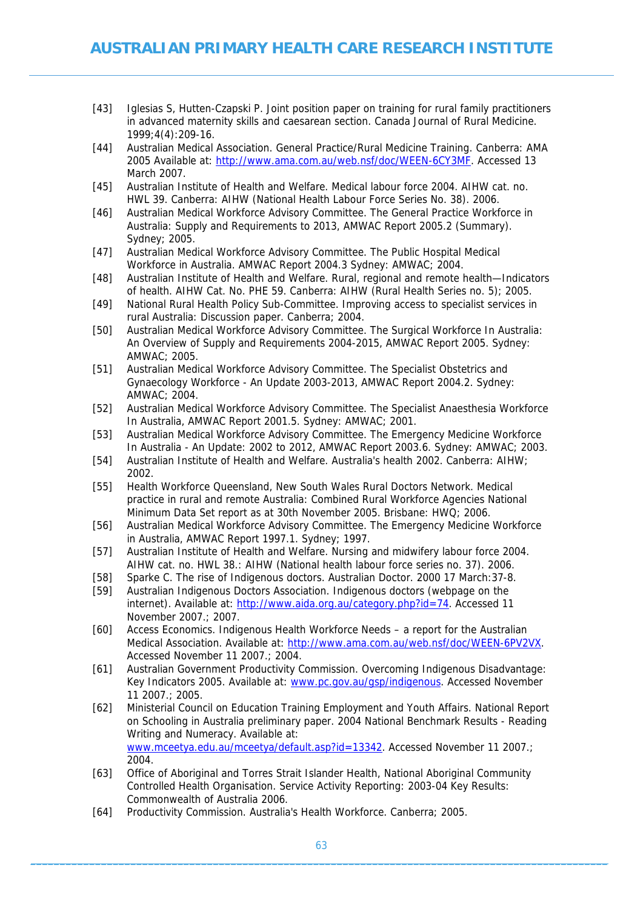- [43] Iglesias S, Hutten-Czapski P. Joint position paper on training for rural family practitioners in advanced maternity skills and caesarean section. Canada Journal of Rural Medicine. 1999;4(4):209-16.
- [44] Australian Medical Association. General Practice/Rural Medicine Training. Canberra: AMA 2005 Available at:<http://www.ama.com.au/web.nsf/doc/WEEN-6CY3MF>. Accessed 13 March 2007.
- [45] Australian Institute of Health and Welfare. Medical labour force 2004. AIHW cat. no. HWL 39. Canberra: AIHW (National Health Labour Force Series No. 38). 2006.
- [46] Australian Medical Workforce Advisory Committee. The General Practice Workforce in Australia: Supply and Requirements to 2013, AMWAC Report 2005.2 (Summary). Sydney; 2005.
- [47] Australian Medical Workforce Advisory Committee. The Public Hospital Medical Workforce in Australia. AMWAC Report 2004.3 Sydney: AMWAC; 2004.
- [48] Australian Institute of Health and Welfare. Rural, regional and remote health—Indicators of health. AIHW Cat. No. PHE 59. Canberra: AIHW (Rural Health Series no. 5); 2005.
- [49] National Rural Health Policy Sub-Committee. Improving access to specialist services in rural Australia: Discussion paper. Canberra; 2004.
- [50] Australian Medical Workforce Advisory Committee. The Surgical Workforce In Australia: An Overview of Supply and Requirements 2004-2015, AMWAC Report 2005. Sydney: AMWAC; 2005.
- [51] Australian Medical Workforce Advisory Committee. The Specialist Obstetrics and Gynaecology Workforce - An Update 2003-2013, AMWAC Report 2004.2. Sydney: AMWAC; 2004.
- [52] Australian Medical Workforce Advisory Committee. The Specialist Anaesthesia Workforce In Australia, AMWAC Report 2001.5. Sydney: AMWAC; 2001.
- [53] Australian Medical Workforce Advisory Committee. The Emergency Medicine Workforce In Australia - An Update: 2002 to 2012, AMWAC Report 2003.6. Sydney: AMWAC; 2003.
- [54] Australian Institute of Health and Welfare. Australia's health 2002. Canberra: AIHW; 2002.
- [55] Health Workforce Queensland, New South Wales Rural Doctors Network. Medical practice in rural and remote Australia: Combined Rural Workforce Agencies National Minimum Data Set report as at 30th November 2005. Brisbane: HWQ; 2006.
- [56] Australian Medical Workforce Advisory Committee. The Emergency Medicine Workforce in Australia, AMWAC Report 1997.1. Sydney; 1997.
- [57] Australian Institute of Health and Welfare. Nursing and midwifery labour force 2004. AIHW cat. no. HWL 38.: AIHW (National health labour force series no. 37). 2006.
- [58] Sparke C. The rise of Indigenous doctors. Australian Doctor. 2000 17 March:37-8.
- [59] Australian Indigenous Doctors Association. Indigenous doctors (webpage on the internet). Available at: [http://www.aida.org.au/category.php?id=74.](http://www.aida.org.au/category.php?id=74) Accessed 11 November 2007.; 2007.
- [60] Access Economics. Indigenous Health Workforce Needs a report for the Australian Medical Association. Available at:<http://www.ama.com.au/web.nsf/doc/WEEN-6PV2VX>. Accessed November 11 2007.; 2004.
- [61] Australian Government Productivity Commission. Overcoming Indigenous Disadvantage: Key Indicators 2005. Available at: [www.pc.gov.au/gsp/indigenous](http://www.pc.gov.au/gsp/indigenous). Accessed November 11 2007.; 2005.
- [62] Ministerial Council on Education Training Employment and Youth Affairs. National Report on Schooling in Australia preliminary paper. 2004 National Benchmark Results - Reading Writing and Numeracy. Available at: [www.mceetya.edu.au/mceetya/default.asp?id=13342.](http://www.mceetya.edu.au/mceetya/default.asp?id=13342) Accessed November 11 2007.; 2004.
- [63] Office of Aboriginal and Torres Strait Islander Health, National Aboriginal Community Controlled Health Organisation. Service Activity Reporting: 2003-04 Key Results: Commonwealth of Australia 2006.
- [64] Productivity Commission. Australia's Health Workforce. Canberra; 2005.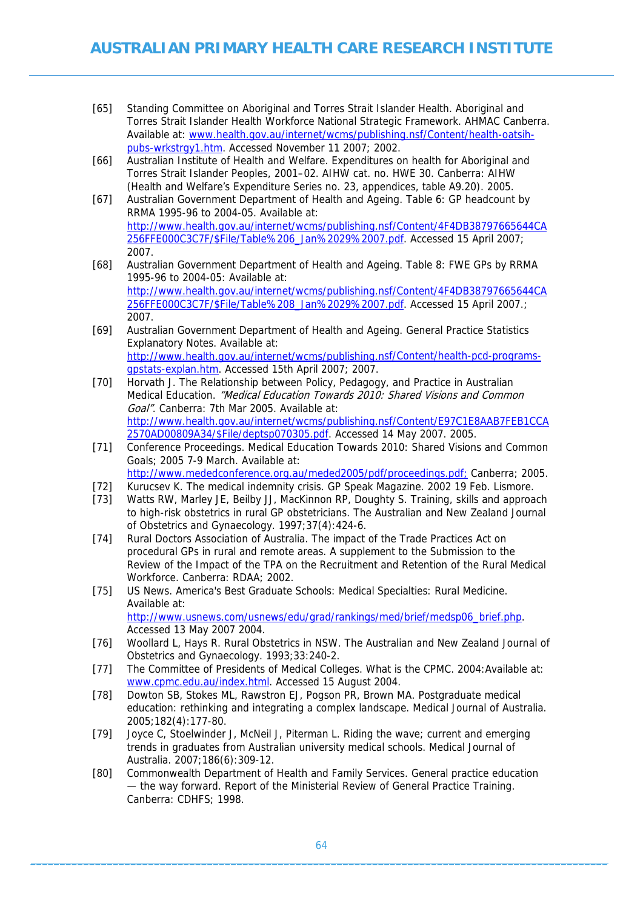- [65] Standing Committee on Aboriginal and Torres Strait Islander Health. Aboriginal and Torres Strait Islander Health Workforce National Strategic Framework. AHMAC Canberra. Available at: [www.health.gov.au/internet/wcms/publishing.nsf/Content/health-oatsih](http://www.health.gov.au/internet/wcms/publishing.nsf/Content/health-oatsih-pubs-wrkstrgy1.htm)[pubs-wrkstrgy1.htm](http://www.health.gov.au/internet/wcms/publishing.nsf/Content/health-oatsih-pubs-wrkstrgy1.htm). Accessed November 11 2007; 2002.
- [66] Australian Institute of Health and Welfare. Expenditures on health for Aboriginal and Torres Strait Islander Peoples, 2001–02. AIHW cat. no. HWE 30. Canberra: AIHW (Health and Welfare's Expenditure Series no. 23, appendices, table A9.20). 2005.
- [67] Australian Government Department of Health and Ageing. Table 6: GP headcount by RRMA 1995-96 to 2004-05. Available at: [http://www.health.gov.au/internet/wcms/publishing.nsf/Content/4F4DB38797665644CA](http://www.health.gov.au/internet/wcms/publishing.nsf/Content/4F4DB38797665644CA256FFE000C3C7F/$File/Table 6_Jan 29 07.pdf) [256FFE000C3C7F/\\$File/Table%206\\_Jan%2029%2007.pdf.](http://www.health.gov.au/internet/wcms/publishing.nsf/Content/4F4DB38797665644CA256FFE000C3C7F/$File/Table 6_Jan 29 07.pdf) Accessed 15 April 2007; 2007.
- [68] Australian Government Department of Health and Ageing. Table 8: FWE GPs by RRMA 1995-96 to 2004-05: Available at: [http://www.health.gov.au/internet/wcms/publishing.nsf/Content/4F4DB38797665644CA](http://www.health.gov.au/internet/wcms/publishing.nsf/Content/4F4DB38797665644CA256FFE000C3C7F/$File/Table 8_Jan 29 07.pdf) [256FFE000C3C7F/\\$File/Table%208\\_Jan%2029%2007.pdf.](http://www.health.gov.au/internet/wcms/publishing.nsf/Content/4F4DB38797665644CA256FFE000C3C7F/$File/Table 8_Jan 29 07.pdf) Accessed 15 April 2007.; 2007.
- [69] Australian Government Department of Health and Ageing. General Practice Statistics Explanatory Notes. Available at: [http://www.health.gov.au/internet/wcms/publishing.nsf/Content/health-pcd-programs](http://www.health.gov.au/internet/wcms/publishing.nsf/Content/health-pcd-programs-gpstats-explan.htm)[gpstats-explan.htm](http://www.health.gov.au/internet/wcms/publishing.nsf/Content/health-pcd-programs-gpstats-explan.htm). Accessed 15th April 2007; 2007.
- [70] Horvath J. The Relationship between Policy, Pedagogy, and Practice in Australian Medical Education. "Medical Education Towards 2010: Shared Visions and Common Goal". Canberra: 7th Mar 2005. Available at: [http://www.health.gov.au/internet/wcms/publishing.nsf/Content/E97C1E8AAB7FEB1CCA](http://www.health.gov.au/internet/wcms/publishing.nsf/Content/E97C1E8AAB7FEB1CCA2570AD00809A34/$File/deptsp070305.pdf) [2570AD00809A34/\\$File/deptsp070305.pdf](http://www.health.gov.au/internet/wcms/publishing.nsf/Content/E97C1E8AAB7FEB1CCA2570AD00809A34/$File/deptsp070305.pdf). Accessed 14 May 2007. 2005.
- [71] Conference Proceedings. Medical Education Towards 2010: Shared Visions and Common Goals; 2005 7-9 March. Available at: <http://www.mededconference.org.au/meded2005/pdf/proceedings.pdf;> Canberra; 2005.
- [72] Kurucsev K. The medical indemnity crisis. GP Speak Magazine. 2002 19 Feb. Lismore.
- [73] Watts RW, Marley JE, Beilby JJ, MacKinnon RP, Doughty S. Training, skills and approach to high-risk obstetrics in rural GP obstetricians. The Australian and New Zealand Journal of Obstetrics and Gynaecology. 1997;37(4):424-6.
- [74] Rural Doctors Association of Australia. The impact of the Trade Practices Act on procedural GPs in rural and remote areas. A supplement to the Submission to the Review of the Impact of the TPA on the Recruitment and Retention of the Rural Medical Workforce. Canberra: RDAA; 2002.
- [75] US News. America's Best Graduate Schools: Medical Specialties: Rural Medicine. Available at: [http://www.usnews.com/usnews/edu/grad/rankings/med/brief/medsp06\\_brief.php](http://www.usnews.com/usnews/edu/grad/rankings/med/brief/medsp06_brief.php). Accessed 13 May 2007 2004.
- [76] Woollard L, Hays R. Rural Obstetrics in NSW. The Australian and New Zealand Journal of Obstetrics and Gynaecology. 1993;33:240-2.
- [77] The Committee of Presidents of Medical Colleges. What is the CPMC. 2004:Available at: [www.cpmc.edu.au/index.html](http://www.cpmc.edu.au/index.html). Accessed 15 August 2004.
- [78] Dowton SB, Stokes ML, Rawstron EJ, Pogson PR, Brown MA. Postgraduate medical education: rethinking and integrating a complex landscape. Medical Journal of Australia. 2005;182(4):177-80.
- [79] Joyce C, Stoelwinder J, McNeil J, Piterman L. Riding the wave; current and emerging trends in graduates from Australian university medical schools. Medical Journal of Australia. 2007;186(6):309-12.
- [80] Commonwealth Department of Health and Family Services. General practice education — the way forward. Report of the Ministerial Review of General Practice Training. Canberra: CDHFS; 1998.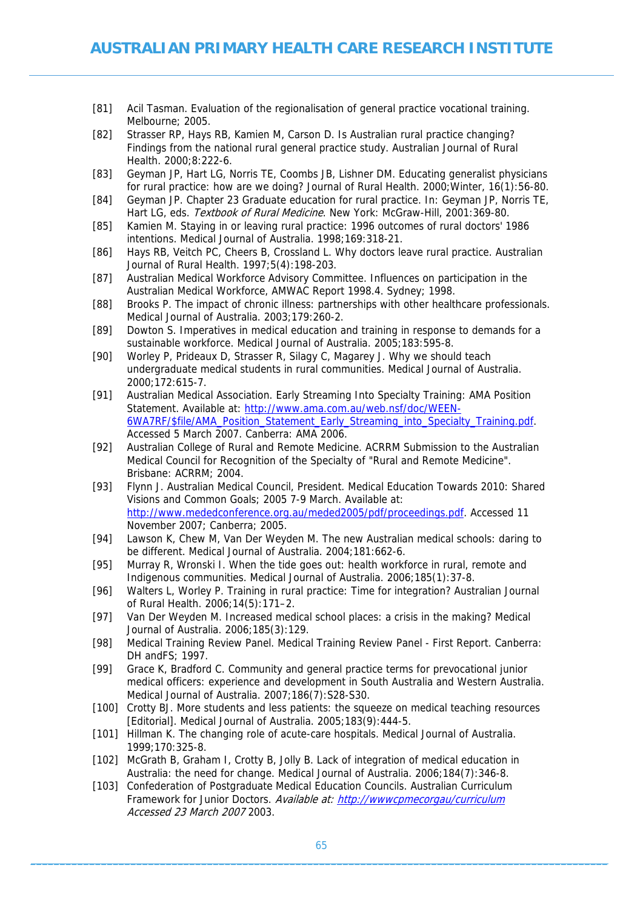- [81] Acil Tasman. Evaluation of the regionalisation of general practice vocational training. Melbourne; 2005.
- [82] Strasser RP, Hays RB, Kamien M, Carson D. Is Australian rural practice changing? Findings from the national rural general practice study. Australian Journal of Rural Health. 2000;8:222-6.
- [83] Geyman JP, Hart LG, Norris TE, Coombs JB, Lishner DM. Educating generalist physicians for rural practice: how are we doing? Journal of Rural Health. 2000;Winter, 16(1):56-80.
- [84] Geyman JP. Chapter 23 Graduate education for rural practice. In: Geyman JP, Norris TE, Hart LG, eds. Textbook of Rural Medicine. New York: McGraw-Hill, 2001:369-80.
- [85] Kamien M. Staying in or leaving rural practice: 1996 outcomes of rural doctors' 1986 intentions. Medical Journal of Australia. 1998;169:318-21.
- [86] Hays RB, Veitch PC, Cheers B, Crossland L. Why doctors leave rural practice. Australian Journal of Rural Health. 1997;5(4):198-203.
- [87] Australian Medical Workforce Advisory Committee. Influences on participation in the Australian Medical Workforce, AMWAC Report 1998.4. Sydney; 1998.
- [88] Brooks P. The impact of chronic illness: partnerships with other healthcare professionals. Medical Journal of Australia. 2003;179:260-2.
- [89] Dowton S. Imperatives in medical education and training in response to demands for a sustainable workforce. Medical Journal of Australia. 2005;183:595-8.
- [90] Worley P, Prideaux D, Strasser R, Silagy C, Magarey J. Why we should teach undergraduate medical students in rural communities. Medical Journal of Australia. 2000;172:615-7.
- [91] Australian Medical Association. Early Streaming Into Specialty Training: AMA Position Statement. Available at: [http://www.ama.com.au/web.nsf/doc/WEEN-](http://www.ama.com.au/web.nsf/doc/WEEN-6WA7RF/$file/AMA_Position_Statement_Early_Streaming_into_Specialty_Training.pdf)[6WA7RF/\\$file/AMA\\_Position\\_Statement\\_Early\\_Streaming\\_into\\_Specialty\\_Training.pdf](http://www.ama.com.au/web.nsf/doc/WEEN-6WA7RF/$file/AMA_Position_Statement_Early_Streaming_into_Specialty_Training.pdf). Accessed 5 March 2007. Canberra: AMA 2006.
- [92] Australian College of Rural and Remote Medicine. ACRRM Submission to the Australian Medical Council for Recognition of the Specialty of "Rural and Remote Medicine". Brisbane: ACRRM; 2004.
- [93] Flynn J. Australian Medical Council, President. Medical Education Towards 2010: Shared Visions and Common Goals; 2005 7-9 March. Available at: [http://www.mededconference.org.au/meded2005/pdf/proceedings.pdf.](http://www.mededconference.org.au/meded2005/pdf/proceedings.pdf) Accessed 11 November 2007; Canberra; 2005.
- [94] Lawson K, Chew M, Van Der Weyden M. The new Australian medical schools: daring to be different. Medical Journal of Australia. 2004;181:662-6.
- [95] Murray R, Wronski I. When the tide goes out: health workforce in rural, remote and Indigenous communities. Medical Journal of Australia. 2006;185(1):37-8.
- [96] Walters L, Worley P. Training in rural practice: Time for integration? Australian Journal of Rural Health. 2006;14(5):171–2.
- [97] Van Der Weyden M. Increased medical school places: a crisis in the making? Medical Journal of Australia. 2006;185(3):129.
- [98] Medical Training Review Panel. Medical Training Review Panel First Report. Canberra: DH andFS; 1997.
- [99] Grace K, Bradford C. Community and general practice terms for prevocational junior medical officers: experience and development in South Australia and Western Australia. Medical Journal of Australia. 2007;186(7):S28-S30.
- [100] Crotty BJ. More students and less patients: the squeeze on medical teaching resources [Editorial]. Medical Journal of Australia. 2005;183(9):444-5.
- [101] Hillman K. The changing role of acute-care hospitals. Medical Journal of Australia. 1999;170:325-8.
- [102] McGrath B, Graham I, Crotty B, Jolly B. Lack of integration of medical education in Australia: the need for change. Medical Journal of Australia. 2006;184(7):346-8.
- [103] Confederation of Postgraduate Medical Education Councils. Australian Curriculum Framework for Junior Doctors. Available at: <http://wwwcpmecorgau/curriculum> Accessed 23 March 2007 2003.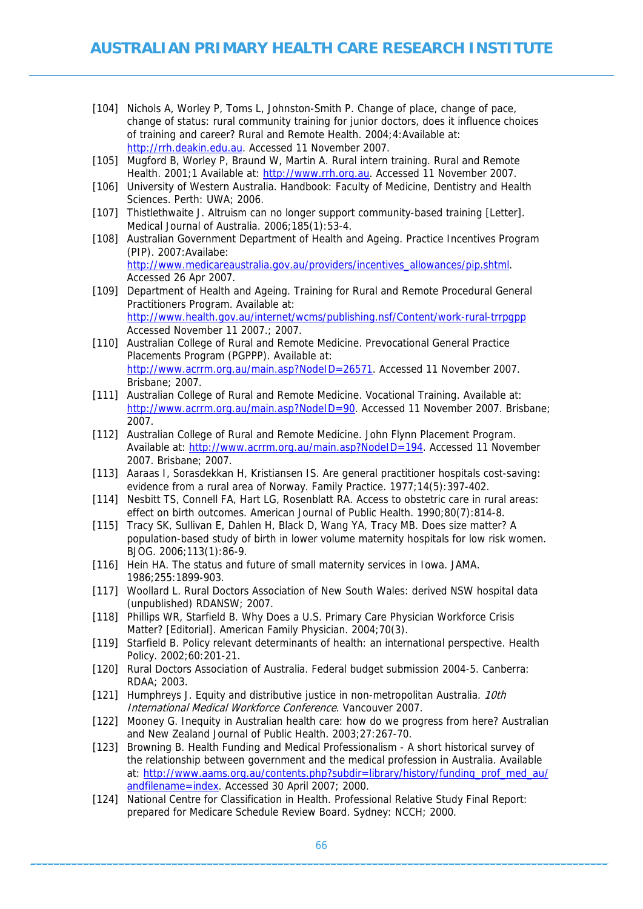- [104] Nichols A, Worley P, Toms L, Johnston-Smith P. Change of place, change of pace, change of status: rural community training for junior doctors, does it influence choices of training and career? Rural and Remote Health. 2004;4:Available at: [http://rrh.deakin.edu.au.](http://rrh.deakin.edu.au/) Accessed 11 November 2007.
- [105] Mugford B, Worley P, Braund W, Martin A. Rural intern training. Rural and Remote Health. 2001;1 Available at: [http://www.rrh.org.au](http://www.rrh.org.au/). Accessed 11 November 2007.
- [106] University of Western Australia. Handbook: Faculty of Medicine, Dentistry and Health Sciences. Perth: UWA; 2006.
- [107] Thistlethwaite J. Altruism can no longer support community-based training [Letter]. Medical Journal of Australia. 2006;185(1):53-4.
- [108] Australian Government Department of Health and Ageing. Practice Incentives Program (PIP). 2007:Availabe: [http://www.medicareaustralia.gov.au/providers/incentives\\_allowances/pip.shtml.](http://www.medicareaustralia.gov.au/providers/incentives_allowances/pip.shtml) Accessed 26 Apr 2007.
- [109] Department of Health and Ageing. Training for Rural and Remote Procedural General Practitioners Program. Available at: <http://www.health.gov.au/internet/wcms/publishing.nsf/Content/work-rural-trrpgpp> Accessed November 11 2007.; 2007.
- [110] Australian College of Rural and Remote Medicine. Prevocational General Practice Placements Program (PGPPP). Available at: <http://www.acrrm.org.au/main.asp?NodeID=26571>. Accessed 11 November 2007. Brisbane; 2007.
- [111] Australian College of Rural and Remote Medicine. Vocational Training. Available at: [http://www.acrrm.org.au/main.asp?NodeID=90.](http://www.acrrm.org.au/main.asp?NodeID=90) Accessed 11 November 2007. Brisbane; 2007.
- [112] Australian College of Rural and Remote Medicine. John Flynn Placement Program. Available at: [http://www.acrrm.org.au/main.asp?NodeID=194.](http://www.acrrm.org.au/main.asp?NodeID=194) Accessed 11 November 2007. Brisbane; 2007.
- [113] Aaraas I, Sorasdekkan H, Kristiansen IS. Are general practitioner hospitals cost-saving: evidence from a rural area of Norway. Family Practice. 1977;14(5):397-402.
- [114] Nesbitt TS, Connell FA, Hart LG, Rosenblatt RA. Access to obstetric care in rural areas: effect on birth outcomes. American Journal of Public Health. 1990;80(7):814-8.
- [115] Tracy SK, Sullivan E, Dahlen H, Black D, Wang YA, Tracy MB. Does size matter? A population-based study of birth in lower volume maternity hospitals for low risk women. BJOG. 2006;113(1):86-9.
- [116] Hein HA. The status and future of small maternity services in Iowa. JAMA. 1986;255:1899-903.
- [117] Woollard L. Rural Doctors Association of New South Wales: derived NSW hospital data (unpublished) RDANSW; 2007.
- [118] Phillips WR, Starfield B. Why Does a U.S. Primary Care Physician Workforce Crisis Matter? [Editorial]. American Family Physician. 2004;70(3).
- [119] Starfield B. Policy relevant determinants of health: an international perspective. Health Policy. 2002;60:201-21.
- [120] Rural Doctors Association of Australia. Federal budget submission 2004-5. Canberra: RDAA; 2003.
- [121] Humphreys J. Equity and distributive justice in non-metropolitan Australia. 10th International Medical Workforce Conference. Vancouver 2007.
- [122] Mooney G. Inequity in Australian health care: how do we progress from here? Australian and New Zealand Journal of Public Health. 2003;27:267-70.
- [123] Browning B. Health Funding and Medical Professionalism A short historical survey of the relationship between government and the medical profession in Australia. Available at: [http://www.aams.org.au/contents.php?subdir=library/history/funding\\_prof\\_med\\_au/](http://www.aams.org.au/contents.php?subdir=library/history/funding_prof_med_au/&filename=index) [andfilename=index](http://www.aams.org.au/contents.php?subdir=library/history/funding_prof_med_au/&filename=index). Accessed 30 April 2007; 2000.
- [124] National Centre for Classification in Health. Professional Relative Study Final Report: prepared for Medicare Schedule Review Board. Sydney: NCCH; 2000.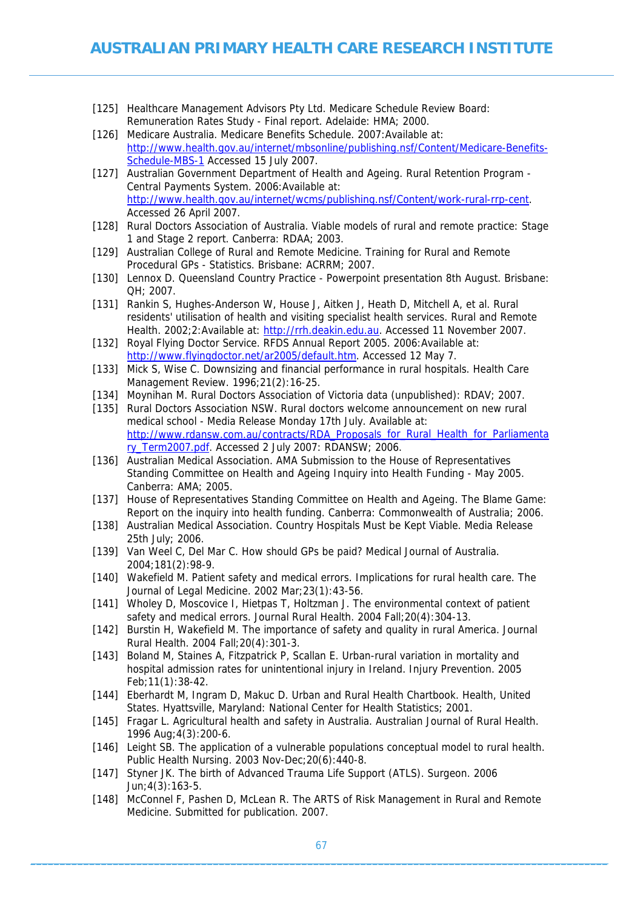- [125] Healthcare Management Advisors Pty Ltd. Medicare Schedule Review Board: Remuneration Rates Study - Final report. Adelaide: HMA; 2000.
- [126] Medicare Australia. Medicare Benefits Schedule. 2007:Available at: [http://www.health.gov.au/internet/mbsonline/publishing.nsf/Content/Medicare-Benefits-](http://www.health.gov.au/internet/mbsonline/publishing.nsf/Content/Medicare-Benefits-Schedule-MBS-1)[Schedule-MBS-1](http://www.health.gov.au/internet/mbsonline/publishing.nsf/Content/Medicare-Benefits-Schedule-MBS-1) Accessed 15 July 2007.
- [127] Australian Government Department of Health and Ageing. Rural Retention Program Central Payments System. 2006:Available at: [http://www.health.gov.au/internet/wcms/publishing.nsf/Content/work-rural-rrp-cent.](http://www.health.gov.au/internet/wcms/publishing.nsf/Content/work-rural-rrp-cent) Accessed 26 April 2007.
- [128] Rural Doctors Association of Australia. Viable models of rural and remote practice: Stage 1 and Stage 2 report. Canberra: RDAA; 2003.
- [129] Australian College of Rural and Remote Medicine. Training for Rural and Remote Procedural GPs - Statistics. Brisbane: ACRRM; 2007.
- [130] Lennox D. Queensland Country Practice Powerpoint presentation 8th August. Brisbane: QH; 2007.
- [131] Rankin S, Hughes-Anderson W, House J, Aitken J, Heath D, Mitchell A, et al. Rural residents' utilisation of health and visiting specialist health services. Rural and Remote Health. 2002;2:Available at: [http://rrh.deakin.edu.au](http://rrh.deakin.edu.au/). Accessed 11 November 2007.
- [132] Royal Flying Doctor Service. RFDS Annual Report 2005. 2006:Available at: <http://www.flyingdoctor.net/ar2005/default.htm>. Accessed 12 May 7.
- [133] Mick S, Wise C. Downsizing and financial performance in rural hospitals. Health Care Management Review. 1996;21(2):16-25.
- [134] Moynihan M. Rural Doctors Association of Victoria data (unpublished): RDAV; 2007.
- [135] Rural Doctors Association NSW. Rural doctors welcome announcement on new rural medical school - Media Release Monday 17th July. Available at: [http://www.rdansw.com.au/contracts/RDA\\_Proposals\\_for\\_Rural\\_Health\\_for\\_Parliamenta](http://www.rdansw.com.au/contracts/RDA_Proposals_for_Rural_Health_for_Parliamentary_Term2007.pdf) [ry\\_Term2007.pdf.](http://www.rdansw.com.au/contracts/RDA_Proposals_for_Rural_Health_for_Parliamentary_Term2007.pdf) Accessed 2 July 2007: RDANSW; 2006.
- [136] Australian Medical Association. AMA Submission to the House of Representatives Standing Committee on Health and Ageing Inquiry into Health Funding - May 2005. Canberra: AMA; 2005.
- [137] House of Representatives Standing Committee on Health and Ageing. The Blame Game: Report on the inquiry into health funding. Canberra: Commonwealth of Australia; 2006.
- [138] Australian Medical Association. Country Hospitals Must be Kept Viable. Media Release 25th July; 2006.
- [139] Van Weel C, Del Mar C. How should GPs be paid? Medical Journal of Australia. 2004;181(2):98-9.
- [140] Wakefield M. Patient safety and medical errors. Implications for rural health care. The Journal of Legal Medicine. 2002 Mar;23(1):43-56.
- [141] Wholey D, Moscovice I, Hietpas T, Holtzman J. The environmental context of patient safety and medical errors. Journal Rural Health. 2004 Fall;20(4):304-13.
- [142] Burstin H, Wakefield M. The importance of safety and quality in rural America. Journal Rural Health. 2004 Fall;20(4):301-3.
- [143] Boland M, Staines A, Fitzpatrick P, Scallan E. Urban-rural variation in mortality and hospital admission rates for unintentional injury in Ireland. Injury Prevention. 2005 Feb;11(1):38-42.
- [144] Eberhardt M, Ingram D, Makuc D. Urban and Rural Health Chartbook. Health, United States. Hyattsville, Maryland: National Center for Health Statistics; 2001.
- [145] Fragar L. Agricultural health and safety in Australia. Australian Journal of Rural Health. 1996 Aug;4(3):200-6.
- [146] Leight SB. The application of a vulnerable populations conceptual model to rural health. Public Health Nursing. 2003 Nov-Dec;20(6):440-8.
- [147] Styner JK. The birth of Advanced Trauma Life Support (ATLS). Surgeon. 2006 Jun;4(3):163-5.
- [148] McConnel F, Pashen D, McLean R. The ARTS of Risk Management in Rural and Remote Medicine. Submitted for publication. 2007.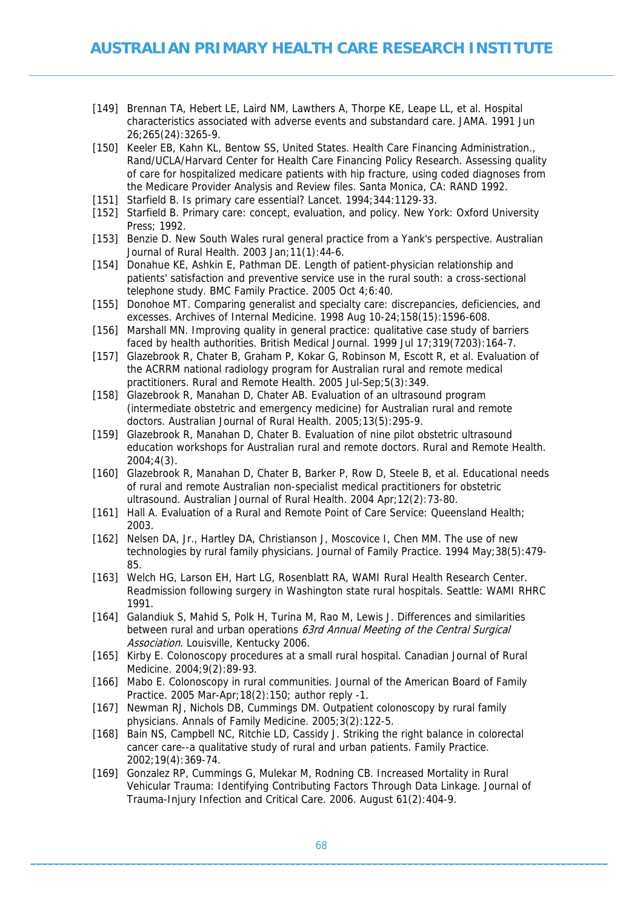- [149] Brennan TA, Hebert LE, Laird NM, Lawthers A, Thorpe KE, Leape LL, et al. Hospital characteristics associated with adverse events and substandard care. JAMA. 1991 Jun 26;265(24):3265-9.
- [150] Keeler EB, Kahn KL, Bentow SS, United States. Health Care Financing Administration., Rand/UCLA/Harvard Center for Health Care Financing Policy Research. Assessing quality of care for hospitalized medicare patients with hip fracture, using coded diagnoses from the Medicare Provider Analysis and Review files. Santa Monica, CA: RAND 1992.
- [151] Starfield B. Is primary care essential? Lancet. 1994;344:1129-33.
- [152] Starfield B. Primary care: concept, evaluation, and policy. New York: Oxford University Press; 1992.
- [153] Benzie D. New South Wales rural general practice from a Yank's perspective. Australian Journal of Rural Health. 2003 Jan;11(1):44-6.
- [154] Donahue KE, Ashkin E, Pathman DE. Length of patient-physician relationship and patients' satisfaction and preventive service use in the rural south: a cross-sectional telephone study. BMC Family Practice. 2005 Oct 4;6:40.
- [155] Donohoe MT. Comparing generalist and specialty care: discrepancies, deficiencies, and excesses. Archives of Internal Medicine. 1998 Aug 10-24;158(15):1596-608.
- [156] Marshall MN. Improving quality in general practice: qualitative case study of barriers faced by health authorities. British Medical Journal. 1999 Jul 17;319(7203):164-7.
- [157] Glazebrook R, Chater B, Graham P, Kokar G, Robinson M, Escott R, et al. Evaluation of the ACRRM national radiology program for Australian rural and remote medical practitioners. Rural and Remote Health. 2005 Jul-Sep;5(3):349.
- [158] Glazebrook R, Manahan D, Chater AB. Evaluation of an ultrasound program (intermediate obstetric and emergency medicine) for Australian rural and remote doctors. Australian Journal of Rural Health. 2005;13(5):295-9.
- [159] Glazebrook R, Manahan D, Chater B. Evaluation of nine pilot obstetric ultrasound education workshops for Australian rural and remote doctors. Rural and Remote Health. 2004;4(3).
- [160] Glazebrook R, Manahan D, Chater B, Barker P, Row D, Steele B, et al. Educational needs of rural and remote Australian non-specialist medical practitioners for obstetric ultrasound. Australian Journal of Rural Health. 2004 Apr;12(2):73-80.
- [161] Hall A. Evaluation of a Rural and Remote Point of Care Service: Queensland Health; 2003.
- [162] Nelsen DA, Jr., Hartley DA, Christianson J, Moscovice I, Chen MM. The use of new technologies by rural family physicians. Journal of Family Practice. 1994 May;38(5):479- 85.
- [163] Welch HG, Larson EH, Hart LG, Rosenblatt RA, WAMI Rural Health Research Center. Readmission following surgery in Washington state rural hospitals. Seattle: WAMI RHRC 1991.
- [164] Galandiuk S, Mahid S, Polk H, Turina M, Rao M, Lewis J. Differences and similarities between rural and urban operations 63rd Annual Meeting of the Central Surgical Association. Louisville, Kentucky 2006.
- [165] Kirby E. Colonoscopy procedures at a small rural hospital. Canadian Journal of Rural Medicine. 2004;9(2):89-93.
- [166] Mabo E. Colonoscopy in rural communities. Journal of the American Board of Family Practice. 2005 Mar-Apr;18(2):150; author reply -1.
- [167] Newman RJ, Nichols DB, Cummings DM. Outpatient colonoscopy by rural family physicians. Annals of Family Medicine. 2005;3(2):122-5.
- [168] Bain NS, Campbell NC, Ritchie LD, Cassidy J. Striking the right balance in colorectal cancer care--a qualitative study of rural and urban patients. Family Practice. 2002;19(4):369-74.
- [169] Gonzalez RP, Cummings G, Mulekar M, Rodning CB. Increased Mortality in Rural Vehicular Trauma: Identifying Contributing Factors Through Data Linkage. Journal of Trauma-Injury Infection and Critical Care. 2006. August 61(2):404-9.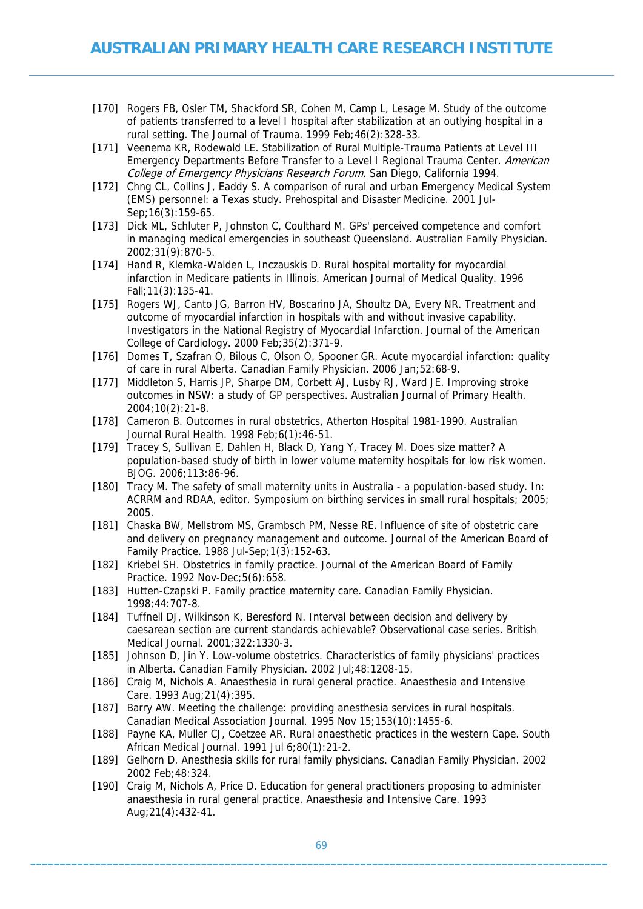- [170] Rogers FB, Osler TM, Shackford SR, Cohen M, Camp L, Lesage M. Study of the outcome of patients transferred to a level I hospital after stabilization at an outlying hospital in a rural setting. The Journal of Trauma. 1999 Feb;46(2):328-33.
- [171] Veenema KR, Rodewald LE. Stabilization of Rural Multiple-Trauma Patients at Level III Emergency Departments Before Transfer to a Level I Regional Trauma Center. American College of Emergency Physicians Research Forum. San Diego, California 1994.
- [172] Chng CL, Collins J, Eaddy S. A comparison of rural and urban Emergency Medical System (EMS) personnel: a Texas study. Prehospital and Disaster Medicine. 2001 Jul-Sep;16(3):159-65.
- [173] Dick ML, Schluter P, Johnston C, Coulthard M. GPs' perceived competence and comfort in managing medical emergencies in southeast Queensland. Australian Family Physician. 2002;31(9):870-5.
- [174] Hand R, Klemka-Walden L, Inczauskis D. Rural hospital mortality for myocardial infarction in Medicare patients in Illinois. American Journal of Medical Quality. 1996 Fall;11(3):135-41.
- [175] Rogers WJ, Canto JG, Barron HV, Boscarino JA, Shoultz DA, Every NR. Treatment and outcome of myocardial infarction in hospitals with and without invasive capability. Investigators in the National Registry of Myocardial Infarction. Journal of the American College of Cardiology. 2000 Feb;35(2):371-9.
- [176] Domes T, Szafran O, Bilous C, Olson O, Spooner GR. Acute myocardial infarction: quality of care in rural Alberta. Canadian Family Physician. 2006 Jan;52:68-9.
- [177] Middleton S, Harris JP, Sharpe DM, Corbett AJ, Lusby RJ, Ward JE. Improving stroke outcomes in NSW: a study of GP perspectives. Australian Journal of Primary Health. 2004;10(2):21-8.
- [178] Cameron B. Outcomes in rural obstetrics, Atherton Hospital 1981-1990. Australian Journal Rural Health. 1998 Feb;6(1):46-51.
- [179] Tracey S, Sullivan E, Dahlen H, Black D, Yang Y, Tracey M. Does size matter? A population-based study of birth in lower volume maternity hospitals for low risk women. BJOG. 2006;113:86-96.
- [180] Tracy M. The safety of small maternity units in Australia a population-based study. In: ACRRM and RDAA, editor. Symposium on birthing services in small rural hospitals; 2005; 2005.
- [181] Chaska BW, Mellstrom MS, Grambsch PM, Nesse RE. Influence of site of obstetric care and delivery on pregnancy management and outcome. Journal of the American Board of Family Practice. 1988 Jul-Sep;1(3):152-63.
- [182] Kriebel SH. Obstetrics in family practice. Journal of the American Board of Family Practice. 1992 Nov-Dec;5(6):658.
- [183] Hutten-Czapski P. Family practice maternity care. Canadian Family Physician. 1998;44:707-8.
- [184] Tuffnell DJ, Wilkinson K, Beresford N. Interval between decision and delivery by caesarean section are current standards achievable? Observational case series. British Medical Journal. 2001;322:1330-3.
- [185] Johnson D, Jin Y. Low-volume obstetrics. Characteristics of family physicians' practices in Alberta. Canadian Family Physician. 2002 Jul;48:1208-15.
- [186] Craig M, Nichols A. Anaesthesia in rural general practice. Anaesthesia and Intensive Care. 1993 Aug;21(4):395.
- [187] Barry AW. Meeting the challenge: providing anesthesia services in rural hospitals. Canadian Medical Association Journal. 1995 Nov 15;153(10):1455-6.
- [188] Payne KA, Muller CJ, Coetzee AR. Rural anaesthetic practices in the western Cape. South African Medical Journal. 1991 Jul 6;80(1):21-2.
- [189] Gelhorn D. Anesthesia skills for rural family physicians. Canadian Family Physician. 2002 2002 Feb;48:324.
- [190] Craig M, Nichols A, Price D. Education for general practitioners proposing to administer anaesthesia in rural general practice. Anaesthesia and Intensive Care. 1993 Aug;21(4):432-41.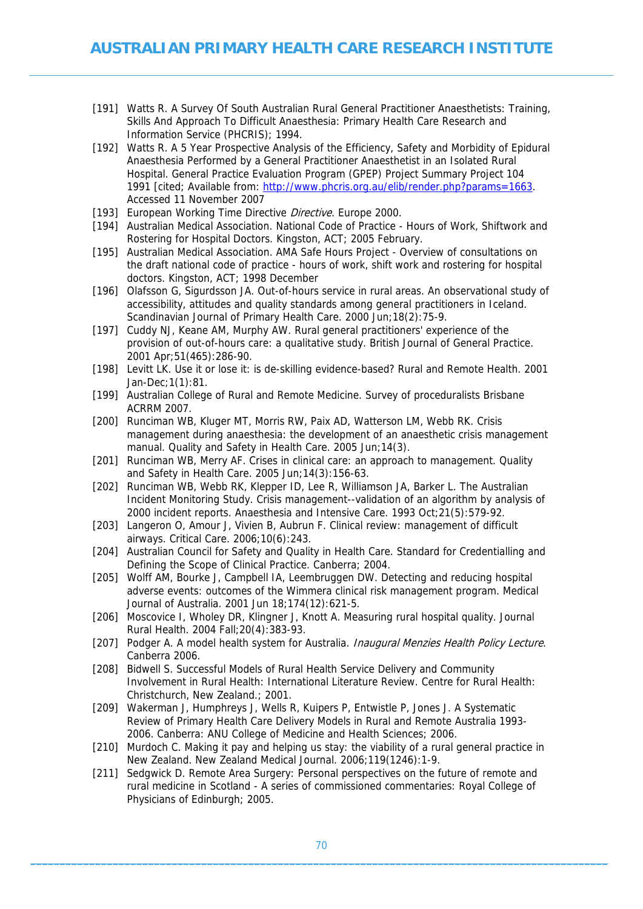- [191] Watts R. A Survey Of South Australian Rural General Practitioner Anaesthetists: Training, Skills And Approach To Difficult Anaesthesia: Primary Health Care Research and Information Service (PHCRIS); 1994.
- [192] Watts R. A 5 Year Prospective Analysis of the Efficiency, Safety and Morbidity of Epidural Anaesthesia Performed by a General Practitioner Anaesthetist in an Isolated Rural Hospital. General Practice Evaluation Program (GPEP) Project Summary Project 104 1991 [cited; Available from: <http://www.phcris.org.au/elib/render.php?params=1663>. Accessed 11 November 2007
- [193] European Working Time Directive Directive. Europe 2000.
- [194] Australian Medical Association. National Code of Practice Hours of Work, Shiftwork and Rostering for Hospital Doctors. Kingston, ACT; 2005 February.
- [195] Australian Medical Association. AMA Safe Hours Project Overview of consultations on the draft national code of practice - hours of work, shift work and rostering for hospital doctors. Kingston, ACT; 1998 December
- [196] Olafsson G, Sigurdsson JA. Out-of-hours service in rural areas. An observational study of accessibility, attitudes and quality standards among general practitioners in Iceland. Scandinavian Journal of Primary Health Care. 2000 Jun;18(2):75-9.
- [197] Cuddy NJ, Keane AM, Murphy AW. Rural general practitioners' experience of the provision of out-of-hours care: a qualitative study. British Journal of General Practice. 2001 Apr;51(465):286-90.
- [198] Levitt LK. Use it or lose it: is de-skilling evidence-based? Rural and Remote Health. 2001 Jan-Dec;1(1):81.
- [199] Australian College of Rural and Remote Medicine. Survey of proceduralists Brisbane ACRRM 2007.
- [200] Runciman WB, Kluger MT, Morris RW, Paix AD, Watterson LM, Webb RK. Crisis management during anaesthesia: the development of an anaesthetic crisis management manual. Quality and Safety in Health Care. 2005 Jun; 14(3).
- [201] Runciman WB, Merry AF. Crises in clinical care: an approach to management. Quality and Safety in Health Care. 2005 Jun;14(3):156-63.
- [202] Runciman WB, Webb RK, Klepper ID, Lee R, Williamson JA, Barker L. The Australian Incident Monitoring Study. Crisis management--validation of an algorithm by analysis of 2000 incident reports. Anaesthesia and Intensive Care. 1993 Oct;21(5):579-92.
- [203] Langeron O, Amour J, Vivien B, Aubrun F. Clinical review: management of difficult airways. Critical Care. 2006;10(6):243.
- [204] Australian Council for Safety and Quality in Health Care. Standard for Credentialling and Defining the Scope of Clinical Practice. Canberra; 2004.
- [205] Wolff AM, Bourke J, Campbell IA, Leembruggen DW. Detecting and reducing hospital adverse events: outcomes of the Wimmera clinical risk management program. Medical Journal of Australia. 2001 Jun 18;174(12):621-5.
- [206] Moscovice I, Wholey DR, Klingner J, Knott A. Measuring rural hospital quality. Journal Rural Health. 2004 Fall;20(4):383-93.
- [207] Podger A. A model health system for Australia. Inaugural Menzies Health Policy Lecture. Canberra 2006.
- [208] Bidwell S. Successful Models of Rural Health Service Delivery and Community Involvement in Rural Health: International Literature Review. Centre for Rural Health: Christchurch, New Zealand.; 2001.
- [209] Wakerman J, Humphreys J, Wells R, Kuipers P, Entwistle P, Jones J. A Systematic Review of Primary Health Care Delivery Models in Rural and Remote Australia 1993- 2006. Canberra: ANU College of Medicine and Health Sciences; 2006.
- [210] Murdoch C. Making it pay and helping us stay: the viability of a rural general practice in New Zealand. New Zealand Medical Journal. 2006;119(1246):1-9.
- [211] Sedgwick D. Remote Area Surgery: Personal perspectives on the future of remote and rural medicine in Scotland - A series of commissioned commentaries: Royal College of Physicians of Edinburgh; 2005.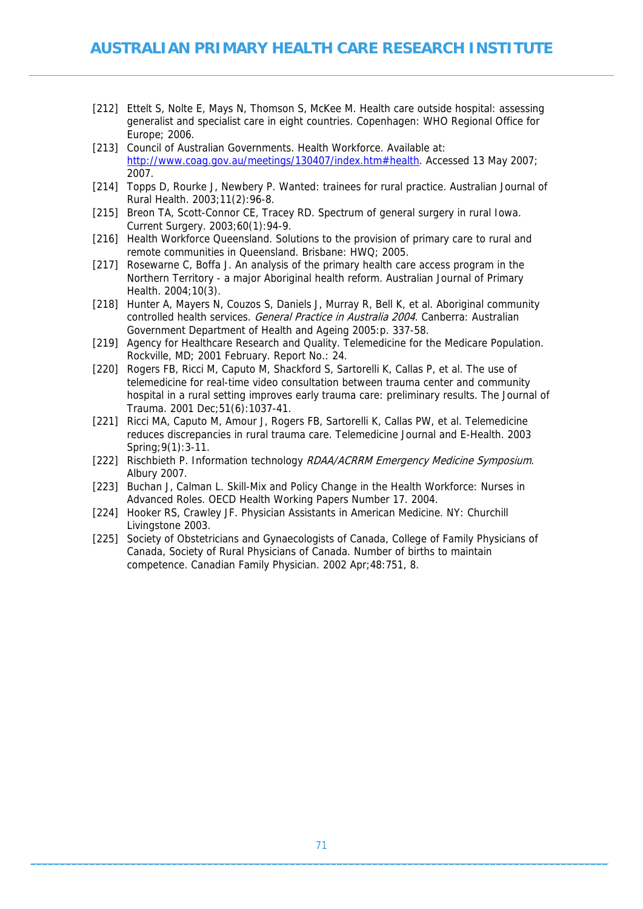- [212] Ettelt S, Nolte E, Mays N, Thomson S, McKee M. Health care outside hospital: assessing generalist and specialist care in eight countries. Copenhagen: WHO Regional Office for Europe; 2006.
- [213] Council of Australian Governments. Health Workforce. Available at: <http://www.coag.gov.au/meetings/130407/index.htm#health>. Accessed 13 May 2007; 2007.
- [214] Topps D, Rourke J, Newbery P. Wanted: trainees for rural practice. Australian Journal of Rural Health. 2003;11(2):96-8.
- [215] Breon TA, Scott-Connor CE, Tracey RD. Spectrum of general surgery in rural Iowa. Current Surgery. 2003;60(1):94-9.
- [216] Health Workforce Queensland. Solutions to the provision of primary care to rural and remote communities in Queensland. Brisbane: HWQ; 2005.
- [217] Rosewarne C, Boffa J. An analysis of the primary health care access program in the Northern Territory - a major Aboriginal health reform. Australian Journal of Primary Health. 2004;10(3).
- [218] Hunter A, Mayers N, Couzos S, Daniels J, Murray R, Bell K, et al. Aboriginal community controlled health services. General Practice in Australia 2004. Canberra: Australian Government Department of Health and Ageing 2005:p. 337-58.
- [219] Agency for Healthcare Research and Quality. Telemedicine for the Medicare Population. Rockville, MD; 2001 February. Report No.: 24.
- [220] Rogers FB, Ricci M, Caputo M, Shackford S, Sartorelli K, Callas P, et al. The use of telemedicine for real-time video consultation between trauma center and community hospital in a rural setting improves early trauma care: preliminary results. The Journal of Trauma. 2001 Dec;51(6):1037-41.
- [221] Ricci MA, Caputo M, Amour J, Rogers FB, Sartorelli K, Callas PW, et al. Telemedicine reduces discrepancies in rural trauma care. Telemedicine Journal and E-Health. 2003 Spring;9(1):3-11.
- [222] Rischbieth P. Information technology RDAA/ACRRM Emergency Medicine Symposium. Albury 2007.
- [223] Buchan J, Calman L. Skill-Mix and Policy Change in the Health Workforce: Nurses in Advanced Roles. OECD Health Working Papers Number 17. 2004.
- [224] Hooker RS, Crawley JF. Physician Assistants in American Medicine. NY: Churchill Livingstone 2003.
- [225] Society of Obstetricians and Gynaecologists of Canada, College of Family Physicians of Canada, Society of Rural Physicians of Canada. Number of births to maintain competence. Canadian Family Physician. 2002 Apr;48:751, 8.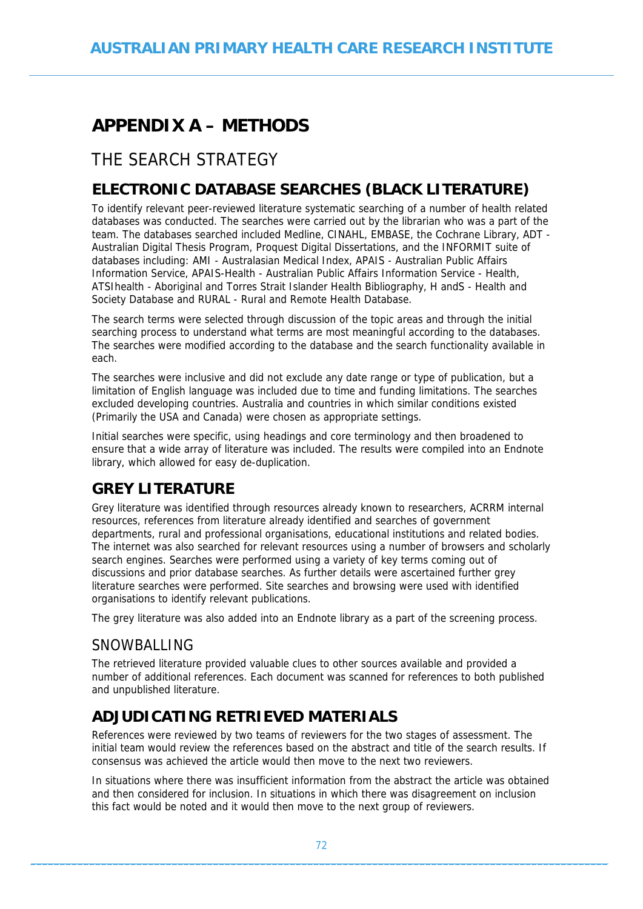# **APPENDIX A – METHODS**

# THE SEARCH STRATEGY

## **ELECTRONIC DATABASE SEARCHES (BLACK LITERATURE)**

To identify relevant peer-reviewed literature systematic searching of a number of health related databases was conducted. The searches were carried out by the librarian who was a part of the team. The databases searched included Medline, CINAHL, EMBASE, the Cochrane Library, ADT - Australian Digital Thesis Program, Proquest Digital Dissertations, and the INFORMIT suite of databases including: AMI - Australasian Medical Index, APAIS - Australian Public Affairs Information Service, APAIS-Health - Australian Public Affairs Information Service - Health, ATSIhealth - Aboriginal and Torres Strait Islander Health Bibliography, H andS - Health and Society Database and RURAL - Rural and Remote Health Database.

The search terms were selected through discussion of the topic areas and through the initial searching process to understand what terms are most meaningful according to the databases. The searches were modified according to the database and the search functionality available in each.

The searches were inclusive and did not exclude any date range or type of publication, but a limitation of English language was included due to time and funding limitations. The searches excluded developing countries. Australia and countries in which similar conditions existed (Primarily the USA and Canada) were chosen as appropriate settings.

Initial searches were specific, using headings and core terminology and then broadened to ensure that a wide array of literature was included. The results were compiled into an Endnote library, which allowed for easy de-duplication.

## **GREY LITERATURE**

Grey literature was identified through resources already known to researchers, ACRRM internal resources, references from literature already identified and searches of government departments, rural and professional organisations, educational institutions and related bodies. The internet was also searched for relevant resources using a number of browsers and scholarly search engines. Searches were performed using a variety of key terms coming out of discussions and prior database searches. As further details were ascertained further grey literature searches were performed. Site searches and browsing were used with identified organisations to identify relevant publications.

The grey literature was also added into an Endnote library as a part of the screening process.

### SNOWBALLING

The retrieved literature provided valuable clues to other sources available and provided a number of additional references. Each document was scanned for references to both published and unpublished literature.

## **ADJUDICATING RETRIEVED MATERIALS**

References were reviewed by two teams of reviewers for the two stages of assessment. The initial team would review the references based on the abstract and title of the search results. If consensus was achieved the article would then move to the next two reviewers.

In situations where there was insufficient information from the abstract the article was obtained and then considered for inclusion. In situations in which there was disagreement on inclusion this fact would be noted and it would then move to the next group of reviewers.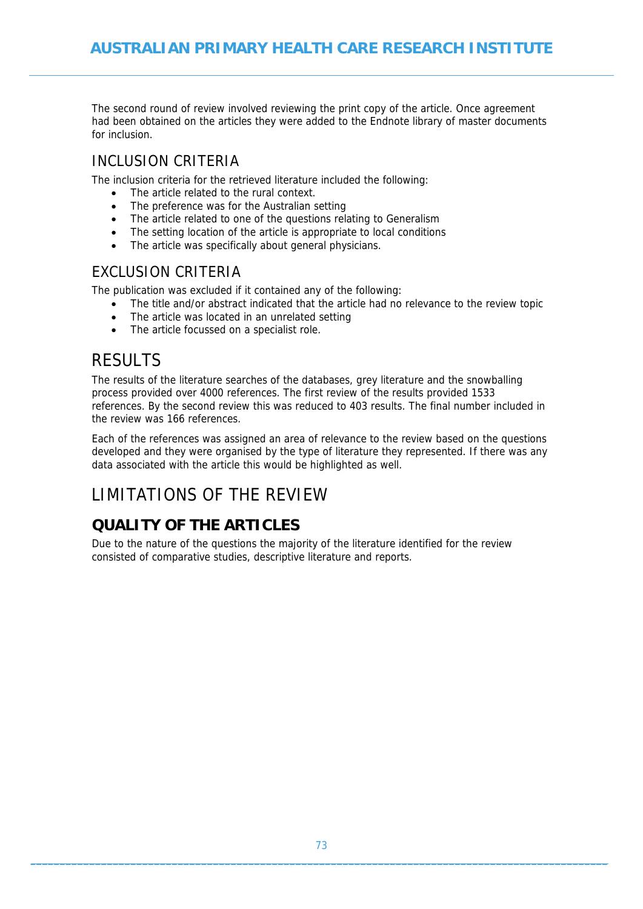The second round of review involved reviewing the print copy of the article. Once agreement had been obtained on the articles they were added to the Endnote library of master documents for inclusion.

### INCLUSION CRITERIA

The inclusion criteria for the retrieved literature included the following:

- The article related to the rural context.
- The preference was for the Australian setting
- The article related to one of the questions relating to Generalism
- The setting location of the article is appropriate to local conditions
- The article was specifically about general physicians.

### EXCLUSION CRITERIA

The publication was excluded if it contained any of the following:

- The title and/or abstract indicated that the article had no relevance to the review topic
- The article was located in an unrelated setting
- The article focussed on a specialist role.

### **RESULTS**

The results of the literature searches of the databases, grey literature and the snowballing process provided over 4000 references. The first review of the results provided 1533 references. By the second review this was reduced to 403 results. The final number included in the review was 166 references.

Each of the references was assigned an area of relevance to the review based on the questions developed and they were organised by the type of literature they represented. If there was any data associated with the article this would be highlighted as well.

## LIMITATIONS OF THE REVIEW

## **QUALITY OF THE ARTICLES**

Due to the nature of the questions the majority of the literature identified for the review consisted of comparative studies, descriptive literature and reports.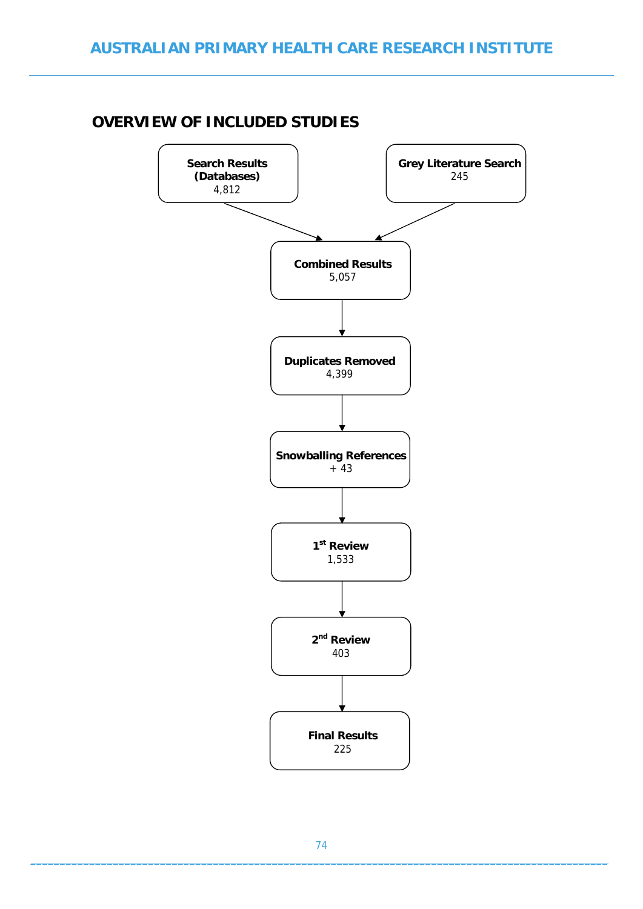### **OVERVIEW OF INCLUDED STUDIES**

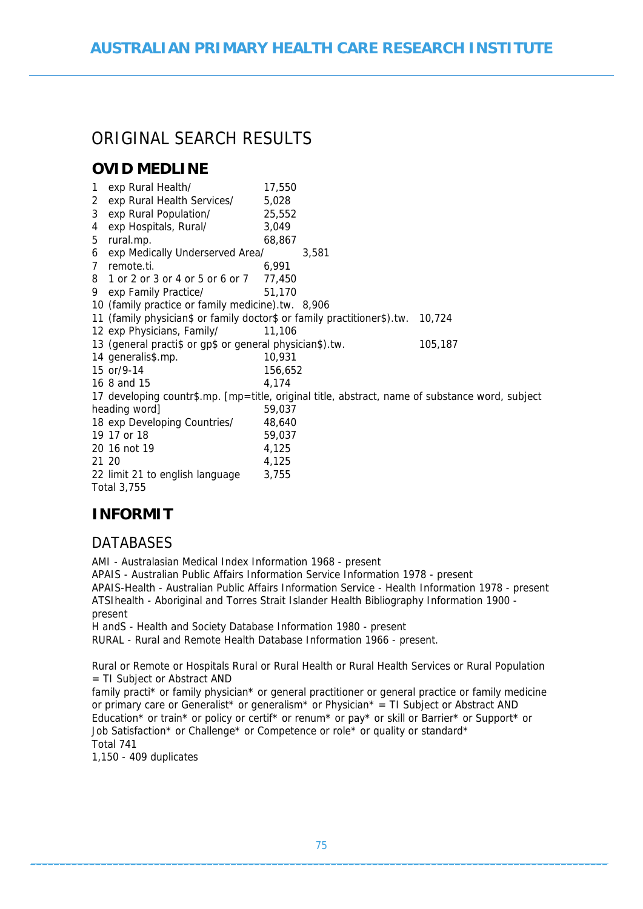# ORIGINAL SFARCH RESULTS

### **OVID MEDLINE**

| 1            | exp Rural Health/                                                       | 17,550                                                                                          |         |
|--------------|-------------------------------------------------------------------------|-------------------------------------------------------------------------------------------------|---------|
| $\mathbf{2}$ | exp Rural Health Services/                                              | 5,028                                                                                           |         |
| 3            | exp Rural Population/                                                   | 25,552                                                                                          |         |
| 4            | exp Hospitals, Rural/                                                   | 3,049                                                                                           |         |
| 5            | rural.mp.                                                               | 68,867                                                                                          |         |
| 6            | exp Medically Underserved Area/                                         | 3,581                                                                                           |         |
| $7^{\circ}$  | remote.ti.                                                              | 6,991                                                                                           |         |
| 8            | 1 or 2 or 3 or 4 or 5 or 6 or 7 77,450                                  |                                                                                                 |         |
| 9.           | exp Family Practice/                                                    | 51,170                                                                                          |         |
|              | 10 (family practice or family medicine).tw. 8,906                       |                                                                                                 |         |
|              | 11 (family physician\$ or family doctor\$ or family practitioner\$).tw. |                                                                                                 | 10,724  |
|              | 12 exp Physicians, Family/                                              | 11,106                                                                                          |         |
|              | 13 (general practi\$ or gp\$ or general physician\$).tw.                |                                                                                                 | 105,187 |
|              | 14 generalis\$.mp.                                                      | 10,931                                                                                          |         |
|              | 15 or/9-14                                                              | 156,652                                                                                         |         |
|              | 16 8 and 15                                                             | 4,174                                                                                           |         |
|              |                                                                         | 17 developing countr\$.mp. [mp=title, original title, abstract, name of substance word, subject |         |
|              | heading word]                                                           | 59,037                                                                                          |         |
|              | 18 exp Developing Countries/                                            | 48,640                                                                                          |         |
|              | 19 17 or 18                                                             | 59,037                                                                                          |         |
|              | 20 16 not 19                                                            | 4,125                                                                                           |         |
|              | 21 20                                                                   | 4,125                                                                                           |         |
|              | 22 limit 21 to english language                                         | 3,755                                                                                           |         |
|              | <b>Total 3,755</b>                                                      |                                                                                                 |         |

### **INFORMIT**

#### **DATABASES**

AMI - Australasian Medical Index Information 1968 - present APAIS - Australian Public Affairs Information Service Information 1978 - present APAIS-Health - Australian Public Affairs Information Service - Health Information 1978 - present ATSIhealth - Aboriginal and Torres Strait Islander Health Bibliography Information 1900 present H andS - Health and Society Database Information 1980 - present

RURAL - Rural and Remote Health Database Information 1966 - present.

Rural or Remote or Hospitals Rural or Rural Health or Rural Health Services or Rural Population = TI Subject or Abstract AND

family practi\* or family physician\* or general practitioner or general practice or family medicine or primary care or Generalist\* or generalism\* or Physician\* = TI Subject or Abstract AND Education\* or train\* or policy or certif\* or renum\* or pay\* or skill or Barrier\* or Support\* or Job Satisfaction\* or Challenge\* or Competence or role\* or quality or standard\* Total 741

1,150 - 409 duplicates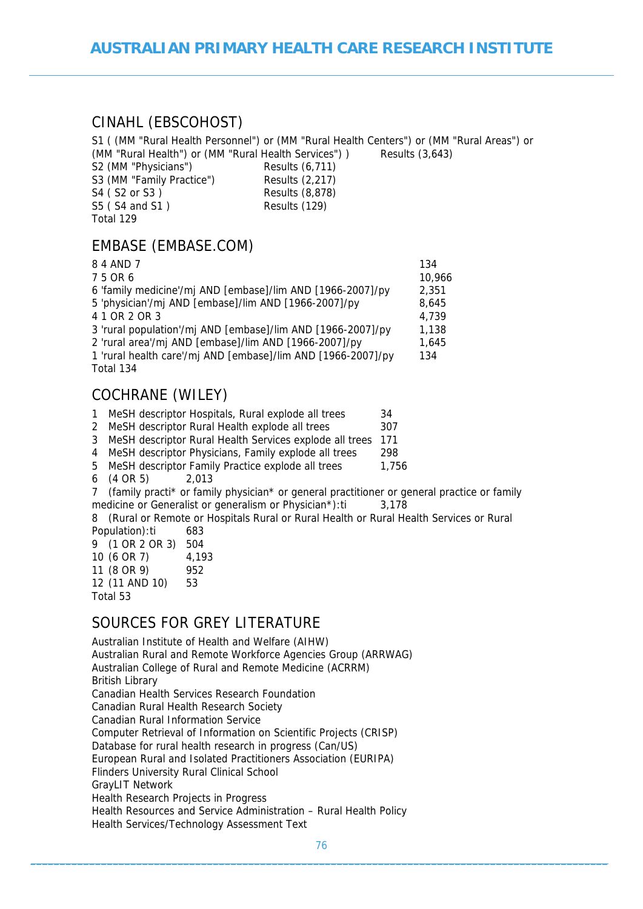#### CINAHL (EBSCOHOST)

S1 ( (MM "Rural Health Personnel") or (MM "Rural Health Centers") or (MM "Rural Areas") or (MM "Rural Health") or (MM "Rural Health Services") ) Results (3,643)

| S2 (MM "Physicians")      | Results (6,711) |
|---------------------------|-----------------|
| S3 (MM "Family Practice") | Results (2,217) |
| S4 ( S2 or S3 )           | Results (8,878) |
| S5 (S4 and S1)            | Results (129)   |
| Total 129                 |                 |

### EMBASE (EMBASE.COM)

| 8 4 AND 7                                                    | 134    |
|--------------------------------------------------------------|--------|
| 75 OR 6                                                      | 10,966 |
| 6 'family medicine'/mj AND [embase]/lim AND [1966-2007]/py   | 2,351  |
| 5 'physician'/mj AND [embase]/lim AND [1966-2007]/py         | 8,645  |
| 4 1 OR 2 OR 3                                                | 4,739  |
| 3 'rural population'/mj AND [embase]/lim AND [1966-2007]/py  | 1,138  |
| 2 'rural area'/mj AND [embase]/lim AND [1966-2007]/py        | 1,645  |
| 1 'rural health care'/mj AND [embase]/lim AND [1966-2007]/py | 134    |
| Total 134                                                    |        |
|                                                              |        |

### COCHRANE (WILEY)

| MeSH descriptor Hospitals, Rural explode all trees | 34 |
|----------------------------------------------------|----|
|                                                    |    |

2 MeSH descriptor Rural Health explode all trees 307

3 MeSH descriptor Rural Health Services explode all trees 171

4 MeSH descriptor Physicians, Family explode all trees 298

5 MeSH descriptor Family Practice explode all trees 1,756

6 (4 OR 5) 2,013

7 (family practi\* or family physician\* or general practitioner or general practice or family medicine or Generalist or generalism or Physician\*):ti 3,178

8 (Rural or Remote or Hospitals Rural or Rural Health or Rural Health Services or Rural Population):ti 683

| 4,193 |
|-------|
|       |
|       |
|       |
|       |

### SOURCES FOR GREY LITERATURE

Australian Institute of Health and Welfare (AIHW) Australian Rural and Remote Workforce Agencies Group (ARRWAG) Australian College of Rural and Remote Medicine (ACRRM) British Library Canadian Health Services Research Foundation Canadian Rural Health Research Society Canadian Rural Information Service Computer Retrieval of Information on Scientific Projects (CRISP) Database for rural health research in progress (Can/US) European Rural and Isolated Practitioners Association (EURIPA) Flinders University Rural Clinical School GrayLIT Network Health Research Projects in Progress Health Resources and Service Administration – Rural Health Policy Health Services/Technology Assessment Text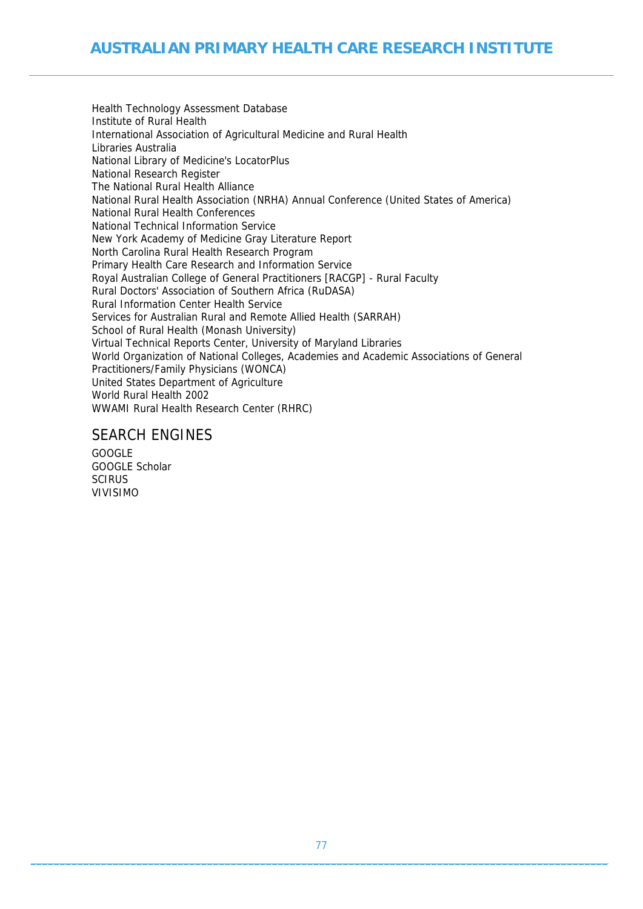Health Technology Assessment Database Institute of Rural Health International Association of Agricultural Medicine and Rural Health Libraries Australia National Library of Medicine's LocatorPlus National Research Register The National Rural Health Alliance National Rural Health Association (NRHA) Annual Conference (United States of America) National Rural Health Conferences National Technical Information Service New York Academy of Medicine Gray Literature Report North Carolina Rural Health Research Program Primary Health Care Research and Information Service Royal Australian College of General Practitioners [RACGP] - Rural Faculty Rural Doctors' Association of Southern Africa (RuDASA) Rural Information Center Health Service Services for Australian Rural and Remote Allied Health (SARRAH) School of Rural Health (Monash University) Virtual Technical Reports Center, University of Maryland Libraries World Organization of National Colleges, Academies and Academic Associations of General Practitioners/Family Physicians (WONCA) United States Department of Agriculture World Rural Health 2002 WWAMI Rural Health Research Center (RHRC)

#### SEARCH ENGINES

GOOGLE GOOGLE Scholar **SCIRUS** VIVISIMO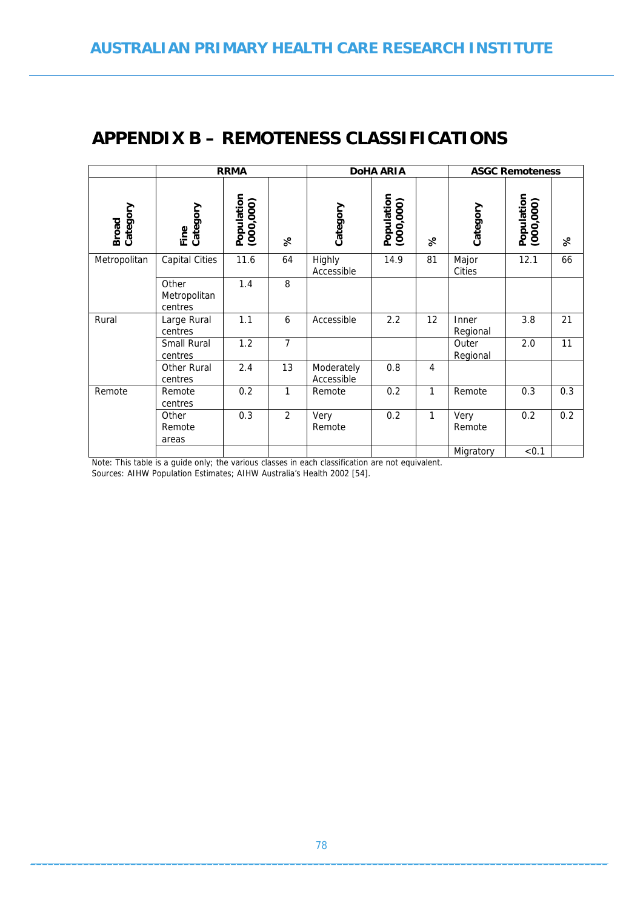## **APPENDIX B – REMOTENESS CLASSIFICATIONS**

|                          |                                  | <b>RRMA</b>             |                |                          | <b>DoHA ARIA</b>        |                |                   |                         | <b>ASGC Remoteness</b> |  |
|--------------------------|----------------------------------|-------------------------|----------------|--------------------------|-------------------------|----------------|-------------------|-------------------------|------------------------|--|
| Category<br><b>Broad</b> | Fine<br>Category                 | Population<br>(000,000) | $\aleph$       | Category                 | Population<br>(000,000) | $\aleph$       | Category          | Population<br>(000,000) | $\aleph$               |  |
| Metropolitan             | <b>Capital Cities</b>            | 11.6                    | 64             | Highly<br>Accessible     | 14.9                    | 81             | Major<br>Cities   | 12.1                    | 66                     |  |
|                          | Other<br>Metropolitan<br>centres | 1.4                     | 8              |                          |                         |                |                   |                         |                        |  |
| Rural                    | Large Rural<br>centres           | 1.1                     | 6              | Accessible               | 2.2                     | 12             | Inner<br>Regional | 3.8                     | 21                     |  |
|                          | <b>Small Rural</b><br>centres    | 1.2                     | $\overline{7}$ |                          |                         |                | Outer<br>Regional | 2.0                     | 11                     |  |
|                          | Other Rural<br>centres           | 2.4                     | 13             | Moderately<br>Accessible | 0.8                     | $\overline{4}$ |                   |                         |                        |  |
| Remote                   | Remote<br>centres                | 0.2                     | 1              | Remote                   | 0.2                     | 1              | Remote            | 0.3                     | 0.3                    |  |
|                          | Other<br>Remote<br>areas         | 0.3                     | $\overline{2}$ | Very<br>Remote           | 0.2                     | 1              | Very<br>Remote    | 0.2                     | 0.2                    |  |
|                          |                                  |                         |                |                          |                         |                | Migratory         | < 0.1                   |                        |  |

Note: This table is a guide only; the various classes in each classification are not equivalent.

Sources: AIHW Population Estimates; AIHW Australia's Health 2002 [54].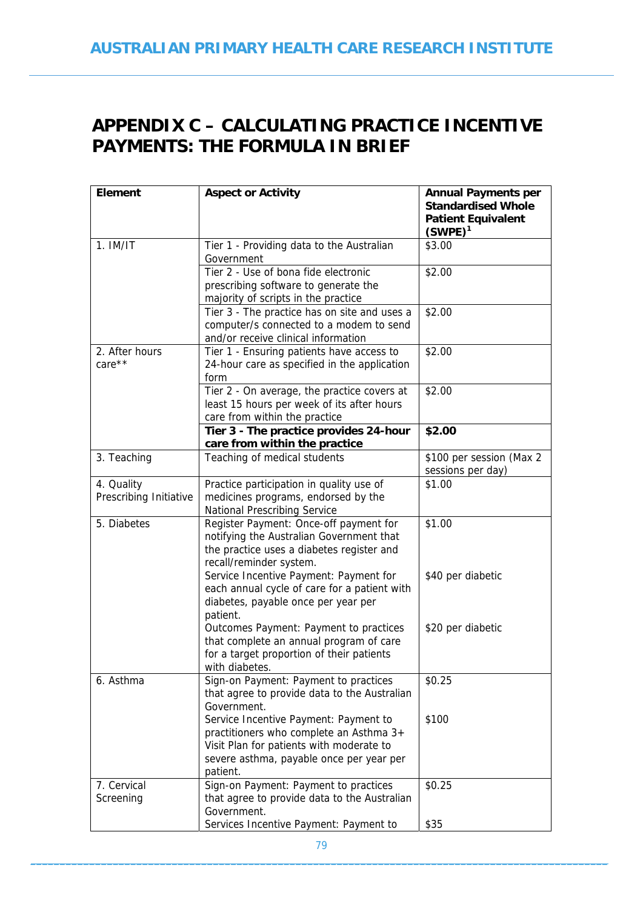# **APPENDIX C – CALCULATING PRACTICE INCENTIVE PAYMENTS: THE FORMULA IN BRIEF**

| <b>Element</b>                       | <b>Aspect or Activity</b>                                                                                                                                                            | <b>Annual Payments per</b><br><b>Standardised Whole</b><br><b>Patient Equivalent</b><br>$(SWPE)^1$ |  |  |
|--------------------------------------|--------------------------------------------------------------------------------------------------------------------------------------------------------------------------------------|----------------------------------------------------------------------------------------------------|--|--|
| $1.$ IM/IT                           | Tier 1 - Providing data to the Australian<br>Government                                                                                                                              | \$3.00                                                                                             |  |  |
|                                      | Tier 2 - Use of bona fide electronic<br>prescribing software to generate the<br>majority of scripts in the practice                                                                  | \$2.00                                                                                             |  |  |
|                                      | Tier 3 - The practice has on site and uses a<br>computer/s connected to a modem to send<br>and/or receive clinical information                                                       | \$2.00                                                                                             |  |  |
| 2. After hours<br>care**             | Tier 1 - Ensuring patients have access to<br>24-hour care as specified in the application<br>form                                                                                    | \$2.00                                                                                             |  |  |
|                                      | Tier 2 - On average, the practice covers at<br>least 15 hours per week of its after hours<br>care from within the practice                                                           | \$2.00                                                                                             |  |  |
|                                      | Tier 3 - The practice provides 24-hour<br>care from within the practice                                                                                                              | \$2.00                                                                                             |  |  |
| 3. Teaching                          | Teaching of medical students                                                                                                                                                         | \$100 per session (Max 2<br>sessions per day)                                                      |  |  |
| 4. Quality<br>Prescribing Initiative | Practice participation in quality use of<br>medicines programs, endorsed by the<br><b>National Prescribing Service</b>                                                               | \$1.00                                                                                             |  |  |
| 5. Diabetes                          | Register Payment: Once-off payment for<br>notifying the Australian Government that<br>the practice uses a diabetes register and<br>recall/reminder system.                           | \$1.00                                                                                             |  |  |
|                                      | Service Incentive Payment: Payment for<br>each annual cycle of care for a patient with<br>diabetes, payable once per year per<br>patient.                                            | \$40 per diabetic                                                                                  |  |  |
|                                      | Outcomes Payment: Payment to practices<br>that complete an annual program of care<br>for a target proportion of their patients<br>with diabetes.                                     | \$20 per diabetic                                                                                  |  |  |
| 6. Asthma                            | Sign-on Payment: Payment to practices<br>that agree to provide data to the Australian<br>Government.                                                                                 | \$0.25                                                                                             |  |  |
|                                      | Service Incentive Payment: Payment to<br>practitioners who complete an Asthma 3+<br>Visit Plan for patients with moderate to<br>severe asthma, payable once per year per<br>patient. | \$100                                                                                              |  |  |
| 7. Cervical<br>Screening             | Sign-on Payment: Payment to practices<br>that agree to provide data to the Australian<br>Government.<br>Services Incentive Payment: Payment to                                       | \$0.25<br>\$35                                                                                     |  |  |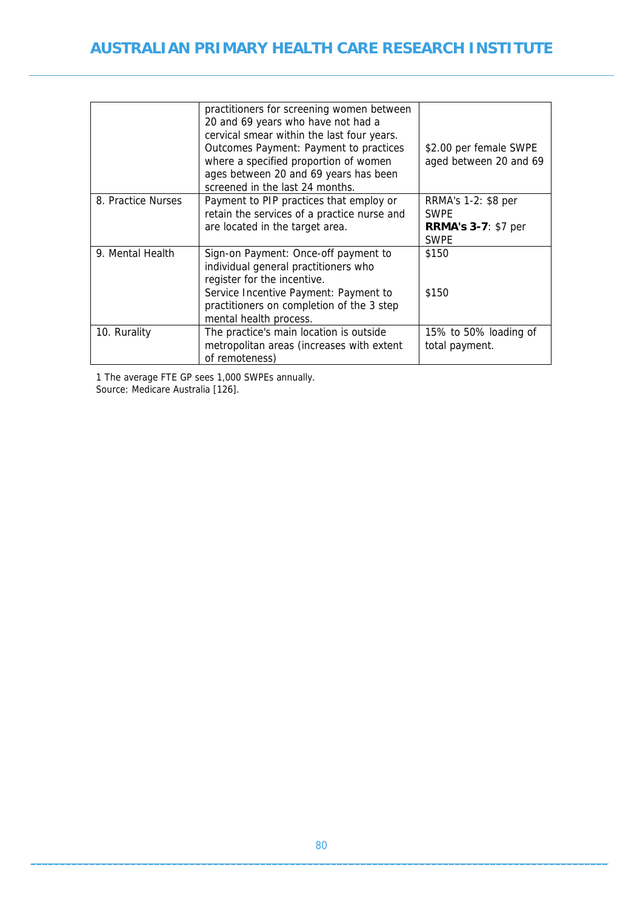### **AUSTRALIAN PRIMARY HEALTH CARE RESEARCH INSTITUTE**

|                    | practitioners for screening women between<br>20 and 69 years who have not had a<br>cervical smear within the last four years.<br>Outcomes Payment: Payment to practices<br>where a specified proportion of women<br>ages between 20 and 69 years has been<br>screened in the last 24 months. | \$2.00 per female SWPE<br>aged between 20 and 69                                |
|--------------------|----------------------------------------------------------------------------------------------------------------------------------------------------------------------------------------------------------------------------------------------------------------------------------------------|---------------------------------------------------------------------------------|
| 8. Practice Nurses | Payment to PIP practices that employ or<br>retain the services of a practice nurse and<br>are located in the target area.                                                                                                                                                                    | RRMA's 1-2: \$8 per<br><b>SWPE</b><br><b>RRMA's 3-7: \$7 per</b><br><b>SWPE</b> |
| 9. Mental Health   | Sign-on Payment: Once-off payment to<br>individual general practitioners who<br>register for the incentive.<br>Service Incentive Payment: Payment to<br>practitioners on completion of the 3 step<br>mental health process.                                                                  | \$150<br>\$150                                                                  |
| 10. Rurality       | The practice's main location is outside<br>metropolitan areas (increases with extent<br>of remoteness)                                                                                                                                                                                       | 15% to 50% loading of<br>total payment.                                         |

1 The average FTE GP sees 1,000 SWPEs annually. Source: Medicare Australia [126].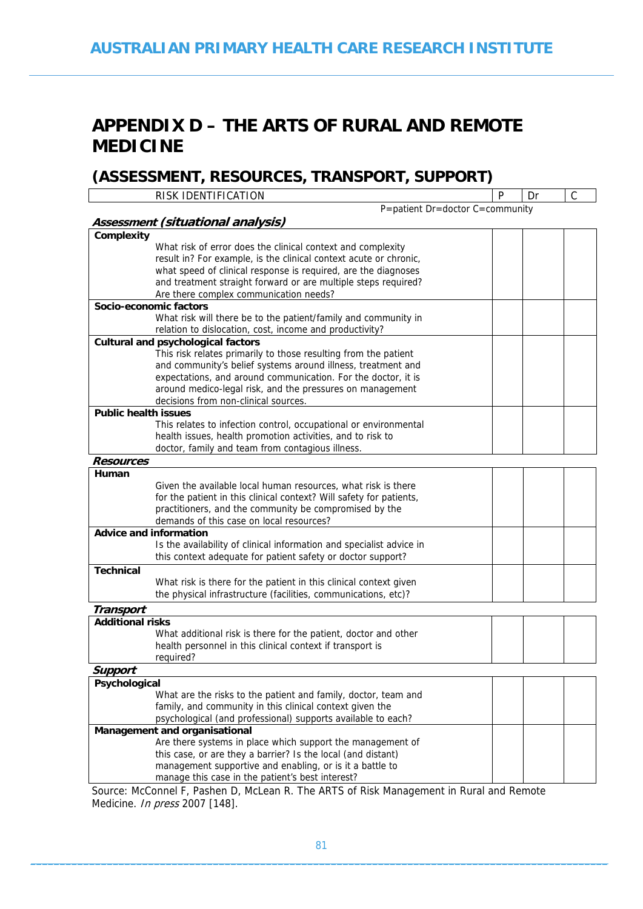## **APPENDIX D – THE ARTS OF RURAL AND REMOTE MEDICINE**

### **(ASSESSMENT, RESOURCES, TRANSPORT, SUPPORT)**

|                                      | RISK IDENTIFICATION                                                                               | P | Dr | $\mathsf C$ |
|--------------------------------------|---------------------------------------------------------------------------------------------------|---|----|-------------|
|                                      | P=patient Dr=doctor C=community                                                                   |   |    |             |
|                                      | Assessment (situational analysis)                                                                 |   |    |             |
| Complexity                           |                                                                                                   |   |    |             |
|                                      | What risk of error does the clinical context and complexity                                       |   |    |             |
|                                      | result in? For example, is the clinical context acute or chronic,                                 |   |    |             |
|                                      | what speed of clinical response is required, are the diagnoses                                    |   |    |             |
|                                      | and treatment straight forward or are multiple steps required?                                    |   |    |             |
|                                      | Are there complex communication needs?                                                            |   |    |             |
|                                      | Socio-economic factors                                                                            |   |    |             |
|                                      | What risk will there be to the patient/family and community in                                    |   |    |             |
|                                      | relation to dislocation, cost, income and productivity?                                           |   |    |             |
|                                      | <b>Cultural and psychological factors</b>                                                         |   |    |             |
|                                      | This risk relates primarily to those resulting from the patient                                   |   |    |             |
|                                      | and community's belief systems around illness, treatment and                                      |   |    |             |
|                                      | expectations, and around communication. For the doctor, it is                                     |   |    |             |
|                                      | around medico-legal risk, and the pressures on management<br>decisions from non-clinical sources. |   |    |             |
| <b>Public health issues</b>          |                                                                                                   |   |    |             |
|                                      | This relates to infection control, occupational or environmental                                  |   |    |             |
|                                      | health issues, health promotion activities, and to risk to                                        |   |    |             |
|                                      | doctor, family and team from contagious illness.                                                  |   |    |             |
| <b>Resources</b>                     |                                                                                                   |   |    |             |
| Human                                |                                                                                                   |   |    |             |
|                                      | Given the available local human resources, what risk is there                                     |   |    |             |
|                                      | for the patient in this clinical context? Will safety for patients,                               |   |    |             |
|                                      | practitioners, and the community be compromised by the                                            |   |    |             |
|                                      | demands of this case on local resources?                                                          |   |    |             |
|                                      | <b>Advice and information</b>                                                                     |   |    |             |
|                                      | Is the availability of clinical information and specialist advice in                              |   |    |             |
|                                      | this context adequate for patient safety or doctor support?                                       |   |    |             |
| <b>Technical</b>                     |                                                                                                   |   |    |             |
|                                      | What risk is there for the patient in this clinical context given                                 |   |    |             |
|                                      | the physical infrastructure (facilities, communications, etc)?                                    |   |    |             |
|                                      |                                                                                                   |   |    |             |
| Transport<br><b>Additional risks</b> |                                                                                                   |   |    |             |
|                                      | What additional risk is there for the patient, doctor and other                                   |   |    |             |
|                                      | health personnel in this clinical context if transport is                                         |   |    |             |
|                                      | reauired?                                                                                         |   |    |             |
| Support                              |                                                                                                   |   |    |             |
| Psychological                        |                                                                                                   |   |    |             |
|                                      | What are the risks to the patient and family, doctor, team and                                    |   |    |             |
|                                      | family, and community in this clinical context given the                                          |   |    |             |
|                                      | psychological (and professional) supports available to each?                                      |   |    |             |
|                                      | Management and organisational                                                                     |   |    |             |
|                                      | Are there systems in place which support the management of                                        |   |    |             |
|                                      | this case, or are they a barrier? Is the local (and distant)                                      |   |    |             |

manage this case in the patient's best interest? Source: McConnel F, Pashen D, McLean R. The ARTS of Risk Management in Rural and Remote Medicine. *In press* 2007 [148].

management supportive and enabling, or is it a battle to